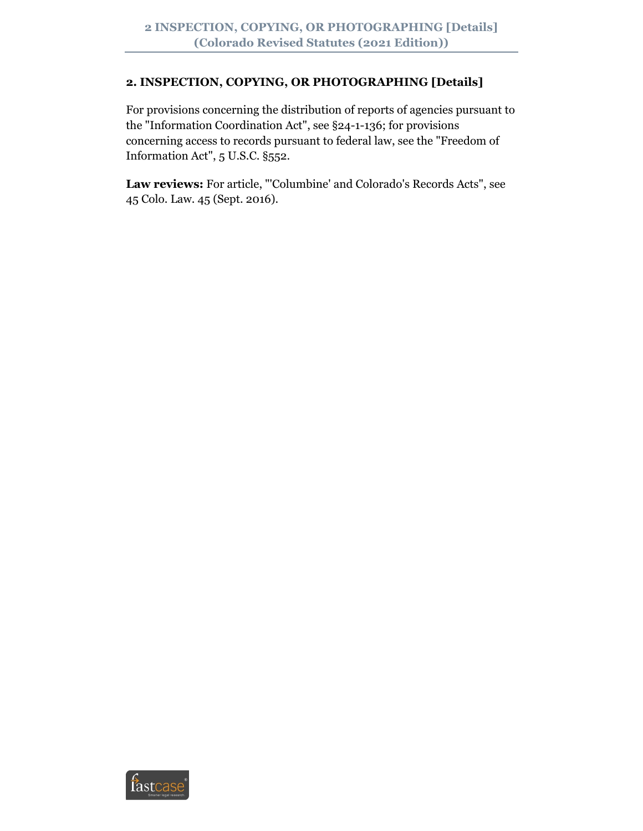### **2. INSPECTION, COPYING, OR PHOTOGRAPHING [Details]**

For provisions concerning the distribution of reports of agencies pursuant to the "Information Coordination Act", see §24-1-136; for provisions concerning access to records pursuant to federal law, see the "Freedom of Information Act", 5 U.S.C. §552.

**Law reviews:** For article, "'Columbine' and Colorado's Records Acts", see 45 Colo. Law. 45 (Sept. 2016).

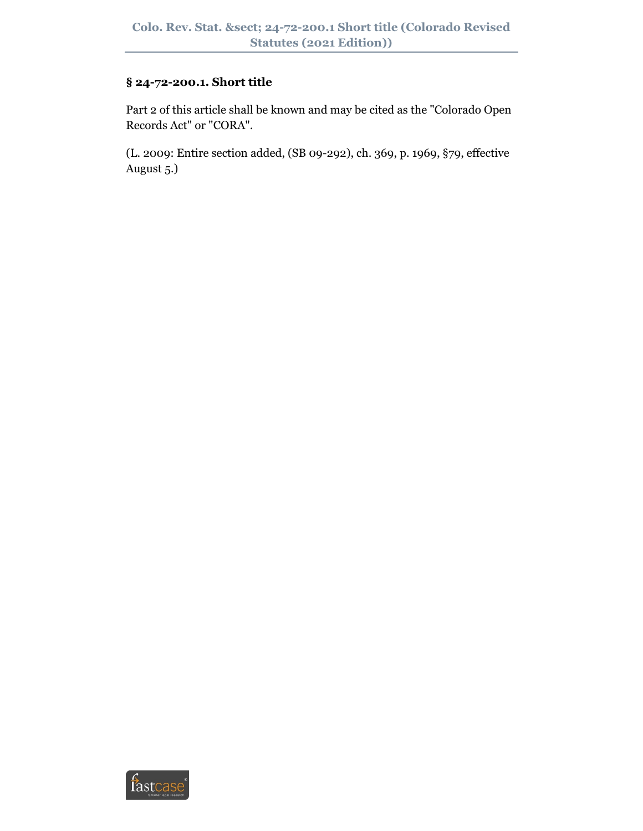### **§ 24-72-200.1. Short title**

Part 2 of this article shall be known and may be cited as the "Colorado Open Records Act" or "CORA".

(L. 2009: Entire section added, (SB 09-292), ch. 369, p. 1969, §79, effective August 5.)

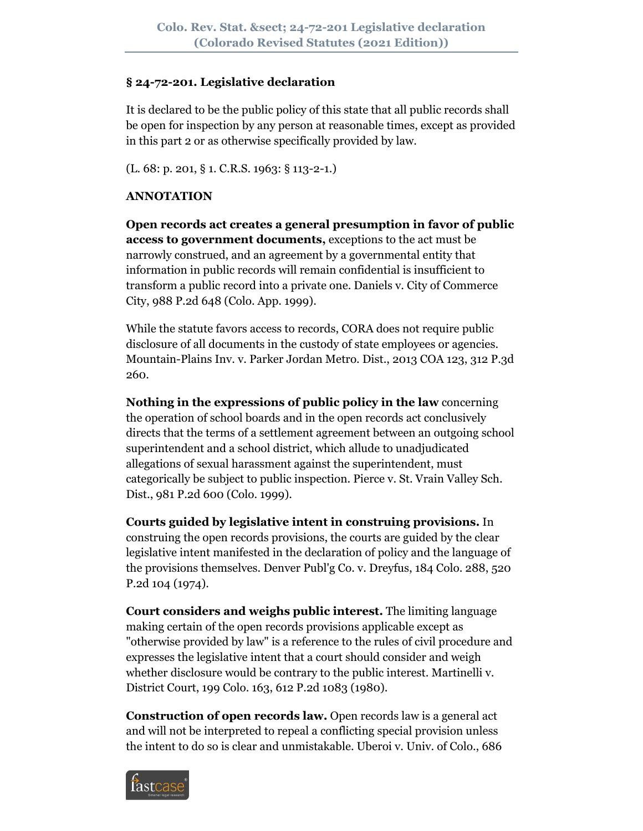#### **§ 24-72-201. Legislative declaration**

It is declared to be the public policy of this state that all public records shall be open for inspection by any person at reasonable times, except as provided in this part 2 or as otherwise specifically provided by law.

(L. 68: p. 201, § 1. C.R.S. 1963: § 113-2-1.)

### **ANNOTATION**

**Open records act creates a general presumption in favor of public access to government documents,** exceptions to the act must be narrowly construed, and an agreement by a governmental entity that information in public records will remain confidential is insufficient to transform a public record into a private one. Daniels v. City of Commerce City, 988 P.2d 648 (Colo. App. 1999).

While the statute favors access to records, CORA does not require public disclosure of all documents in the custody of state employees or agencies. Mountain-Plains Inv. v. Parker Jordan Metro. Dist., 2013 COA 123, 312 P.3d 260.

**Nothing in the expressions of public policy in the law** concerning the operation of school boards and in the open records act conclusively directs that the terms of a settlement agreement between an outgoing school superintendent and a school district, which allude to unadjudicated allegations of sexual harassment against the superintendent, must categorically be subject to public inspection. Pierce v. St. Vrain Valley Sch. Dist., 981 P.2d 600 (Colo. 1999).

**Courts guided by legislative intent in construing provisions.** In construing the open records provisions, the courts are guided by the clear legislative intent manifested in the declaration of policy and the language of the provisions themselves. Denver Publ'g Co. v. Dreyfus, 184 Colo. 288, 520 P.2d 104 (1974).

**Court considers and weighs public interest.** The limiting language making certain of the open records provisions applicable except as "otherwise provided by law" is a reference to the rules of civil procedure and expresses the legislative intent that a court should consider and weigh whether disclosure would be contrary to the public interest. Martinelli v. District Court, 199 Colo. 163, 612 P.2d 1083 (1980).

**Construction of open records law.** Open records law is a general act and will not be interpreted to repeal a conflicting special provision unless the intent to do so is clear and unmistakable. Uberoi v. Univ. of Colo., 686

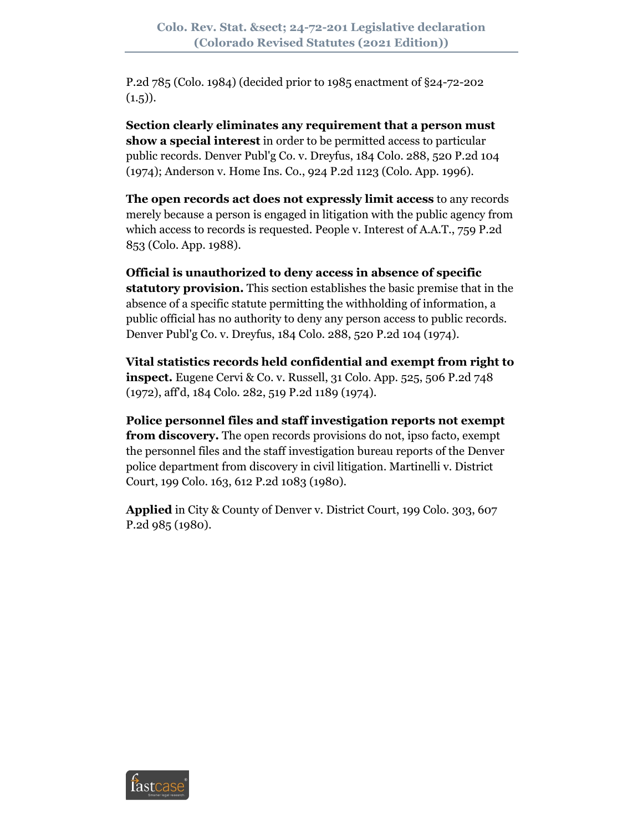P.2d 785 (Colo. 1984) (decided prior to 1985 enactment of §24-72-202  $(1.5)$ .

**Section clearly eliminates any requirement that a person must show a special interest** in order to be permitted access to particular public records. Denver Publ'g Co. v. Dreyfus, 184 Colo. 288, 520 P.2d 104 (1974); Anderson v. Home Ins. Co., 924 P.2d 1123 (Colo. App. 1996).

**The open records act does not expressly limit access** to any records merely because a person is engaged in litigation with the public agency from which access to records is requested. People v. Interest of A.A.T., 759 P.2d 853 (Colo. App. 1988).

**Official is unauthorized to deny access in absence of specific statutory provision.** This section establishes the basic premise that in the absence of a specific statute permitting the withholding of information, a public official has no authority to deny any person access to public records. Denver Publ'g Co. v. Dreyfus, 184 Colo. 288, 520 P.2d 104 (1974).

**Vital statistics records held confidential and exempt from right to inspect.** Eugene Cervi & Co. v. Russell, 31 Colo. App. 525, 506 P.2d 748 (1972), aff'd, 184 Colo. 282, 519 P.2d 1189 (1974).

**Police personnel files and staff investigation reports not exempt from discovery.** The open records provisions do not, ipso facto, exempt the personnel files and the staff investigation bureau reports of the Denver police department from discovery in civil litigation. Martinelli v. District Court, 199 Colo. 163, 612 P.2d 1083 (1980).

**Applied** in City & County of Denver v. District Court, 199 Colo. 303, 607 P.2d 985 (1980).

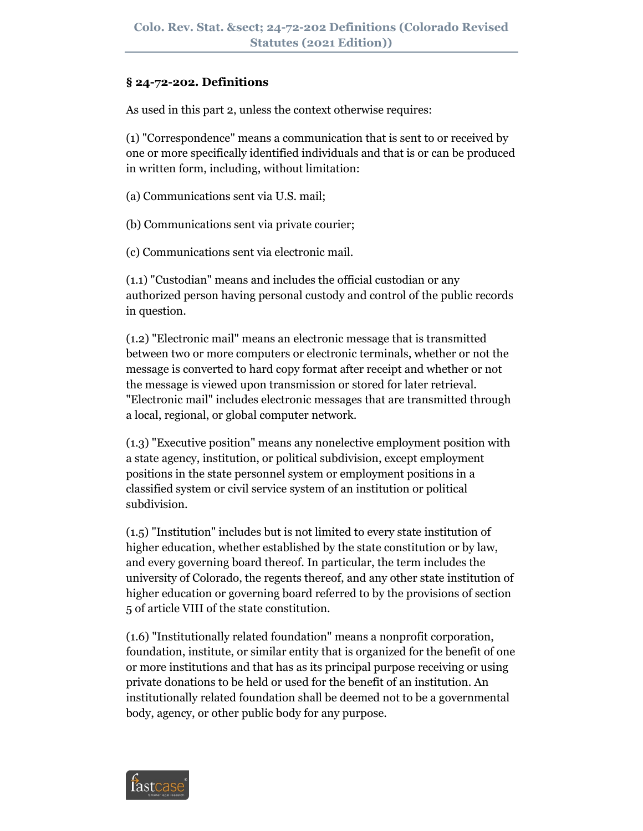### **§ 24-72-202. Definitions**

As used in this part 2, unless the context otherwise requires:

(1) "Correspondence" means a communication that is sent to or received by one or more specifically identified individuals and that is or can be produced in written form, including, without limitation:

(a) Communications sent via U.S. mail;

(b) Communications sent via private courier;

(c) Communications sent via electronic mail.

(1.1) "Custodian" means and includes the official custodian or any authorized person having personal custody and control of the public records in question.

(1.2) "Electronic mail" means an electronic message that is transmitted between two or more computers or electronic terminals, whether or not the message is converted to hard copy format after receipt and whether or not the message is viewed upon transmission or stored for later retrieval. "Electronic mail" includes electronic messages that are transmitted through a local, regional, or global computer network.

(1.3) "Executive position" means any nonelective employment position with a state agency, institution, or political subdivision, except employment positions in the state personnel system or employment positions in a classified system or civil service system of an institution or political subdivision.

(1.5) "Institution" includes but is not limited to every state institution of higher education, whether established by the state constitution or by law, and every governing board thereof. In particular, the term includes the university of Colorado, the regents thereof, and any other state institution of higher education or governing board referred to by the provisions of section 5 of article VIII of the state constitution.

(1.6) "Institutionally related foundation" means a nonprofit corporation, foundation, institute, or similar entity that is organized for the benefit of one or more institutions and that has as its principal purpose receiving or using private donations to be held or used for the benefit of an institution. An institutionally related foundation shall be deemed not to be a governmental body, agency, or other public body for any purpose.

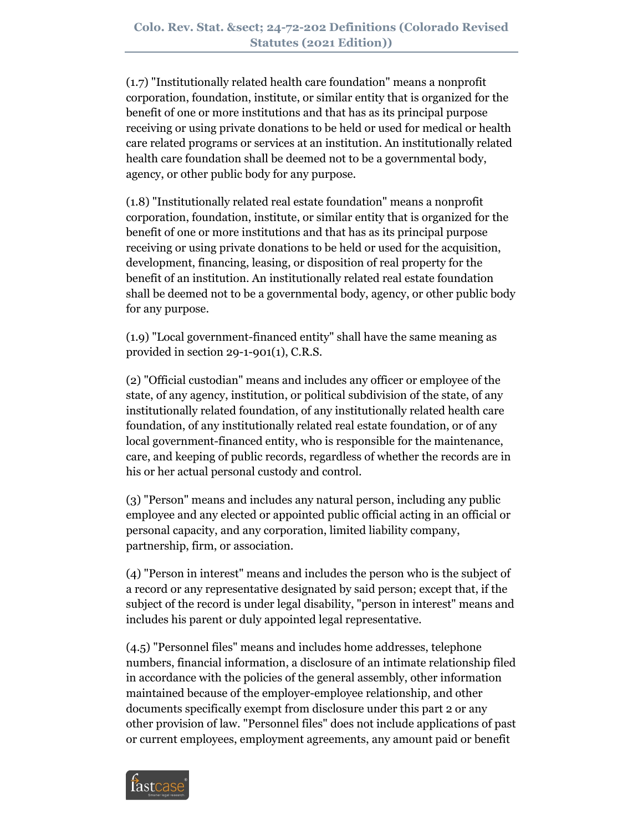(1.7) "Institutionally related health care foundation" means a nonprofit corporation, foundation, institute, or similar entity that is organized for the benefit of one or more institutions and that has as its principal purpose receiving or using private donations to be held or used for medical or health care related programs or services at an institution. An institutionally related health care foundation shall be deemed not to be a governmental body, agency, or other public body for any purpose.

(1.8) "Institutionally related real estate foundation" means a nonprofit corporation, foundation, institute, or similar entity that is organized for the benefit of one or more institutions and that has as its principal purpose receiving or using private donations to be held or used for the acquisition, development, financing, leasing, or disposition of real property for the benefit of an institution. An institutionally related real estate foundation shall be deemed not to be a governmental body, agency, or other public body for any purpose.

(1.9) "Local government-financed entity" shall have the same meaning as provided in section 29-1-901(1), C.R.S.

(2) "Official custodian" means and includes any officer or employee of the state, of any agency, institution, or political subdivision of the state, of any institutionally related foundation, of any institutionally related health care foundation, of any institutionally related real estate foundation, or of any local government-financed entity, who is responsible for the maintenance, care, and keeping of public records, regardless of whether the records are in his or her actual personal custody and control.

(3) "Person" means and includes any natural person, including any public employee and any elected or appointed public official acting in an official or personal capacity, and any corporation, limited liability company, partnership, firm, or association.

(4) "Person in interest" means and includes the person who is the subject of a record or any representative designated by said person; except that, if the subject of the record is under legal disability, "person in interest" means and includes his parent or duly appointed legal representative.

(4.5) "Personnel files" means and includes home addresses, telephone numbers, financial information, a disclosure of an intimate relationship filed in accordance with the policies of the general assembly, other information maintained because of the employer-employee relationship, and other documents specifically exempt from disclosure under this part 2 or any other provision of law. "Personnel files" does not include applications of past or current employees, employment agreements, any amount paid or benefit

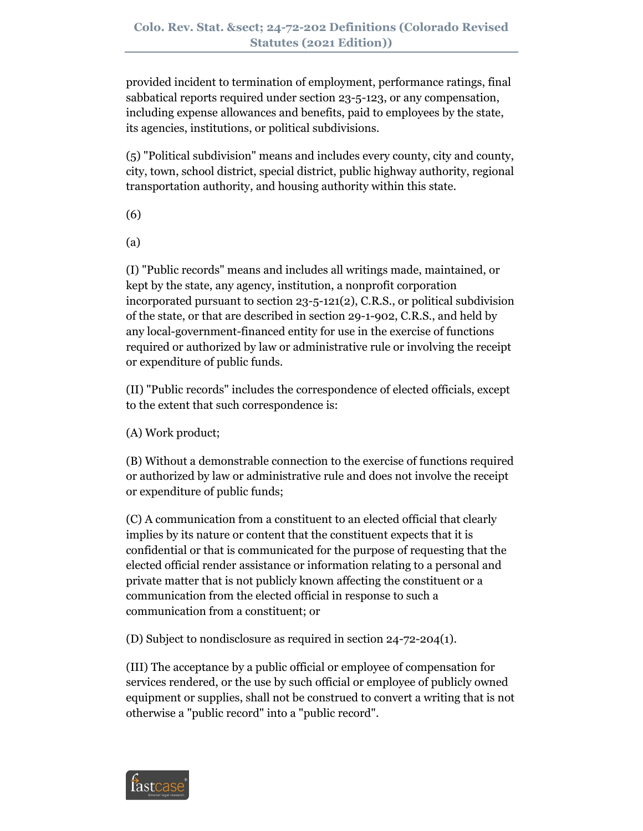provided incident to termination of employment, performance ratings, final sabbatical reports required under section 23-5-123, or any compensation, including expense allowances and benefits, paid to employees by the state, its agencies, institutions, or political subdivisions.

(5) "Political subdivision" means and includes every county, city and county, city, town, school district, special district, public highway authority, regional transportation authority, and housing authority within this state.

(6)

(a)

(I) "Public records" means and includes all writings made, maintained, or kept by the state, any agency, institution, a nonprofit corporation incorporated pursuant to section 23-5-121(2), C.R.S., or political subdivision of the state, or that are described in section 29-1-902, C.R.S., and held by any local-government-financed entity for use in the exercise of functions required or authorized by law or administrative rule or involving the receipt or expenditure of public funds.

(II) "Public records" includes the correspondence of elected officials, except to the extent that such correspondence is:

(A) Work product;

(B) Without a demonstrable connection to the exercise of functions required or authorized by law or administrative rule and does not involve the receipt or expenditure of public funds;

(C) A communication from a constituent to an elected official that clearly implies by its nature or content that the constituent expects that it is confidential or that is communicated for the purpose of requesting that the elected official render assistance or information relating to a personal and private matter that is not publicly known affecting the constituent or a communication from the elected official in response to such a communication from a constituent; or

(D) Subject to nondisclosure as required in section 24-72-204(1).

(III) The acceptance by a public official or employee of compensation for services rendered, or the use by such official or employee of publicly owned equipment or supplies, shall not be construed to convert a writing that is not otherwise a "public record" into a "public record".

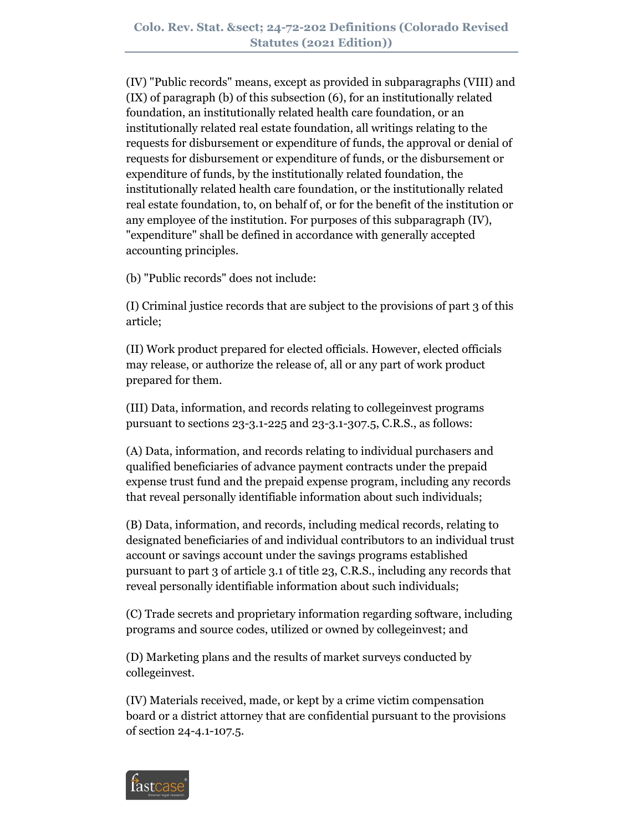(IV) "Public records" means, except as provided in subparagraphs (VIII) and (IX) of paragraph (b) of this subsection (6), for an institutionally related foundation, an institutionally related health care foundation, or an institutionally related real estate foundation, all writings relating to the requests for disbursement or expenditure of funds, the approval or denial of requests for disbursement or expenditure of funds, or the disbursement or expenditure of funds, by the institutionally related foundation, the institutionally related health care foundation, or the institutionally related real estate foundation, to, on behalf of, or for the benefit of the institution or any employee of the institution. For purposes of this subparagraph (IV), "expenditure" shall be defined in accordance with generally accepted accounting principles.

(b) "Public records" does not include:

(I) Criminal justice records that are subject to the provisions of part 3 of this article;

(II) Work product prepared for elected officials. However, elected officials may release, or authorize the release of, all or any part of work product prepared for them.

(III) Data, information, and records relating to collegeinvest programs pursuant to sections 23-3.1-225 and 23-3.1-307.5, C.R.S., as follows:

(A) Data, information, and records relating to individual purchasers and qualified beneficiaries of advance payment contracts under the prepaid expense trust fund and the prepaid expense program, including any records that reveal personally identifiable information about such individuals;

(B) Data, information, and records, including medical records, relating to designated beneficiaries of and individual contributors to an individual trust account or savings account under the savings programs established pursuant to part 3 of article 3.1 of title 23, C.R.S., including any records that reveal personally identifiable information about such individuals;

(C) Trade secrets and proprietary information regarding software, including programs and source codes, utilized or owned by collegeinvest; and

(D) Marketing plans and the results of market surveys conducted by collegeinvest.

(IV) Materials received, made, or kept by a crime victim compensation board or a district attorney that are confidential pursuant to the provisions of section 24-4.1-107.5.

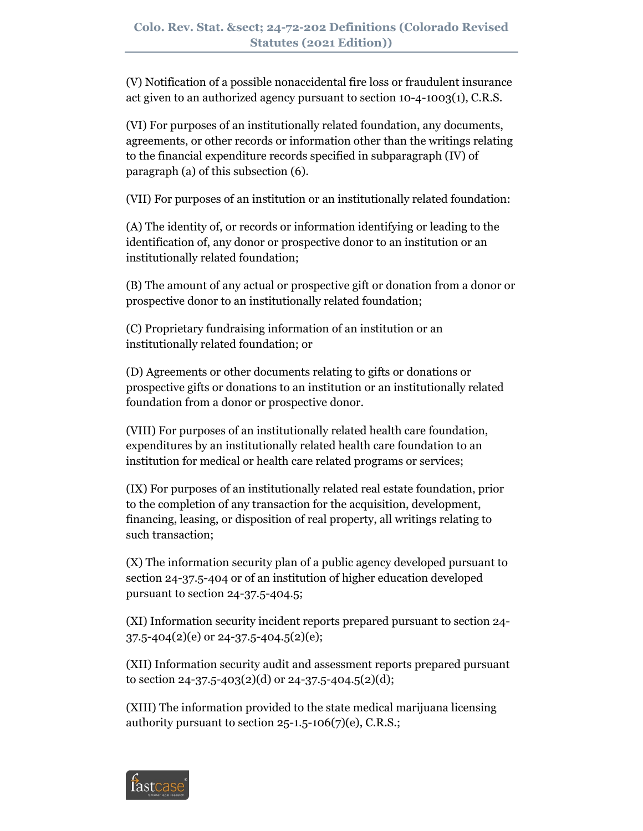(V) Notification of a possible nonaccidental fire loss or fraudulent insurance act given to an authorized agency pursuant to section 10-4-1003(1), C.R.S.

(VI) For purposes of an institutionally related foundation, any documents, agreements, or other records or information other than the writings relating to the financial expenditure records specified in subparagraph (IV) of paragraph (a) of this subsection (6).

(VII) For purposes of an institution or an institutionally related foundation:

(A) The identity of, or records or information identifying or leading to the identification of, any donor or prospective donor to an institution or an institutionally related foundation;

(B) The amount of any actual or prospective gift or donation from a donor or prospective donor to an institutionally related foundation;

(C) Proprietary fundraising information of an institution or an institutionally related foundation; or

(D) Agreements or other documents relating to gifts or donations or prospective gifts or donations to an institution or an institutionally related foundation from a donor or prospective donor.

(VIII) For purposes of an institutionally related health care foundation, expenditures by an institutionally related health care foundation to an institution for medical or health care related programs or services;

(IX) For purposes of an institutionally related real estate foundation, prior to the completion of any transaction for the acquisition, development, financing, leasing, or disposition of real property, all writings relating to such transaction;

(X) The information security plan of a public agency developed pursuant to section 24-37.5-404 or of an institution of higher education developed pursuant to section 24-37.5-404.5;

(XI) Information security incident reports prepared pursuant to section 24-  $37.5 - 404(2)(e)$  or 24-37.5-404.5(2)(e);

(XII) Information security audit and assessment reports prepared pursuant to section 24-37.5-403(2)(d) or 24-37.5-404.5(2)(d);

(XIII) The information provided to the state medical marijuana licensing authority pursuant to section  $25$ -1.5-106(7)(e), C.R.S.;

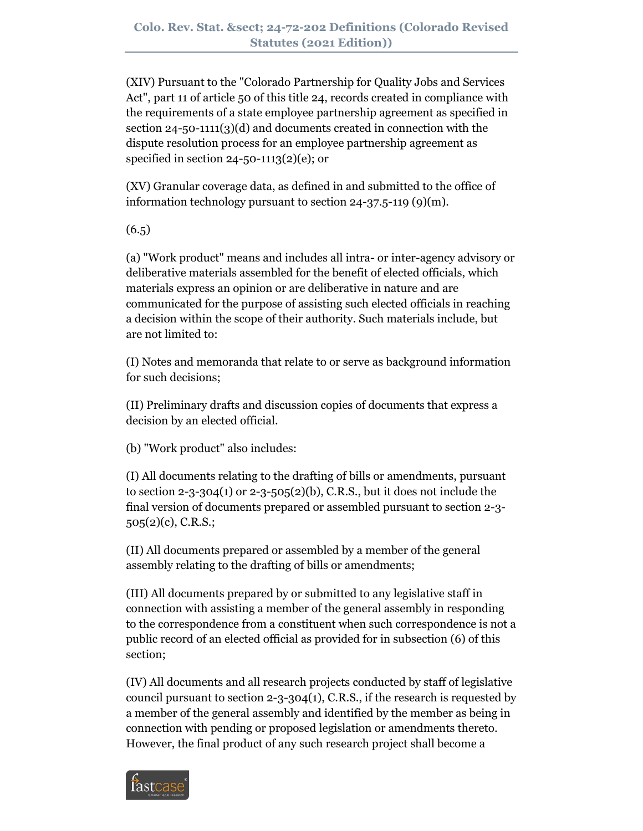(XIV) Pursuant to the "Colorado Partnership for Quality Jobs and Services Act", part 11 of article 50 of this title 24, records created in compliance with the requirements of a state employee partnership agreement as specified in section 24-50-1111(3)(d) and documents created in connection with the dispute resolution process for an employee partnership agreement as specified in section 24-50-1113(2)(e); or

(XV) Granular coverage data, as defined in and submitted to the office of information technology pursuant to section 24-37.5-119 (9)(m).

 $(6.5)$ 

(a) "Work product" means and includes all intra- or inter-agency advisory or deliberative materials assembled for the benefit of elected officials, which materials express an opinion or are deliberative in nature and are communicated for the purpose of assisting such elected officials in reaching a decision within the scope of their authority. Such materials include, but are not limited to:

(I) Notes and memoranda that relate to or serve as background information for such decisions;

(II) Preliminary drafts and discussion copies of documents that express a decision by an elected official.

(b) "Work product" also includes:

(I) All documents relating to the drafting of bills or amendments, pursuant to section 2-3-304(1) or 2-3-505(2)(b), C.R.S., but it does not include the final version of documents prepared or assembled pursuant to section 2-3- 505(2)(c), C.R.S.;

(II) All documents prepared or assembled by a member of the general assembly relating to the drafting of bills or amendments;

(III) All documents prepared by or submitted to any legislative staff in connection with assisting a member of the general assembly in responding to the correspondence from a constituent when such correspondence is not a public record of an elected official as provided for in subsection (6) of this section;

(IV) All documents and all research projects conducted by staff of legislative council pursuant to section  $2-3-304(1)$ , C.R.S., if the research is requested by a member of the general assembly and identified by the member as being in connection with pending or proposed legislation or amendments thereto. However, the final product of any such research project shall become a

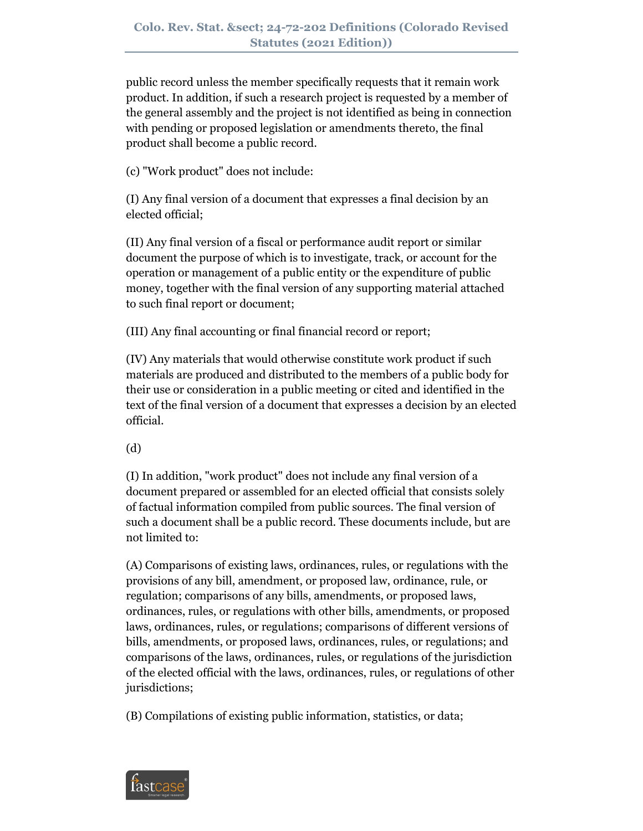public record unless the member specifically requests that it remain work product. In addition, if such a research project is requested by a member of the general assembly and the project is not identified as being in connection with pending or proposed legislation or amendments thereto, the final product shall become a public record.

(c) "Work product" does not include:

(I) Any final version of a document that expresses a final decision by an elected official;

(II) Any final version of a fiscal or performance audit report or similar document the purpose of which is to investigate, track, or account for the operation or management of a public entity or the expenditure of public money, together with the final version of any supporting material attached to such final report or document;

(III) Any final accounting or final financial record or report;

(IV) Any materials that would otherwise constitute work product if such materials are produced and distributed to the members of a public body for their use or consideration in a public meeting or cited and identified in the text of the final version of a document that expresses a decision by an elected official.

(d)

(I) In addition, "work product" does not include any final version of a document prepared or assembled for an elected official that consists solely of factual information compiled from public sources. The final version of such a document shall be a public record. These documents include, but are not limited to:

(A) Comparisons of existing laws, ordinances, rules, or regulations with the provisions of any bill, amendment, or proposed law, ordinance, rule, or regulation; comparisons of any bills, amendments, or proposed laws, ordinances, rules, or regulations with other bills, amendments, or proposed laws, ordinances, rules, or regulations; comparisons of different versions of bills, amendments, or proposed laws, ordinances, rules, or regulations; and comparisons of the laws, ordinances, rules, or regulations of the jurisdiction of the elected official with the laws, ordinances, rules, or regulations of other jurisdictions;

(B) Compilations of existing public information, statistics, or data;

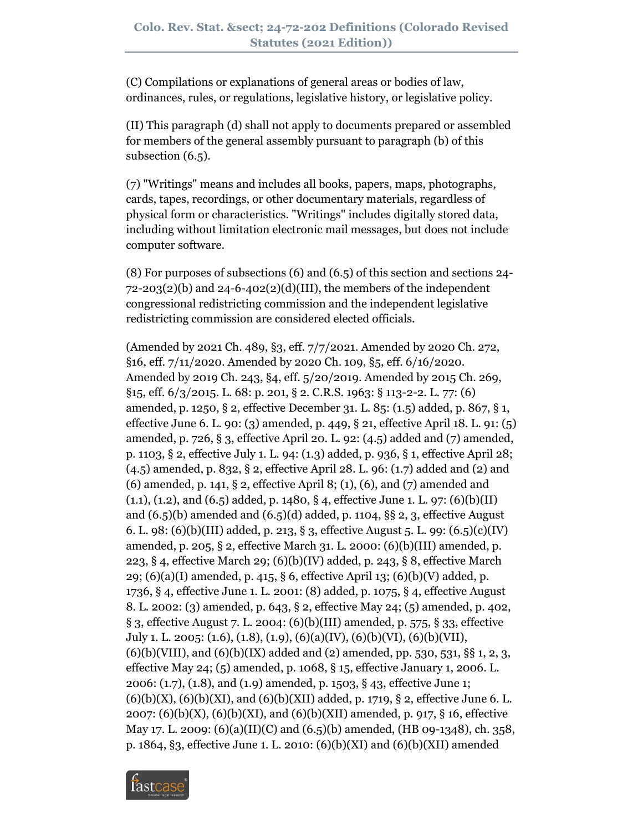(C) Compilations or explanations of general areas or bodies of law, ordinances, rules, or regulations, legislative history, or legislative policy.

(II) This paragraph (d) shall not apply to documents prepared or assembled for members of the general assembly pursuant to paragraph (b) of this subsection (6.5).

(7) "Writings" means and includes all books, papers, maps, photographs, cards, tapes, recordings, or other documentary materials, regardless of physical form or characteristics. "Writings" includes digitally stored data, including without limitation electronic mail messages, but does not include computer software.

(8) For purposes of subsections (6) and (6.5) of this section and sections 24-  $72-203(2)(b)$  and  $24-6-402(2)(d)(III)$ , the members of the independent congressional redistricting commission and the independent legislative redistricting commission are considered elected officials.

(Amended by 2021 Ch. 489, §3, eff. 7/7/2021. Amended by 2020 Ch. 272, §16, eff. 7/11/2020. Amended by 2020 Ch. 109, §5, eff. 6/16/2020. Amended by 2019 Ch. 243, §4, eff. 5/20/2019. Amended by 2015 Ch. 269, §15, eff. 6/3/2015. L. 68: p. 201, § 2. C.R.S. 1963: § 113-2-2. L. 77: (6) amended, p. 1250, § 2, effective December 31. L. 85: (1.5) added, p. 867, § 1, effective June 6. L. 90: (3) amended, p. 449, § 21, effective April 18. L. 91: (5) amended, p. 726, § 3, effective April 20. L. 92: (4.5) added and (7) amended, p. 1103, § 2, effective July 1. L. 94: (1.3) added, p. 936, § 1, effective April 28; (4.5) amended, p. 832, § 2, effective April 28. L. 96: (1.7) added and (2) and (6) amended, p. 141, § 2, effective April 8; (1), (6), and (7) amended and  $(1.1), (1.2),$  and  $(6.5)$  added, p. 1480, § 4, effective June 1. L. 97:  $(6)(b)(II)$ and  $(6.5)(b)$  amended and  $(6.5)(d)$  added, p. 1104, §§ 2, 3, effective August 6. L. 98: (6)(b)(III) added, p. 213, § 3, effective August 5. L. 99: (6.5)(c)(IV) amended, p. 205, § 2, effective March 31. L. 2000: (6)(b)(III) amended, p. 223, § 4, effective March 29; (6)(b)(IV) added, p. 243, § 8, effective March 29; (6)(a)(I) amended, p. 415, § 6, effective April 13; (6)(b)(V) added, p. 1736, § 4, effective June 1. L. 2001: (8) added, p. 1075, § 4, effective August 8. L. 2002: (3) amended, p. 643, § 2, effective May 24; (5) amended, p. 402, § 3, effective August 7. L. 2004: (6)(b)(III) amended, p. 575, § 33, effective July 1. L. 2005: (1.6), (1.8), (1.9), (6)(a)(IV), (6)(b)(VI), (6)(b)(VII),  $(6)(b)(VIII)$ , and  $(6)(b)(IX)$  added and  $(2)$  amended, pp. 530, 531, §§ 1, 2, 3, effective May 24; (5) amended, p. 1068, § 15, effective January 1, 2006. L. 2006: (1.7), (1.8), and (1.9) amended, p. 1503, § 43, effective June 1;  $(6)(b)(X)$ ,  $(6)(b)(XI)$ , and  $(6)(b)(XII)$  added, p. 1719, § 2, effective June 6. L. 2007:  $(6)(b)(X)$ ,  $(6)(b)(XI)$ , and  $(6)(b)(XII)$  amended, p. 917, § 16, effective May 17. L. 2009: (6)(a)(II)(C) and (6.5)(b) amended, (HB 09-1348), ch. 358, p. 1864, §3, effective June 1. L. 2010: (6)(b)(XI) and (6)(b)(XII) amended

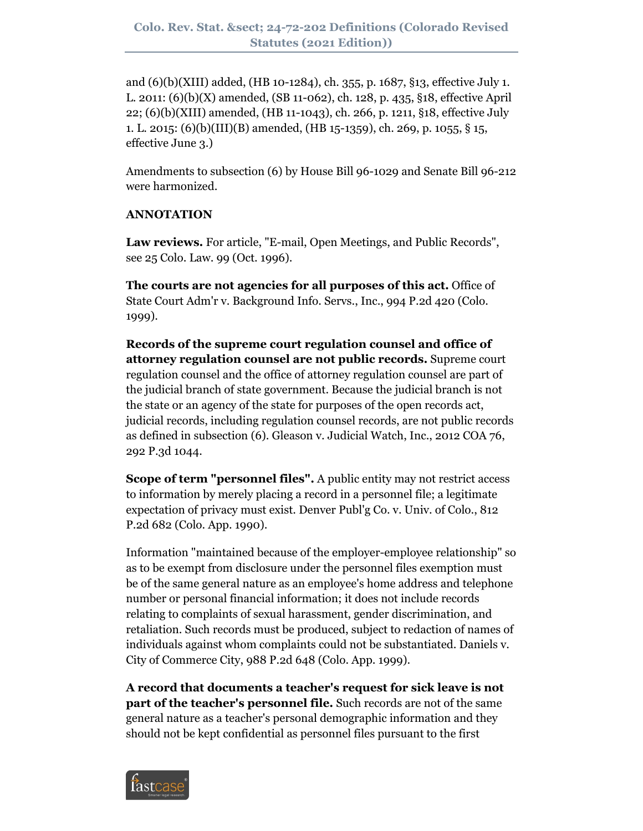and (6)(b)(XIII) added, (HB 10-1284), ch. 355, p. 1687, §13, effective July 1. L. 2011: (6)(b)(X) amended, (SB 11-062), ch. 128, p. 435, §18, effective April 22; (6)(b)(XIII) amended, (HB 11-1043), ch. 266, p. 1211, §18, effective July 1. L. 2015: (6)(b)(III)(B) amended, (HB 15-1359), ch. 269, p. 1055, § 15, effective June 3.)

Amendments to subsection (6) by House Bill 96-1029 and Senate Bill 96-212 were harmonized.

### **ANNOTATION**

**Law reviews.** For article, "E-mail, Open Meetings, and Public Records", see 25 Colo. Law. 99 (Oct. 1996).

**The courts are not agencies for all purposes of this act.** Office of State Court Adm'r v. Background Info. Servs., Inc., 994 P.2d 420 (Colo. 1999).

**Records of the supreme court regulation counsel and office of attorney regulation counsel are not public records.** Supreme court regulation counsel and the office of attorney regulation counsel are part of the judicial branch of state government. Because the judicial branch is not the state or an agency of the state for purposes of the open records act, judicial records, including regulation counsel records, are not public records as defined in subsection (6). Gleason v. Judicial Watch, Inc., 2012 COA 76, 292 P.3d 1044.

**Scope of term "personnel files".** A public entity may not restrict access to information by merely placing a record in a personnel file; a legitimate expectation of privacy must exist. Denver Publ'g Co. v. Univ. of Colo., 812 P.2d 682 (Colo. App. 1990).

Information "maintained because of the employer-employee relationship" so as to be exempt from disclosure under the personnel files exemption must be of the same general nature as an employee's home address and telephone number or personal financial information; it does not include records relating to complaints of sexual harassment, gender discrimination, and retaliation. Such records must be produced, subject to redaction of names of individuals against whom complaints could not be substantiated. Daniels v. City of Commerce City, 988 P.2d 648 (Colo. App. 1999).

**A record that documents a teacher's request for sick leave is not part of the teacher's personnel file.** Such records are not of the same general nature as a teacher's personal demographic information and they should not be kept confidential as personnel files pursuant to the first

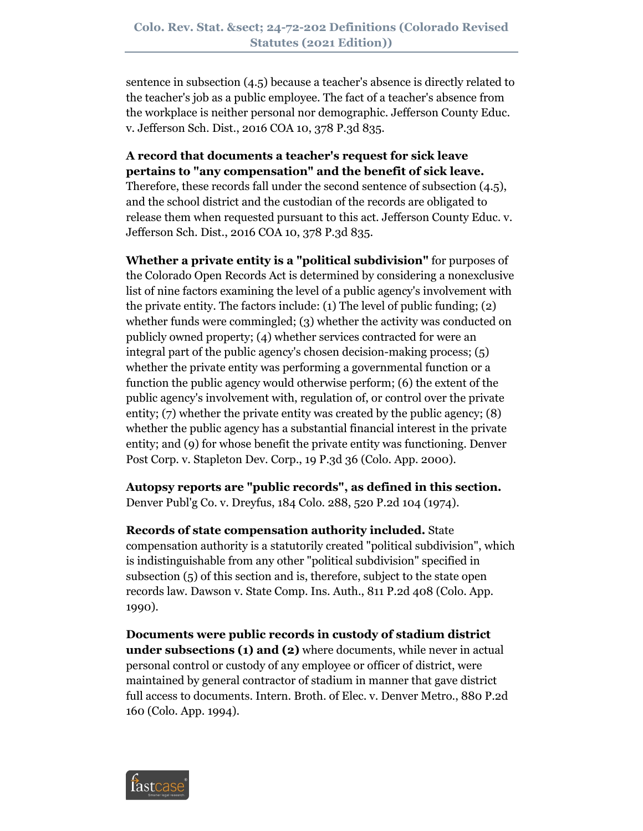sentence in subsection (4.5) because a teacher's absence is directly related to the teacher's job as a public employee. The fact of a teacher's absence from the workplace is neither personal nor demographic. Jefferson County Educ. v. Jefferson Sch. Dist., 2016 COA 10, 378 P.3d 835.

# **A record that documents a teacher's request for sick leave pertains to "any compensation" and the benefit of sick leave.** Therefore, these records fall under the second sentence of subsection (4.5), and the school district and the custodian of the records are obligated to release them when requested pursuant to this act. Jefferson County Educ. v. Jefferson Sch. Dist., 2016 COA 10, 378 P.3d 835.

**Whether a private entity is a "political subdivision"** for purposes of the Colorado Open Records Act is determined by considering a nonexclusive list of nine factors examining the level of a public agency's involvement with the private entity. The factors include: (1) The level of public funding; (2) whether funds were commingled; (3) whether the activity was conducted on publicly owned property; (4) whether services contracted for were an integral part of the public agency's chosen decision-making process; (5) whether the private entity was performing a governmental function or a function the public agency would otherwise perform; (6) the extent of the public agency's involvement with, regulation of, or control over the private entity; (7) whether the private entity was created by the public agency; (8) whether the public agency has a substantial financial interest in the private entity; and (9) for whose benefit the private entity was functioning. Denver Post Corp. v. Stapleton Dev. Corp., 19 P.3d 36 (Colo. App. 2000).

**Autopsy reports are "public records", as defined in this section.** Denver Publ'g Co. v. Dreyfus, 184 Colo. 288, 520 P.2d 104 (1974).

**Records of state compensation authority included.** State compensation authority is a statutorily created "political subdivision", which is indistinguishable from any other "political subdivision" specified in subsection (5) of this section and is, therefore, subject to the state open records law. Dawson v. State Comp. Ins. Auth., 811 P.2d 408 (Colo. App. 1990).

**Documents were public records in custody of stadium district under subsections (1) and (2)** where documents, while never in actual personal control or custody of any employee or officer of district, were maintained by general contractor of stadium in manner that gave district full access to documents. Intern. Broth. of Elec. v. Denver Metro., 880 P.2d 160 (Colo. App. 1994).

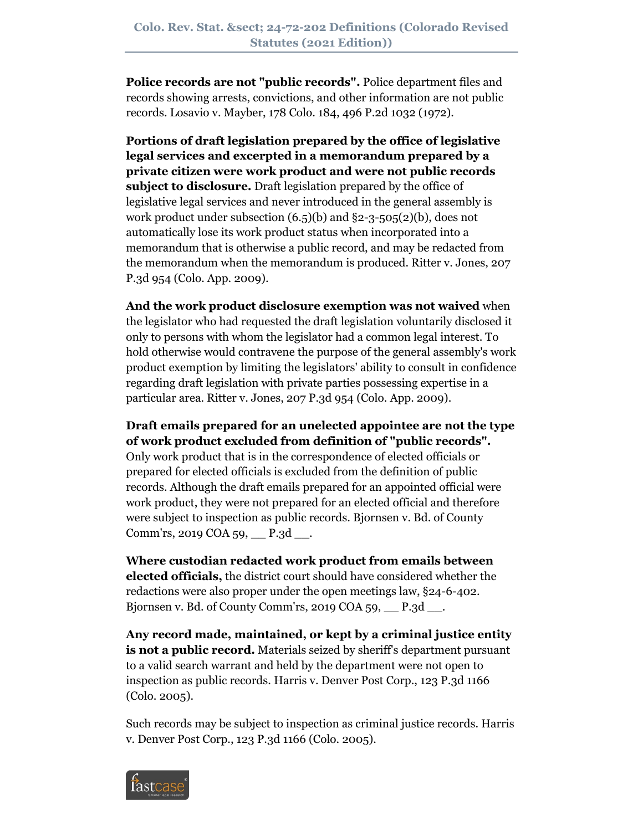**Police records are not "public records".** Police department files and records showing arrests, convictions, and other information are not public records. Losavio v. Mayber, 178 Colo. 184, 496 P.2d 1032 (1972).

**Portions of draft legislation prepared by the office of legislative legal services and excerpted in a memorandum prepared by a private citizen were work product and were not public records subject to disclosure.** Draft legislation prepared by the office of legislative legal services and never introduced in the general assembly is work product under subsection (6.5)(b) and §2-3-505(2)(b), does not automatically lose its work product status when incorporated into a memorandum that is otherwise a public record, and may be redacted from the memorandum when the memorandum is produced. Ritter v. Jones, 207 P.3d 954 (Colo. App. 2009).

**And the work product disclosure exemption was not waived** when the legislator who had requested the draft legislation voluntarily disclosed it only to persons with whom the legislator had a common legal interest. To hold otherwise would contravene the purpose of the general assembly's work product exemption by limiting the legislators' ability to consult in confidence regarding draft legislation with private parties possessing expertise in a particular area. Ritter v. Jones, 207 P.3d 954 (Colo. App. 2009).

**Draft emails prepared for an unelected appointee are not the type of work product excluded from definition of "public records".**

Only work product that is in the correspondence of elected officials or prepared for elected officials is excluded from the definition of public records. Although the draft emails prepared for an appointed official were work product, they were not prepared for an elected official and therefore were subject to inspection as public records. Bjornsen v. Bd. of County Comm'rs, 2019 COA 59, P.3d ...

**Where custodian redacted work product from emails between elected officials,** the district court should have considered whether the redactions were also proper under the open meetings law, §24-6-402. Bjornsen v. Bd. of County Comm'rs, 2019 COA 59,  $P.3d$ .

**Any record made, maintained, or kept by a criminal justice entity is not a public record.** Materials seized by sheriff's department pursuant to a valid search warrant and held by the department were not open to inspection as public records. Harris v. Denver Post Corp., 123 P.3d 1166 (Colo. 2005).

Such records may be subject to inspection as criminal justice records. Harris v. Denver Post Corp., 123 P.3d 1166 (Colo. 2005).

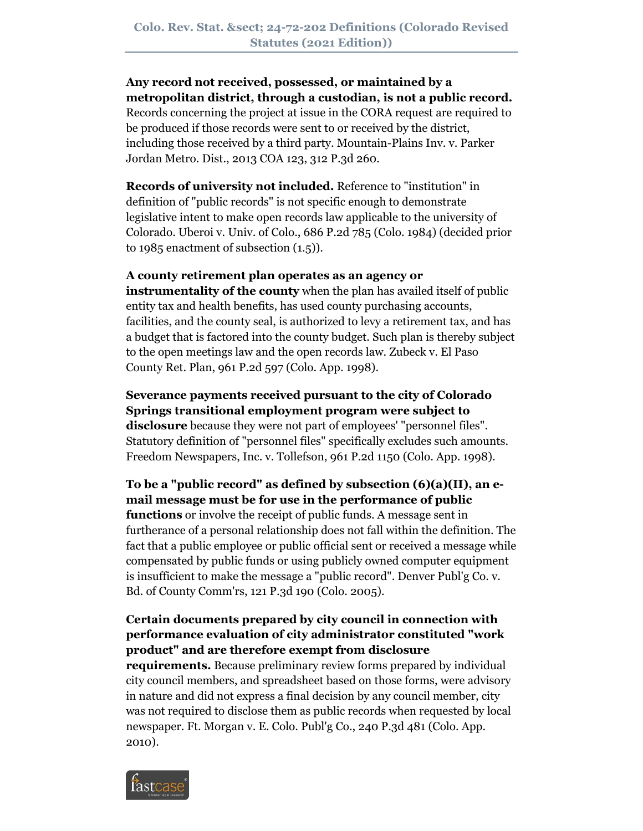# **Any record not received, possessed, or maintained by a metropolitan district, through a custodian, is not a public record.**

Records concerning the project at issue in the CORA request are required to be produced if those records were sent to or received by the district, including those received by a third party. Mountain-Plains Inv. v. Parker Jordan Metro. Dist., 2013 COA 123, 312 P.3d 260.

**Records of university not included.** Reference to "institution" in definition of "public records" is not specific enough to demonstrate legislative intent to make open records law applicable to the university of Colorado. Uberoi v. Univ. of Colo., 686 P.2d 785 (Colo. 1984) (decided prior to 1985 enactment of subsection (1.5)).

## **A county retirement plan operates as an agency or**

**instrumentality of the county** when the plan has availed itself of public entity tax and health benefits, has used county purchasing accounts, facilities, and the county seal, is authorized to levy a retirement tax, and has a budget that is factored into the county budget. Such plan is thereby subject to the open meetings law and the open records law. Zubeck v. El Paso County Ret. Plan, 961 P.2d 597 (Colo. App. 1998).

**Severance payments received pursuant to the city of Colorado Springs transitional employment program were subject to disclosure** because they were not part of employees' "personnel files". Statutory definition of "personnel files" specifically excludes such amounts. Freedom Newspapers, Inc. v. Tollefson, 961 P.2d 1150 (Colo. App. 1998).

**To be a "public record" as defined by subsection (6)(a)(II), an email message must be for use in the performance of public functions** or involve the receipt of public funds. A message sent in furtherance of a personal relationship does not fall within the definition. The fact that a public employee or public official sent or received a message while compensated by public funds or using publicly owned computer equipment is insufficient to make the message a "public record". Denver Publ'g Co. v. Bd. of County Comm'rs, 121 P.3d 190 (Colo. 2005).

# **Certain documents prepared by city council in connection with performance evaluation of city administrator constituted "work product" and are therefore exempt from disclosure**

**requirements.** Because preliminary review forms prepared by individual city council members, and spreadsheet based on those forms, were advisory in nature and did not express a final decision by any council member, city was not required to disclose them as public records when requested by local newspaper. Ft. Morgan v. E. Colo. Publ'g Co., 240 P.3d 481 (Colo. App. 2010).

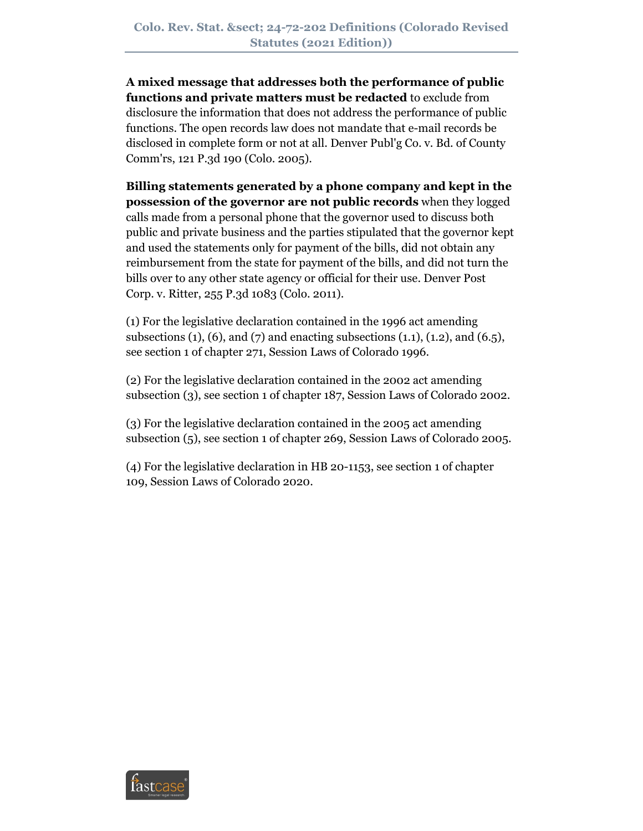**A mixed message that addresses both the performance of public functions and private matters must be redacted** to exclude from disclosure the information that does not address the performance of public functions. The open records law does not mandate that e-mail records be disclosed in complete form or not at all. Denver Publ'g Co. v. Bd. of County Comm'rs, 121 P.3d 190 (Colo. 2005).

**Billing statements generated by a phone company and kept in the possession of the governor are not public records** when they logged calls made from a personal phone that the governor used to discuss both public and private business and the parties stipulated that the governor kept and used the statements only for payment of the bills, did not obtain any reimbursement from the state for payment of the bills, and did not turn the bills over to any other state agency or official for their use. Denver Post Corp. v. Ritter, 255 P.3d 1083 (Colo. 2011).

(1) For the legislative declaration contained in the 1996 act amending subsections  $(1)$ ,  $(6)$ , and  $(7)$  and enacting subsections  $(1.1)$ ,  $(1.2)$ , and  $(6.5)$ , see section 1 of chapter 271, Session Laws of Colorado 1996.

(2) For the legislative declaration contained in the 2002 act amending subsection (3), see section 1 of chapter 187, Session Laws of Colorado 2002.

(3) For the legislative declaration contained in the 2005 act amending subsection (5), see section 1 of chapter 269, Session Laws of Colorado 2005.

(4) For the legislative declaration in HB 20-1153, see section 1 of chapter 109, Session Laws of Colorado 2020.

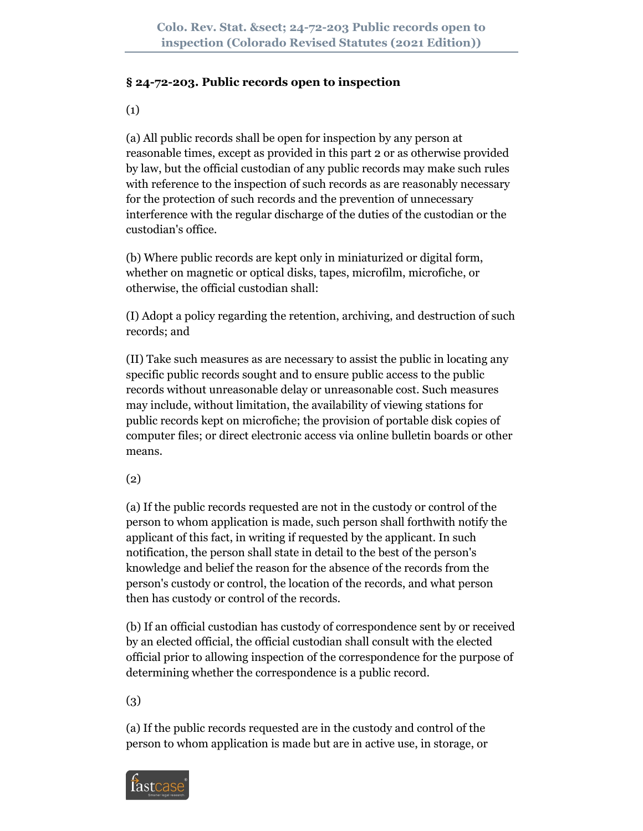### **§ 24-72-203. Public records open to inspection**

(1)

(a) All public records shall be open for inspection by any person at reasonable times, except as provided in this part 2 or as otherwise provided by law, but the official custodian of any public records may make such rules with reference to the inspection of such records as are reasonably necessary for the protection of such records and the prevention of unnecessary interference with the regular discharge of the duties of the custodian or the custodian's office.

(b) Where public records are kept only in miniaturized or digital form, whether on magnetic or optical disks, tapes, microfilm, microfiche, or otherwise, the official custodian shall:

(I) Adopt a policy regarding the retention, archiving, and destruction of such records; and

(II) Take such measures as are necessary to assist the public in locating any specific public records sought and to ensure public access to the public records without unreasonable delay or unreasonable cost. Such measures may include, without limitation, the availability of viewing stations for public records kept on microfiche; the provision of portable disk copies of computer files; or direct electronic access via online bulletin boards or other means.

(2)

(a) If the public records requested are not in the custody or control of the person to whom application is made, such person shall forthwith notify the applicant of this fact, in writing if requested by the applicant. In such notification, the person shall state in detail to the best of the person's knowledge and belief the reason for the absence of the records from the person's custody or control, the location of the records, and what person then has custody or control of the records.

(b) If an official custodian has custody of correspondence sent by or received by an elected official, the official custodian shall consult with the elected official prior to allowing inspection of the correspondence for the purpose of determining whether the correspondence is a public record.

(3)

(a) If the public records requested are in the custody and control of the person to whom application is made but are in active use, in storage, or

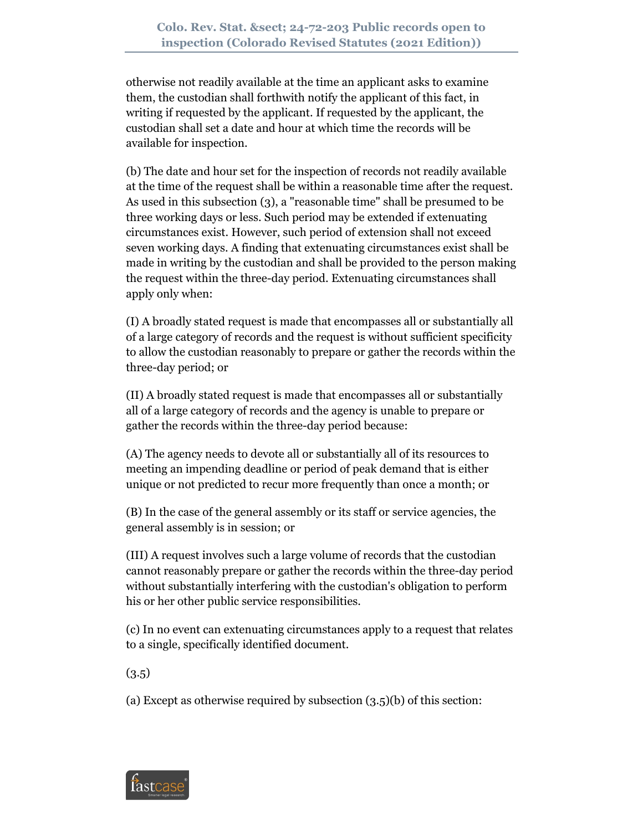otherwise not readily available at the time an applicant asks to examine them, the custodian shall forthwith notify the applicant of this fact, in writing if requested by the applicant. If requested by the applicant, the custodian shall set a date and hour at which time the records will be available for inspection.

(b) The date and hour set for the inspection of records not readily available at the time of the request shall be within a reasonable time after the request. As used in this subsection (3), a "reasonable time" shall be presumed to be three working days or less. Such period may be extended if extenuating circumstances exist. However, such period of extension shall not exceed seven working days. A finding that extenuating circumstances exist shall be made in writing by the custodian and shall be provided to the person making the request within the three-day period. Extenuating circumstances shall apply only when:

(I) A broadly stated request is made that encompasses all or substantially all of a large category of records and the request is without sufficient specificity to allow the custodian reasonably to prepare or gather the records within the three-day period; or

(II) A broadly stated request is made that encompasses all or substantially all of a large category of records and the agency is unable to prepare or gather the records within the three-day period because:

(A) The agency needs to devote all or substantially all of its resources to meeting an impending deadline or period of peak demand that is either unique or not predicted to recur more frequently than once a month; or

(B) In the case of the general assembly or its staff or service agencies, the general assembly is in session; or

(III) A request involves such a large volume of records that the custodian cannot reasonably prepare or gather the records within the three-day period without substantially interfering with the custodian's obligation to perform his or her other public service responsibilities.

(c) In no event can extenuating circumstances apply to a request that relates to a single, specifically identified document.

(3.5)

(a) Except as otherwise required by subsection (3.5)(b) of this section:

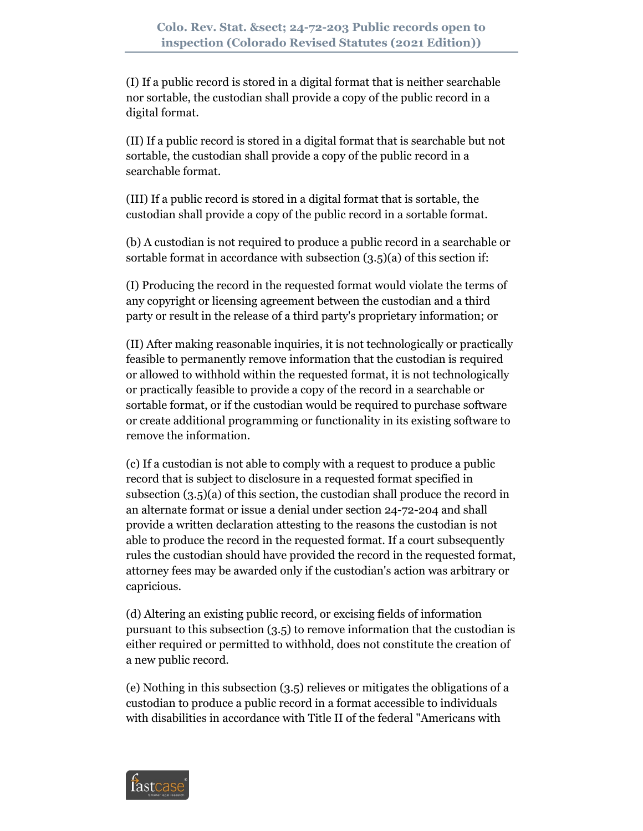(I) If a public record is stored in a digital format that is neither searchable nor sortable, the custodian shall provide a copy of the public record in a digital format.

(II) If a public record is stored in a digital format that is searchable but not sortable, the custodian shall provide a copy of the public record in a searchable format.

(III) If a public record is stored in a digital format that is sortable, the custodian shall provide a copy of the public record in a sortable format.

(b) A custodian is not required to produce a public record in a searchable or sortable format in accordance with subsection (3.5)(a) of this section if:

(I) Producing the record in the requested format would violate the terms of any copyright or licensing agreement between the custodian and a third party or result in the release of a third party's proprietary information; or

(II) After making reasonable inquiries, it is not technologically or practically feasible to permanently remove information that the custodian is required or allowed to withhold within the requested format, it is not technologically or practically feasible to provide a copy of the record in a searchable or sortable format, or if the custodian would be required to purchase software or create additional programming or functionality in its existing software to remove the information.

(c) If a custodian is not able to comply with a request to produce a public record that is subject to disclosure in a requested format specified in subsection (3.5)(a) of this section, the custodian shall produce the record in an alternate format or issue a denial under section 24-72-204 and shall provide a written declaration attesting to the reasons the custodian is not able to produce the record in the requested format. If a court subsequently rules the custodian should have provided the record in the requested format, attorney fees may be awarded only if the custodian's action was arbitrary or capricious.

(d) Altering an existing public record, or excising fields of information pursuant to this subsection (3.5) to remove information that the custodian is either required or permitted to withhold, does not constitute the creation of a new public record.

(e) Nothing in this subsection (3.5) relieves or mitigates the obligations of a custodian to produce a public record in a format accessible to individuals with disabilities in accordance with Title II of the federal "Americans with

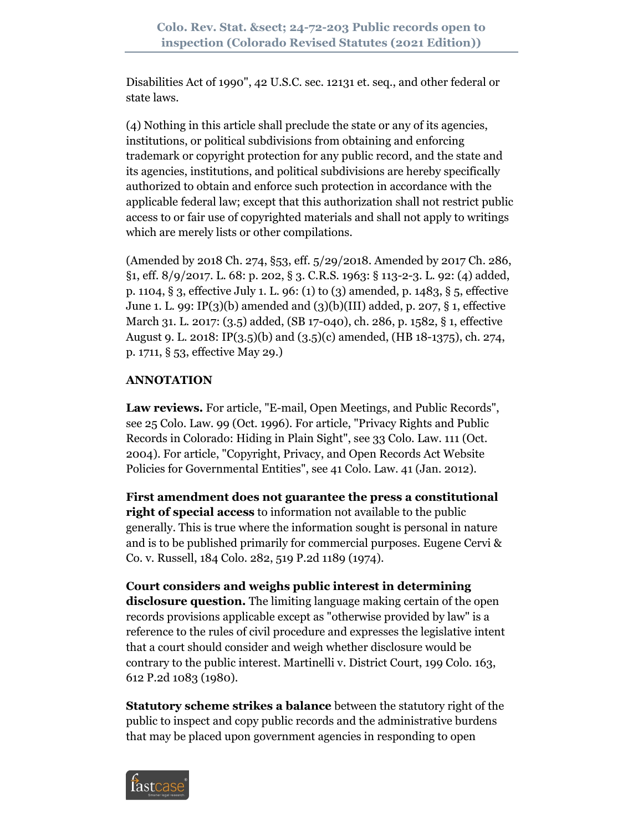Disabilities Act of 1990", 42 U.S.C. sec. 12131 et. seq., and other federal or state laws.

(4) Nothing in this article shall preclude the state or any of its agencies, institutions, or political subdivisions from obtaining and enforcing trademark or copyright protection for any public record, and the state and its agencies, institutions, and political subdivisions are hereby specifically authorized to obtain and enforce such protection in accordance with the applicable federal law; except that this authorization shall not restrict public access to or fair use of copyrighted materials and shall not apply to writings which are merely lists or other compilations.

(Amended by 2018 Ch. 274, §53, eff. 5/29/2018. Amended by 2017 Ch. 286, §1, eff. 8/9/2017. L. 68: p. 202, § 3. C.R.S. 1963: § 113-2-3. L. 92: (4) added, p. 1104, § 3, effective July 1. L. 96: (1) to (3) amended, p. 1483, § 5, effective June 1. L. 99: IP(3)(b) amended and (3)(b)(III) added, p. 207, § 1, effective March 31. L. 2017: (3.5) added, (SB 17-040), ch. 286, p. 1582, § 1, effective August 9. L. 2018: IP(3.5)(b) and (3.5)(c) amended, (HB 18-1375), ch. 274, p. 1711, § 53, effective May 29.)

## **ANNOTATION**

**Law reviews.** For article, "E-mail, Open Meetings, and Public Records", see 25 Colo. Law. 99 (Oct. 1996). For article, "Privacy Rights and Public Records in Colorado: Hiding in Plain Sight", see 33 Colo. Law. 111 (Oct. 2004). For article, "Copyright, Privacy, and Open Records Act Website Policies for Governmental Entities", see 41 Colo. Law. 41 (Jan. 2012).

**First amendment does not guarantee the press a constitutional right of special access** to information not available to the public generally. This is true where the information sought is personal in nature and is to be published primarily for commercial purposes. Eugene Cervi & Co. v. Russell, 184 Colo. 282, 519 P.2d 1189 (1974).

**Court considers and weighs public interest in determining disclosure question.** The limiting language making certain of the open records provisions applicable except as "otherwise provided by law" is a reference to the rules of civil procedure and expresses the legislative intent that a court should consider and weigh whether disclosure would be contrary to the public interest. Martinelli v. District Court, 199 Colo. 163, 612 P.2d 1083 (1980).

**Statutory scheme strikes a balance** between the statutory right of the public to inspect and copy public records and the administrative burdens that may be placed upon government agencies in responding to open

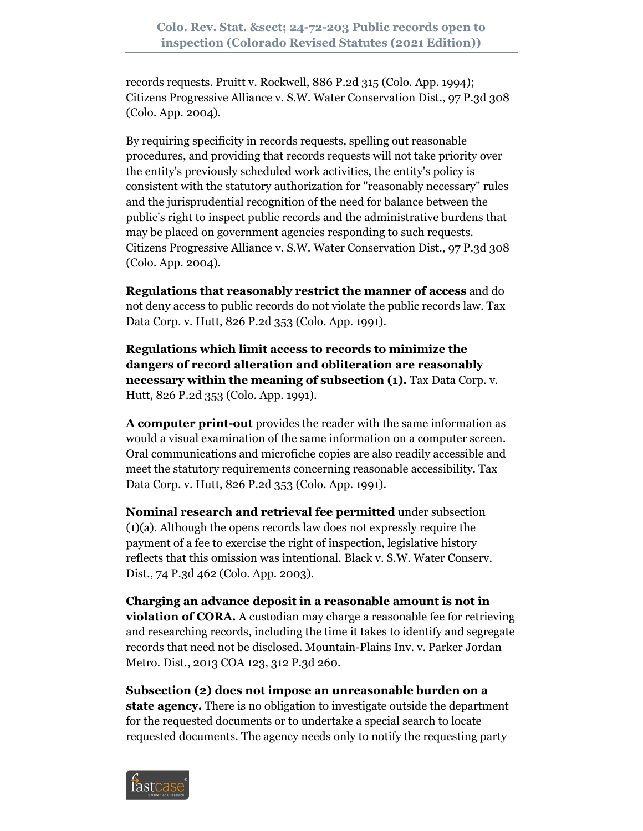records requests. Pruitt v. Rockwell, 886 P.2d 315 (Colo. App. 1994); Citizens Progressive Alliance v. S.W. Water Conservation Dist., 97 P.3d 308 (Colo. App. 2004).

By requiring specificity in records requests, spelling out reasonable procedures, and providing that records requests will not take priority over the entity's previously scheduled work activities, the entity's policy is consistent with the statutory authorization for "reasonably necessary" rules and the jurisprudential recognition of the need for balance between the public's right to inspect public records and the administrative burdens that may be placed on government agencies responding to such requests. Citizens Progressive Alliance v. S.W. Water Conservation Dist., 97 P.3d 308 (Colo. App. 2004).

**Regulations that reasonably restrict the manner of access** and do not deny access to public records do not violate the public records law. Tax Data Corp. v. Hutt, 826 P.2d 353 (Colo. App. 1991).

**Regulations which limit access to records to minimize the dangers of record alteration and obliteration are reasonably necessary within the meaning of subsection (1).** Tax Data Corp. v. Hutt, 826 P.2d 353 (Colo. App. 1991).

**A computer print-out** provides the reader with the same information as would a visual examination of the same information on a computer screen. Oral communications and microfiche copies are also readily accessible and meet the statutory requirements concerning reasonable accessibility. Tax Data Corp. v. Hutt, 826 P.2d 353 (Colo. App. 1991).

**Nominal research and retrieval fee permitted** under subsection (1)(a). Although the opens records law does not expressly require the payment of a fee to exercise the right of inspection, legislative history reflects that this omission was intentional. Black v. S.W. Water Conserv. Dist., 74 P.3d 462 (Colo. App. 2003).

**Charging an advance deposit in a reasonable amount is not in violation of CORA.** A custodian may charge a reasonable fee for retrieving and researching records, including the time it takes to identify and segregate records that need not be disclosed. Mountain-Plains Inv. v. Parker Jordan Metro. Dist., 2013 COA 123, 312 P.3d 260.

**Subsection (2) does not impose an unreasonable burden on a state agency.** There is no obligation to investigate outside the department for the requested documents or to undertake a special search to locate requested documents. The agency needs only to notify the requesting party

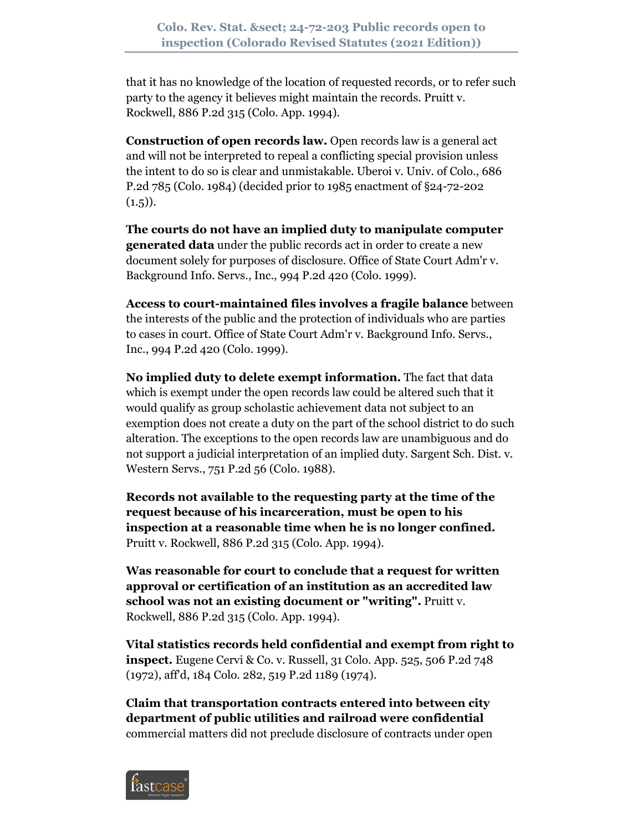that it has no knowledge of the location of requested records, or to refer such party to the agency it believes might maintain the records. Pruitt v. Rockwell, 886 P.2d 315 (Colo. App. 1994).

**Construction of open records law.** Open records law is a general act and will not be interpreted to repeal a conflicting special provision unless the intent to do so is clear and unmistakable. Uberoi v. Univ. of Colo., 686 P.2d 785 (Colo. 1984) (decided prior to 1985 enactment of §24-72-202  $(1.5)$ .

**The courts do not have an implied duty to manipulate computer generated data** under the public records act in order to create a new document solely for purposes of disclosure. Office of State Court Adm'r v. Background Info. Servs., Inc., 994 P.2d 420 (Colo. 1999).

**Access to court-maintained files involves a fragile balance** between the interests of the public and the protection of individuals who are parties to cases in court. Office of State Court Adm'r v. Background Info. Servs., Inc., 994 P.2d 420 (Colo. 1999).

**No implied duty to delete exempt information.** The fact that data which is exempt under the open records law could be altered such that it would qualify as group scholastic achievement data not subject to an exemption does not create a duty on the part of the school district to do such alteration. The exceptions to the open records law are unambiguous and do not support a judicial interpretation of an implied duty. Sargent Sch. Dist. v. Western Servs., 751 P.2d 56 (Colo. 1988).

**Records not available to the requesting party at the time of the request because of his incarceration, must be open to his inspection at a reasonable time when he is no longer confined.** Pruitt v. Rockwell, 886 P.2d 315 (Colo. App. 1994).

**Was reasonable for court to conclude that a request for written approval or certification of an institution as an accredited law school was not an existing document or "writing".** Pruitt v. Rockwell, 886 P.2d 315 (Colo. App. 1994).

**Vital statistics records held confidential and exempt from right to inspect.** Eugene Cervi & Co. v. Russell, 31 Colo. App. 525, 506 P.2d 748 (1972), aff'd, 184 Colo. 282, 519 P.2d 1189 (1974).

**Claim that transportation contracts entered into between city department of public utilities and railroad were confidential** commercial matters did not preclude disclosure of contracts under open

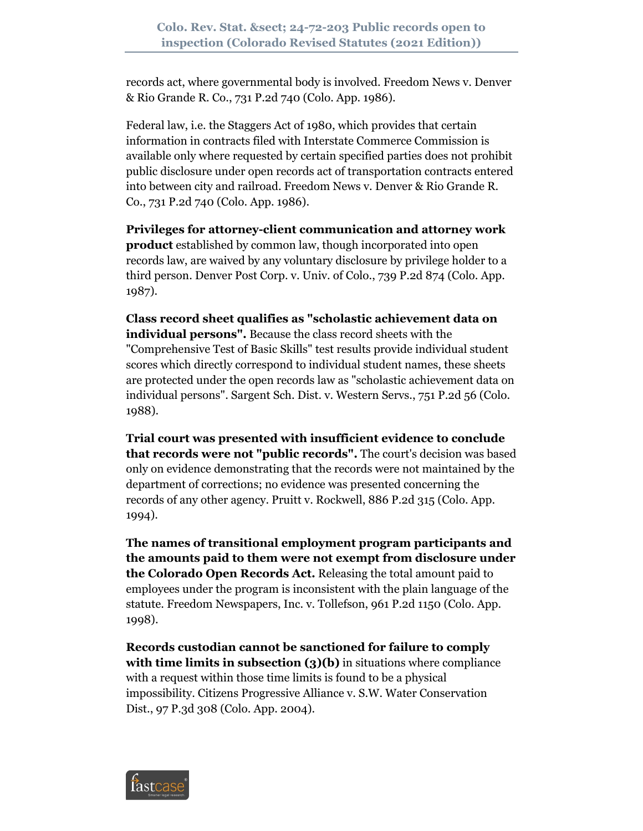records act, where governmental body is involved. Freedom News v. Denver & Rio Grande R. Co., 731 P.2d 740 (Colo. App. 1986).

Federal law, i.e. the Staggers Act of 1980, which provides that certain information in contracts filed with Interstate Commerce Commission is available only where requested by certain specified parties does not prohibit public disclosure under open records act of transportation contracts entered into between city and railroad. Freedom News v. Denver & Rio Grande R. Co., 731 P.2d 740 (Colo. App. 1986).

**Privileges for attorney-client communication and attorney work product** established by common law, though incorporated into open records law, are waived by any voluntary disclosure by privilege holder to a third person. Denver Post Corp. v. Univ. of Colo., 739 P.2d 874 (Colo. App. 1987).

**Class record sheet qualifies as "scholastic achievement data on individual persons".** Because the class record sheets with the "Comprehensive Test of Basic Skills" test results provide individual student scores which directly correspond to individual student names, these sheets are protected under the open records law as "scholastic achievement data on individual persons". Sargent Sch. Dist. v. Western Servs., 751 P.2d 56 (Colo. 1988).

**Trial court was presented with insufficient evidence to conclude that records were not "public records".** The court's decision was based only on evidence demonstrating that the records were not maintained by the department of corrections; no evidence was presented concerning the records of any other agency. Pruitt v. Rockwell, 886 P.2d 315 (Colo. App. 1994).

**The names of transitional employment program participants and the amounts paid to them were not exempt from disclosure under the Colorado Open Records Act.** Releasing the total amount paid to employees under the program is inconsistent with the plain language of the statute. Freedom Newspapers, Inc. v. Tollefson, 961 P.2d 1150 (Colo. App. 1998).

**Records custodian cannot be sanctioned for failure to comply with time limits in subsection (3)(b)** in situations where compliance with a request within those time limits is found to be a physical impossibility. Citizens Progressive Alliance v. S.W. Water Conservation Dist., 97 P.3d 308 (Colo. App. 2004).

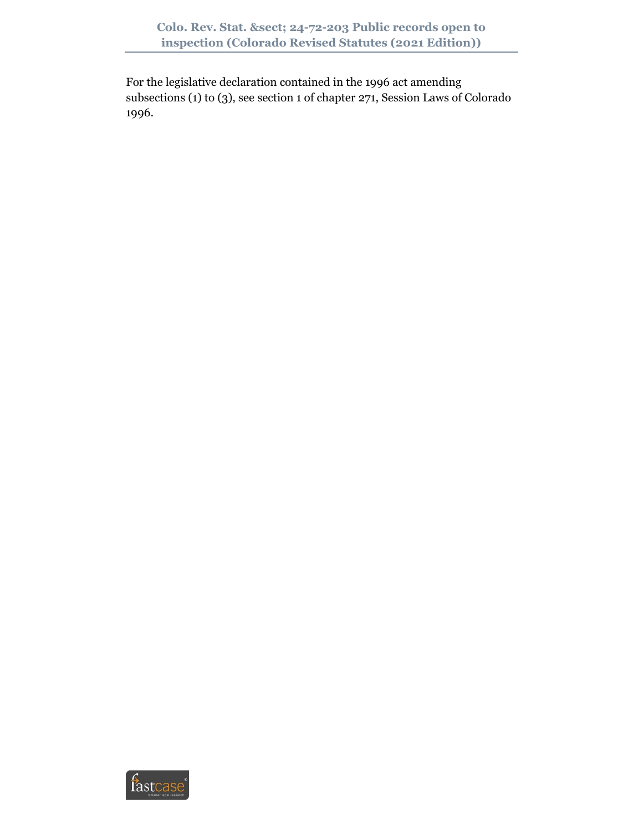For the legislative declaration contained in the 1996 act amending subsections (1) to (3), see section 1 of chapter 271, Session Laws of Colorado 1996.

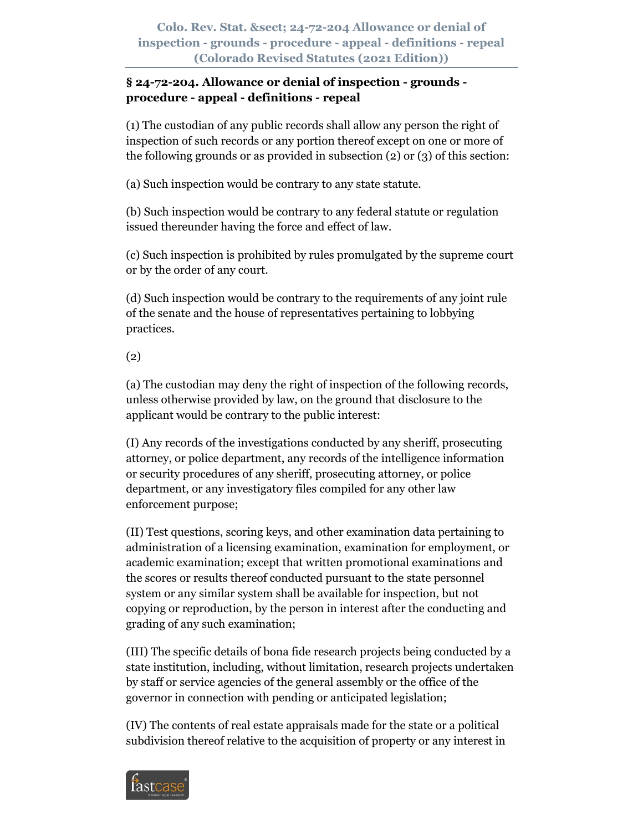# **§ 24-72-204. Allowance or denial of inspection - grounds procedure - appeal - definitions - repeal**

(1) The custodian of any public records shall allow any person the right of inspection of such records or any portion thereof except on one or more of the following grounds or as provided in subsection (2) or (3) of this section:

(a) Such inspection would be contrary to any state statute.

(b) Such inspection would be contrary to any federal statute or regulation issued thereunder having the force and effect of law.

(c) Such inspection is prohibited by rules promulgated by the supreme court or by the order of any court.

(d) Such inspection would be contrary to the requirements of any joint rule of the senate and the house of representatives pertaining to lobbying practices.

# (2)

(a) The custodian may deny the right of inspection of the following records, unless otherwise provided by law, on the ground that disclosure to the applicant would be contrary to the public interest:

(I) Any records of the investigations conducted by any sheriff, prosecuting attorney, or police department, any records of the intelligence information or security procedures of any sheriff, prosecuting attorney, or police department, or any investigatory files compiled for any other law enforcement purpose;

(II) Test questions, scoring keys, and other examination data pertaining to administration of a licensing examination, examination for employment, or academic examination; except that written promotional examinations and the scores or results thereof conducted pursuant to the state personnel system or any similar system shall be available for inspection, but not copying or reproduction, by the person in interest after the conducting and grading of any such examination;

(III) The specific details of bona fide research projects being conducted by a state institution, including, without limitation, research projects undertaken by staff or service agencies of the general assembly or the office of the governor in connection with pending or anticipated legislation;

(IV) The contents of real estate appraisals made for the state or a political subdivision thereof relative to the acquisition of property or any interest in

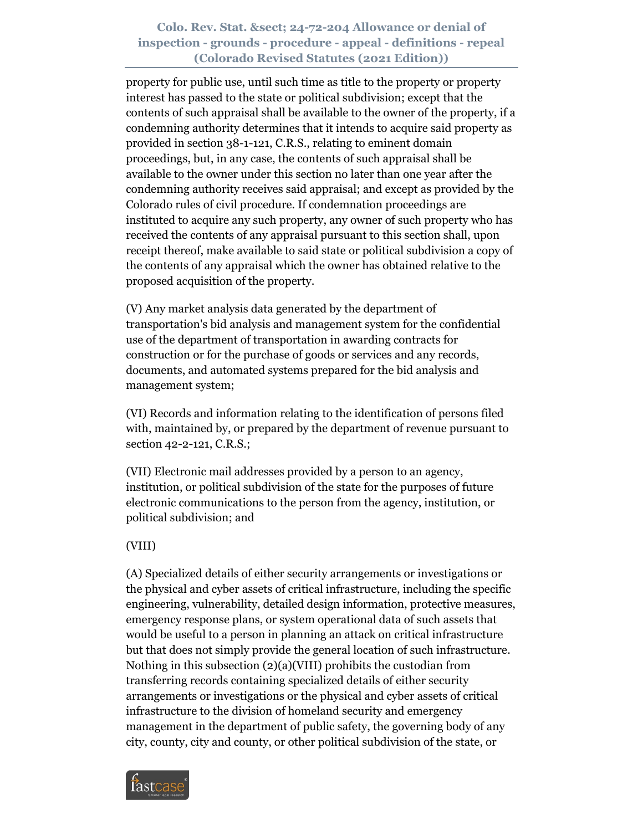property for public use, until such time as title to the property or property interest has passed to the state or political subdivision; except that the contents of such appraisal shall be available to the owner of the property, if a condemning authority determines that it intends to acquire said property as provided in section 38-1-121, C.R.S., relating to eminent domain proceedings, but, in any case, the contents of such appraisal shall be available to the owner under this section no later than one year after the condemning authority receives said appraisal; and except as provided by the Colorado rules of civil procedure. If condemnation proceedings are instituted to acquire any such property, any owner of such property who has received the contents of any appraisal pursuant to this section shall, upon receipt thereof, make available to said state or political subdivision a copy of the contents of any appraisal which the owner has obtained relative to the proposed acquisition of the property.

(V) Any market analysis data generated by the department of transportation's bid analysis and management system for the confidential use of the department of transportation in awarding contracts for construction or for the purchase of goods or services and any records, documents, and automated systems prepared for the bid analysis and management system;

(VI) Records and information relating to the identification of persons filed with, maintained by, or prepared by the department of revenue pursuant to section 42-2-121, C.R.S.;

(VII) Electronic mail addresses provided by a person to an agency, institution, or political subdivision of the state for the purposes of future electronic communications to the person from the agency, institution, or political subdivision; and

### (VIII)

(A) Specialized details of either security arrangements or investigations or the physical and cyber assets of critical infrastructure, including the specific engineering, vulnerability, detailed design information, protective measures, emergency response plans, or system operational data of such assets that would be useful to a person in planning an attack on critical infrastructure but that does not simply provide the general location of such infrastructure. Nothing in this subsection (2)(a)(VIII) prohibits the custodian from transferring records containing specialized details of either security arrangements or investigations or the physical and cyber assets of critical infrastructure to the division of homeland security and emergency management in the department of public safety, the governing body of any city, county, city and county, or other political subdivision of the state, or

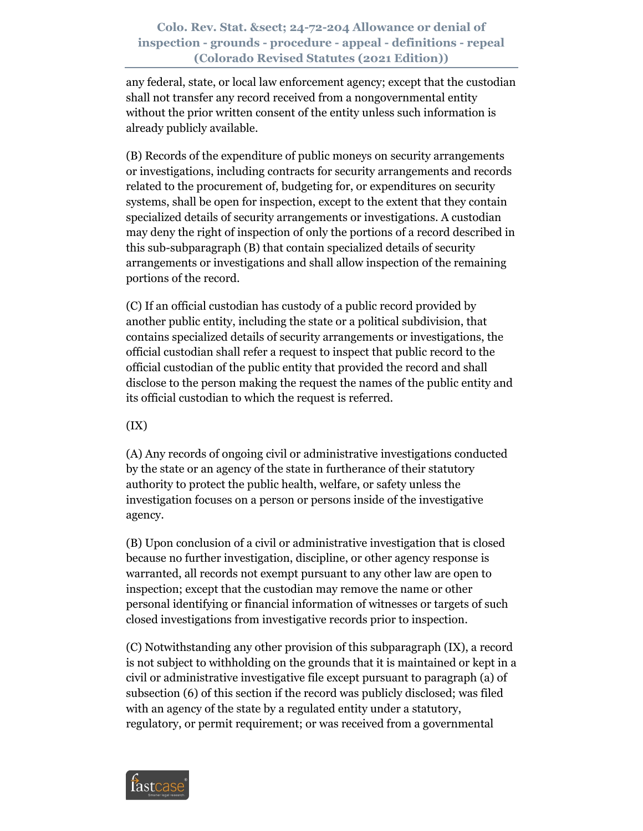any federal, state, or local law enforcement agency; except that the custodian shall not transfer any record received from a nongovernmental entity without the prior written consent of the entity unless such information is already publicly available.

(B) Records of the expenditure of public moneys on security arrangements or investigations, including contracts for security arrangements and records related to the procurement of, budgeting for, or expenditures on security systems, shall be open for inspection, except to the extent that they contain specialized details of security arrangements or investigations. A custodian may deny the right of inspection of only the portions of a record described in this sub-subparagraph (B) that contain specialized details of security arrangements or investigations and shall allow inspection of the remaining portions of the record.

(C) If an official custodian has custody of a public record provided by another public entity, including the state or a political subdivision, that contains specialized details of security arrangements or investigations, the official custodian shall refer a request to inspect that public record to the official custodian of the public entity that provided the record and shall disclose to the person making the request the names of the public entity and its official custodian to which the request is referred.

 $(IX)$ 

(A) Any records of ongoing civil or administrative investigations conducted by the state or an agency of the state in furtherance of their statutory authority to protect the public health, welfare, or safety unless the investigation focuses on a person or persons inside of the investigative agency.

(B) Upon conclusion of a civil or administrative investigation that is closed because no further investigation, discipline, or other agency response is warranted, all records not exempt pursuant to any other law are open to inspection; except that the custodian may remove the name or other personal identifying or financial information of witnesses or targets of such closed investigations from investigative records prior to inspection.

(C) Notwithstanding any other provision of this subparagraph (IX), a record is not subject to withholding on the grounds that it is maintained or kept in a civil or administrative investigative file except pursuant to paragraph (a) of subsection (6) of this section if the record was publicly disclosed; was filed with an agency of the state by a regulated entity under a statutory, regulatory, or permit requirement; or was received from a governmental

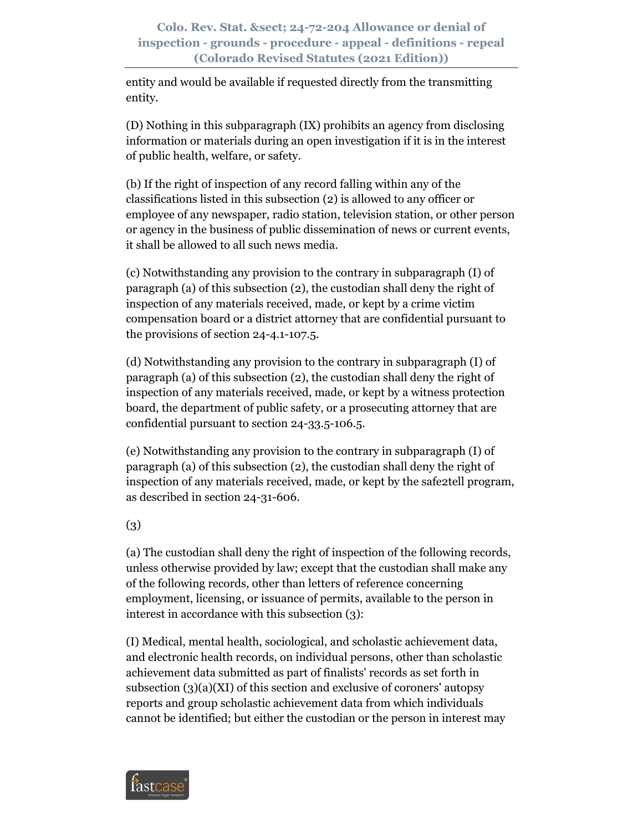entity and would be available if requested directly from the transmitting entity.

(D) Nothing in this subparagraph (IX) prohibits an agency from disclosing information or materials during an open investigation if it is in the interest of public health, welfare, or safety.

(b) If the right of inspection of any record falling within any of the classifications listed in this subsection (2) is allowed to any officer or employee of any newspaper, radio station, television station, or other person or agency in the business of public dissemination of news or current events, it shall be allowed to all such news media.

(c) Notwithstanding any provision to the contrary in subparagraph (I) of paragraph (a) of this subsection (2), the custodian shall deny the right of inspection of any materials received, made, or kept by a crime victim compensation board or a district attorney that are confidential pursuant to the provisions of section 24-4.1-107.5.

(d) Notwithstanding any provision to the contrary in subparagraph (I) of paragraph (a) of this subsection (2), the custodian shall deny the right of inspection of any materials received, made, or kept by a witness protection board, the department of public safety, or a prosecuting attorney that are confidential pursuant to section 24-33.5-106.5.

(e) Notwithstanding any provision to the contrary in subparagraph (I) of paragraph (a) of this subsection (2), the custodian shall deny the right of inspection of any materials received, made, or kept by the safe2tell program, as described in section 24-31-606.

(3)

(a) The custodian shall deny the right of inspection of the following records, unless otherwise provided by law; except that the custodian shall make any of the following records, other than letters of reference concerning employment, licensing, or issuance of permits, available to the person in interest in accordance with this subsection (3):

(I) Medical, mental health, sociological, and scholastic achievement data, and electronic health records, on individual persons, other than scholastic achievement data submitted as part of finalists' records as set forth in subsection (3)(a)(XI) of this section and exclusive of coroners' autopsy reports and group scholastic achievement data from which individuals cannot be identified; but either the custodian or the person in interest may

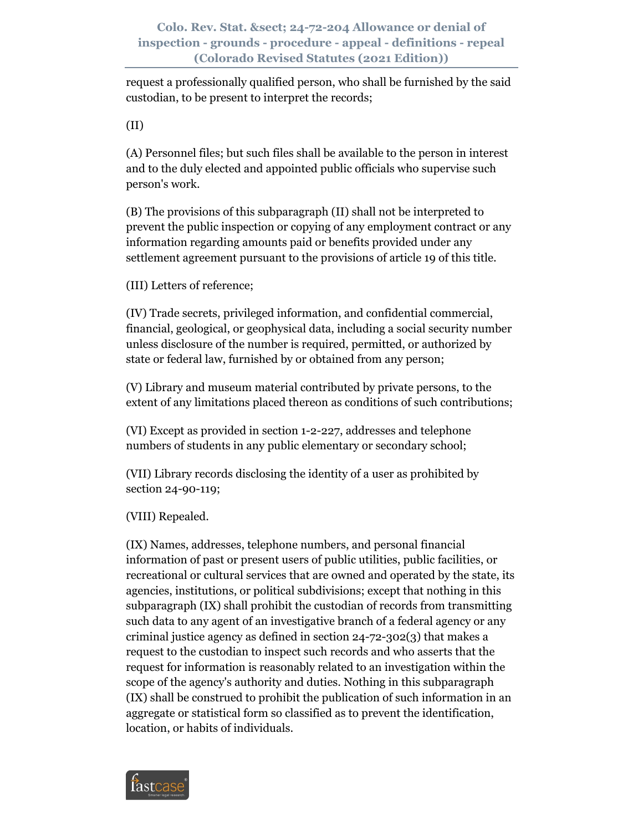request a professionally qualified person, who shall be furnished by the said custodian, to be present to interpret the records;

(II)

(A) Personnel files; but such files shall be available to the person in interest and to the duly elected and appointed public officials who supervise such person's work.

(B) The provisions of this subparagraph (II) shall not be interpreted to prevent the public inspection or copying of any employment contract or any information regarding amounts paid or benefits provided under any settlement agreement pursuant to the provisions of article 19 of this title.

(III) Letters of reference;

(IV) Trade secrets, privileged information, and confidential commercial, financial, geological, or geophysical data, including a social security number unless disclosure of the number is required, permitted, or authorized by state or federal law, furnished by or obtained from any person;

(V) Library and museum material contributed by private persons, to the extent of any limitations placed thereon as conditions of such contributions;

(VI) Except as provided in section 1-2-227, addresses and telephone numbers of students in any public elementary or secondary school;

(VII) Library records disclosing the identity of a user as prohibited by section 24-90-119;

(VIII) Repealed.

(IX) Names, addresses, telephone numbers, and personal financial information of past or present users of public utilities, public facilities, or recreational or cultural services that are owned and operated by the state, its agencies, institutions, or political subdivisions; except that nothing in this subparagraph (IX) shall prohibit the custodian of records from transmitting such data to any agent of an investigative branch of a federal agency or any criminal justice agency as defined in section 24-72-302(3) that makes a request to the custodian to inspect such records and who asserts that the request for information is reasonably related to an investigation within the scope of the agency's authority and duties. Nothing in this subparagraph (IX) shall be construed to prohibit the publication of such information in an aggregate or statistical form so classified as to prevent the identification, location, or habits of individuals.

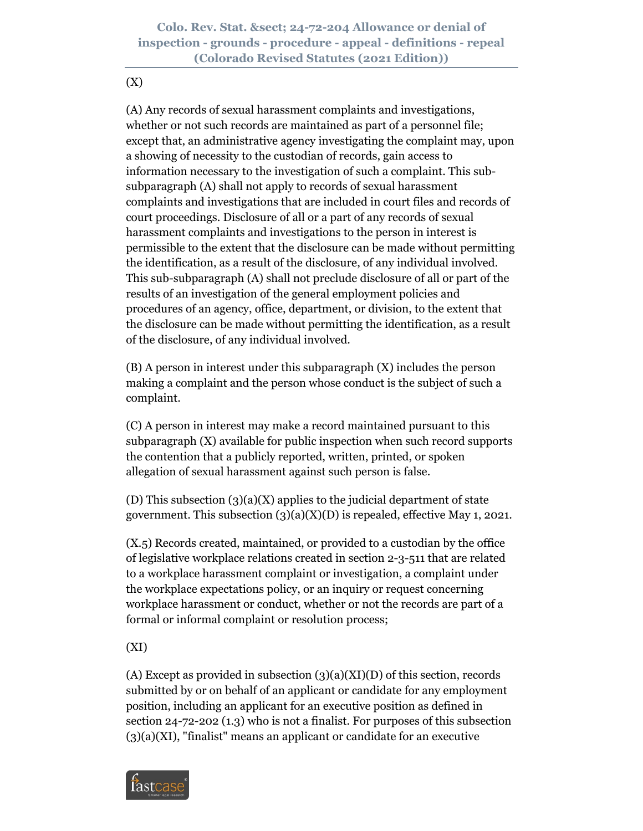(X)

(A) Any records of sexual harassment complaints and investigations, whether or not such records are maintained as part of a personnel file; except that, an administrative agency investigating the complaint may, upon a showing of necessity to the custodian of records, gain access to information necessary to the investigation of such a complaint. This subsubparagraph (A) shall not apply to records of sexual harassment complaints and investigations that are included in court files and records of court proceedings. Disclosure of all or a part of any records of sexual harassment complaints and investigations to the person in interest is permissible to the extent that the disclosure can be made without permitting the identification, as a result of the disclosure, of any individual involved. This sub-subparagraph (A) shall not preclude disclosure of all or part of the results of an investigation of the general employment policies and procedures of an agency, office, department, or division, to the extent that the disclosure can be made without permitting the identification, as a result of the disclosure, of any individual involved.

(B) A person in interest under this subparagraph (X) includes the person making a complaint and the person whose conduct is the subject of such a complaint.

(C) A person in interest may make a record maintained pursuant to this subparagraph (X) available for public inspection when such record supports the contention that a publicly reported, written, printed, or spoken allegation of sexual harassment against such person is false.

(D) This subsection  $(3)(a)(X)$  applies to the judicial department of state government. This subsection  $(3)(a)(X)(D)$  is repealed, effective May 1, 2021.

(X.5) Records created, maintained, or provided to a custodian by the office of legislative workplace relations created in section 2-3-511 that are related to a workplace harassment complaint or investigation, a complaint under the workplace expectations policy, or an inquiry or request concerning workplace harassment or conduct, whether or not the records are part of a formal or informal complaint or resolution process;

(XI)

(A) Except as provided in subsection  $(3)(a)(XI)(D)$  of this section, records submitted by or on behalf of an applicant or candidate for any employment position, including an applicant for an executive position as defined in section 24-72-202 (1.3) who is not a finalist. For purposes of this subsection  $(3)(a)(XI)$ , "finalist" means an applicant or candidate for an executive

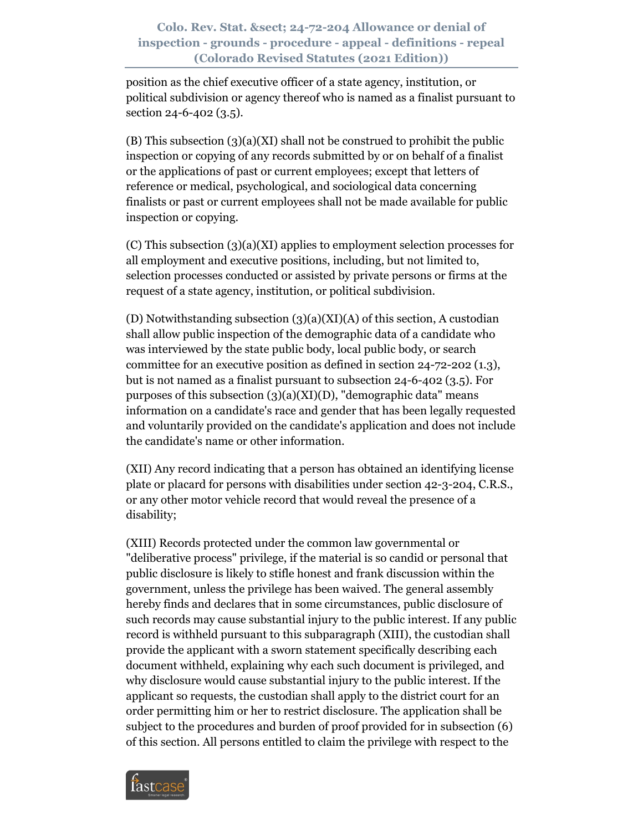position as the chief executive officer of a state agency, institution, or political subdivision or agency thereof who is named as a finalist pursuant to section 24-6-402 (3.5).

(B) This subsection (3)(a)(XI) shall not be construed to prohibit the public inspection or copying of any records submitted by or on behalf of a finalist or the applications of past or current employees; except that letters of reference or medical, psychological, and sociological data concerning finalists or past or current employees shall not be made available for public inspection or copying.

(C) This subsection (3)(a)(XI) applies to employment selection processes for all employment and executive positions, including, but not limited to, selection processes conducted or assisted by private persons or firms at the request of a state agency, institution, or political subdivision.

(D) Notwithstanding subsection  $(3)(a)(XI)(A)$  of this section, A custodian shall allow public inspection of the demographic data of a candidate who was interviewed by the state public body, local public body, or search committee for an executive position as defined in section 24-72-202 (1.3), but is not named as a finalist pursuant to subsection 24-6-402 (3.5). For purposes of this subsection  $(3)(a)(XI)(D)$ , "demographic data" means information on a candidate's race and gender that has been legally requested and voluntarily provided on the candidate's application and does not include the candidate's name or other information.

(XII) Any record indicating that a person has obtained an identifying license plate or placard for persons with disabilities under section 42-3-204, C.R.S., or any other motor vehicle record that would reveal the presence of a disability;

(XIII) Records protected under the common law governmental or "deliberative process" privilege, if the material is so candid or personal that public disclosure is likely to stifle honest and frank discussion within the government, unless the privilege has been waived. The general assembly hereby finds and declares that in some circumstances, public disclosure of such records may cause substantial injury to the public interest. If any public record is withheld pursuant to this subparagraph (XIII), the custodian shall provide the applicant with a sworn statement specifically describing each document withheld, explaining why each such document is privileged, and why disclosure would cause substantial injury to the public interest. If the applicant so requests, the custodian shall apply to the district court for an order permitting him or her to restrict disclosure. The application shall be subject to the procedures and burden of proof provided for in subsection (6) of this section. All persons entitled to claim the privilege with respect to the

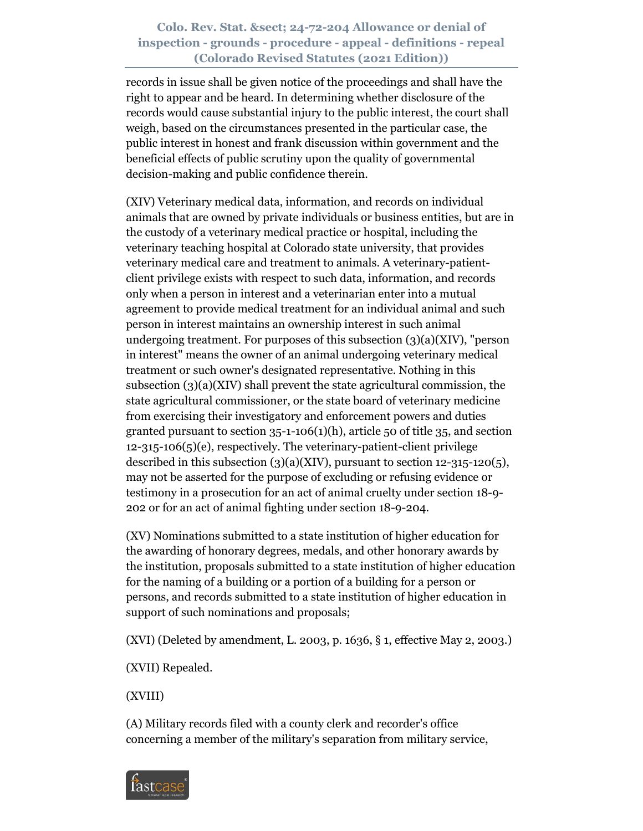records in issue shall be given notice of the proceedings and shall have the right to appear and be heard. In determining whether disclosure of the records would cause substantial injury to the public interest, the court shall weigh, based on the circumstances presented in the particular case, the public interest in honest and frank discussion within government and the beneficial effects of public scrutiny upon the quality of governmental decision-making and public confidence therein.

(XIV) Veterinary medical data, information, and records on individual animals that are owned by private individuals or business entities, but are in the custody of a veterinary medical practice or hospital, including the veterinary teaching hospital at Colorado state university, that provides veterinary medical care and treatment to animals. A veterinary-patientclient privilege exists with respect to such data, information, and records only when a person in interest and a veterinarian enter into a mutual agreement to provide medical treatment for an individual animal and such person in interest maintains an ownership interest in such animal undergoing treatment. For purposes of this subsection  $(3)(a)(XIV)$ , "person in interest" means the owner of an animal undergoing veterinary medical treatment or such owner's designated representative. Nothing in this subsection (3)(a)(XIV) shall prevent the state agricultural commission, the state agricultural commissioner, or the state board of veterinary medicine from exercising their investigatory and enforcement powers and duties granted pursuant to section 35-1-106(1)(h), article 50 of title 35, and section 12-315-106(5)(e), respectively. The veterinary-patient-client privilege described in this subsection  $(3)(a)(XIV)$ , pursuant to section 12-315-120 $(5)$ , may not be asserted for the purpose of excluding or refusing evidence or testimony in a prosecution for an act of animal cruelty under section 18-9- 202 or for an act of animal fighting under section 18-9-204.

(XV) Nominations submitted to a state institution of higher education for the awarding of honorary degrees, medals, and other honorary awards by the institution, proposals submitted to a state institution of higher education for the naming of a building or a portion of a building for a person or persons, and records submitted to a state institution of higher education in support of such nominations and proposals;

(XVI) (Deleted by amendment, L. 2003, p. 1636, § 1, effective May 2, 2003.)

(XVII) Repealed.

(XVIII)

(A) Military records filed with a county clerk and recorder's office concerning a member of the military's separation from military service,

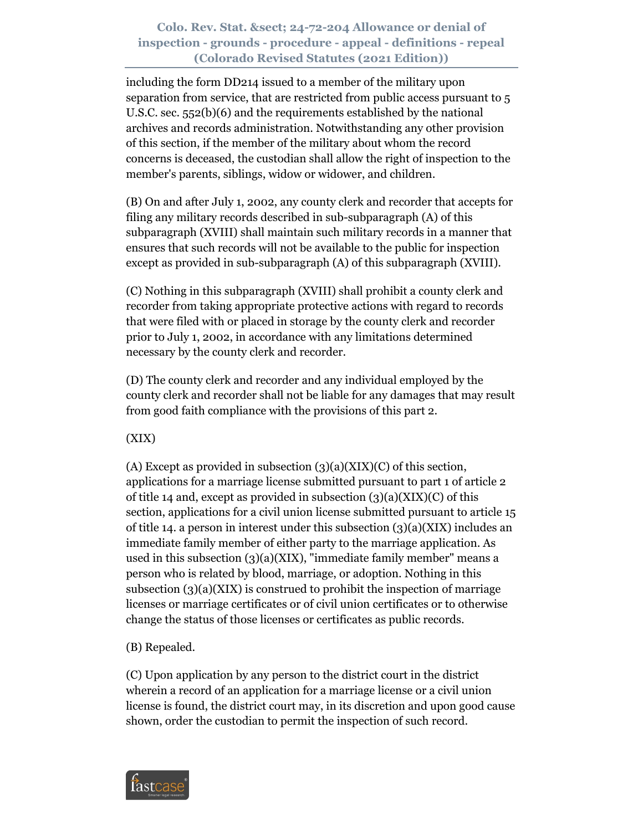including the form DD214 issued to a member of the military upon separation from service, that are restricted from public access pursuant to 5 U.S.C. sec. 552(b)(6) and the requirements established by the national archives and records administration. Notwithstanding any other provision of this section, if the member of the military about whom the record concerns is deceased, the custodian shall allow the right of inspection to the member's parents, siblings, widow or widower, and children.

(B) On and after July 1, 2002, any county clerk and recorder that accepts for filing any military records described in sub-subparagraph (A) of this subparagraph (XVIII) shall maintain such military records in a manner that ensures that such records will not be available to the public for inspection except as provided in sub-subparagraph (A) of this subparagraph (XVIII).

(C) Nothing in this subparagraph (XVIII) shall prohibit a county clerk and recorder from taking appropriate protective actions with regard to records that were filed with or placed in storage by the county clerk and recorder prior to July 1, 2002, in accordance with any limitations determined necessary by the county clerk and recorder.

(D) The county clerk and recorder and any individual employed by the county clerk and recorder shall not be liable for any damages that may result from good faith compliance with the provisions of this part 2.

(XIX)

(A) Except as provided in subsection  $(3)(a)(XIX)(C)$  of this section, applications for a marriage license submitted pursuant to part 1 of article 2 of title 14 and, except as provided in subsection  $(3)(a)(XIX)(C)$  of this section, applications for a civil union license submitted pursuant to article 15 of title 14. a person in interest under this subsection (3)(a)(XIX) includes an immediate family member of either party to the marriage application. As used in this subsection  $(3)(a)(XIX)$ , "immediate family member" means a person who is related by blood, marriage, or adoption. Nothing in this subsection  $(3)(a)(XIX)$  is construed to prohibit the inspection of marriage licenses or marriage certificates or of civil union certificates or to otherwise change the status of those licenses or certificates as public records.

(B) Repealed.

(C) Upon application by any person to the district court in the district wherein a record of an application for a marriage license or a civil union license is found, the district court may, in its discretion and upon good cause shown, order the custodian to permit the inspection of such record.

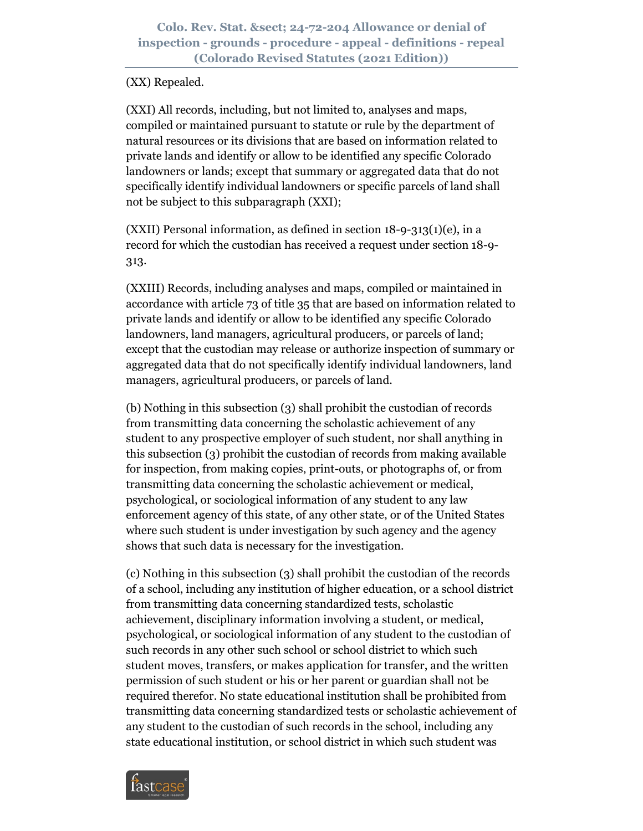#### (XX) Repealed.

(XXI) All records, including, but not limited to, analyses and maps, compiled or maintained pursuant to statute or rule by the department of natural resources or its divisions that are based on information related to private lands and identify or allow to be identified any specific Colorado landowners or lands; except that summary or aggregated data that do not specifically identify individual landowners or specific parcels of land shall not be subject to this subparagraph (XXI);

(XXII) Personal information, as defined in section 18-9-313(1)(e), in a record for which the custodian has received a request under section 18-9- 313.

(XXIII) Records, including analyses and maps, compiled or maintained in accordance with article 73 of title 35 that are based on information related to private lands and identify or allow to be identified any specific Colorado landowners, land managers, agricultural producers, or parcels of land; except that the custodian may release or authorize inspection of summary or aggregated data that do not specifically identify individual landowners, land managers, agricultural producers, or parcels of land.

(b) Nothing in this subsection (3) shall prohibit the custodian of records from transmitting data concerning the scholastic achievement of any student to any prospective employer of such student, nor shall anything in this subsection (3) prohibit the custodian of records from making available for inspection, from making copies, print-outs, or photographs of, or from transmitting data concerning the scholastic achievement or medical, psychological, or sociological information of any student to any law enforcement agency of this state, of any other state, or of the United States where such student is under investigation by such agency and the agency shows that such data is necessary for the investigation.

(c) Nothing in this subsection (3) shall prohibit the custodian of the records of a school, including any institution of higher education, or a school district from transmitting data concerning standardized tests, scholastic achievement, disciplinary information involving a student, or medical, psychological, or sociological information of any student to the custodian of such records in any other such school or school district to which such student moves, transfers, or makes application for transfer, and the written permission of such student or his or her parent or guardian shall not be required therefor. No state educational institution shall be prohibited from transmitting data concerning standardized tests or scholastic achievement of any student to the custodian of such records in the school, including any state educational institution, or school district in which such student was

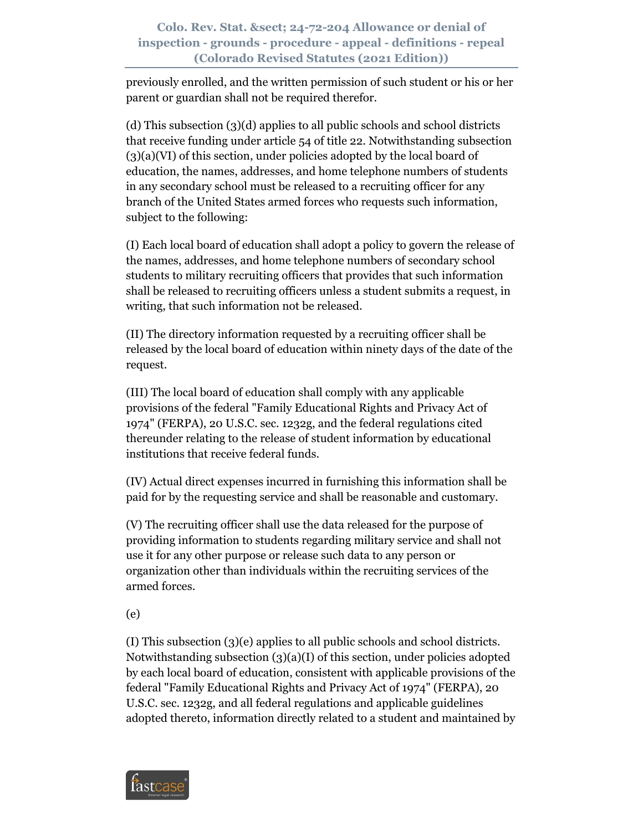previously enrolled, and the written permission of such student or his or her parent or guardian shall not be required therefor.

(d) This subsection (3)(d) applies to all public schools and school districts that receive funding under article 54 of title 22. Notwithstanding subsection (3)(a)(VI) of this section, under policies adopted by the local board of education, the names, addresses, and home telephone numbers of students in any secondary school must be released to a recruiting officer for any branch of the United States armed forces who requests such information, subject to the following:

(I) Each local board of education shall adopt a policy to govern the release of the names, addresses, and home telephone numbers of secondary school students to military recruiting officers that provides that such information shall be released to recruiting officers unless a student submits a request, in writing, that such information not be released.

(II) The directory information requested by a recruiting officer shall be released by the local board of education within ninety days of the date of the request.

(III) The local board of education shall comply with any applicable provisions of the federal "Family Educational Rights and Privacy Act of 1974" (FERPA), 20 U.S.C. sec. 1232g, and the federal regulations cited thereunder relating to the release of student information by educational institutions that receive federal funds.

(IV) Actual direct expenses incurred in furnishing this information shall be paid for by the requesting service and shall be reasonable and customary.

(V) The recruiting officer shall use the data released for the purpose of providing information to students regarding military service and shall not use it for any other purpose or release such data to any person or organization other than individuals within the recruiting services of the armed forces.

(e)

(I) This subsection (3)(e) applies to all public schools and school districts. Notwithstanding subsection (3)(a)(I) of this section, under policies adopted by each local board of education, consistent with applicable provisions of the federal "Family Educational Rights and Privacy Act of 1974" (FERPA), 20 U.S.C. sec. 1232g, and all federal regulations and applicable guidelines adopted thereto, information directly related to a student and maintained by

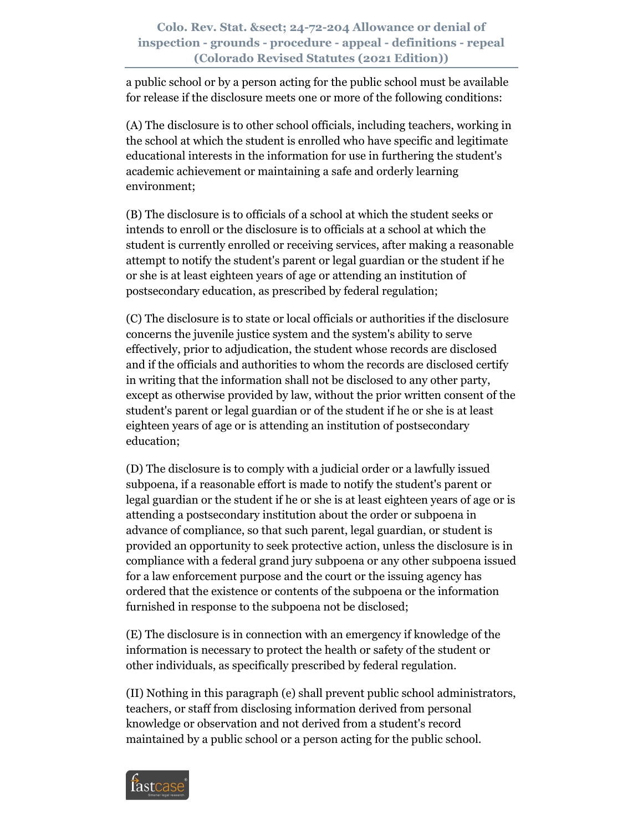a public school or by a person acting for the public school must be available for release if the disclosure meets one or more of the following conditions:

(A) The disclosure is to other school officials, including teachers, working in the school at which the student is enrolled who have specific and legitimate educational interests in the information for use in furthering the student's academic achievement or maintaining a safe and orderly learning environment;

(B) The disclosure is to officials of a school at which the student seeks or intends to enroll or the disclosure is to officials at a school at which the student is currently enrolled or receiving services, after making a reasonable attempt to notify the student's parent or legal guardian or the student if he or she is at least eighteen years of age or attending an institution of postsecondary education, as prescribed by federal regulation;

(C) The disclosure is to state or local officials or authorities if the disclosure concerns the juvenile justice system and the system's ability to serve effectively, prior to adjudication, the student whose records are disclosed and if the officials and authorities to whom the records are disclosed certify in writing that the information shall not be disclosed to any other party, except as otherwise provided by law, without the prior written consent of the student's parent or legal guardian or of the student if he or she is at least eighteen years of age or is attending an institution of postsecondary education;

(D) The disclosure is to comply with a judicial order or a lawfully issued subpoena, if a reasonable effort is made to notify the student's parent or legal guardian or the student if he or she is at least eighteen years of age or is attending a postsecondary institution about the order or subpoena in advance of compliance, so that such parent, legal guardian, or student is provided an opportunity to seek protective action, unless the disclosure is in compliance with a federal grand jury subpoena or any other subpoena issued for a law enforcement purpose and the court or the issuing agency has ordered that the existence or contents of the subpoena or the information furnished in response to the subpoena not be disclosed;

(E) The disclosure is in connection with an emergency if knowledge of the information is necessary to protect the health or safety of the student or other individuals, as specifically prescribed by federal regulation.

(II) Nothing in this paragraph (e) shall prevent public school administrators, teachers, or staff from disclosing information derived from personal knowledge or observation and not derived from a student's record maintained by a public school or a person acting for the public school.

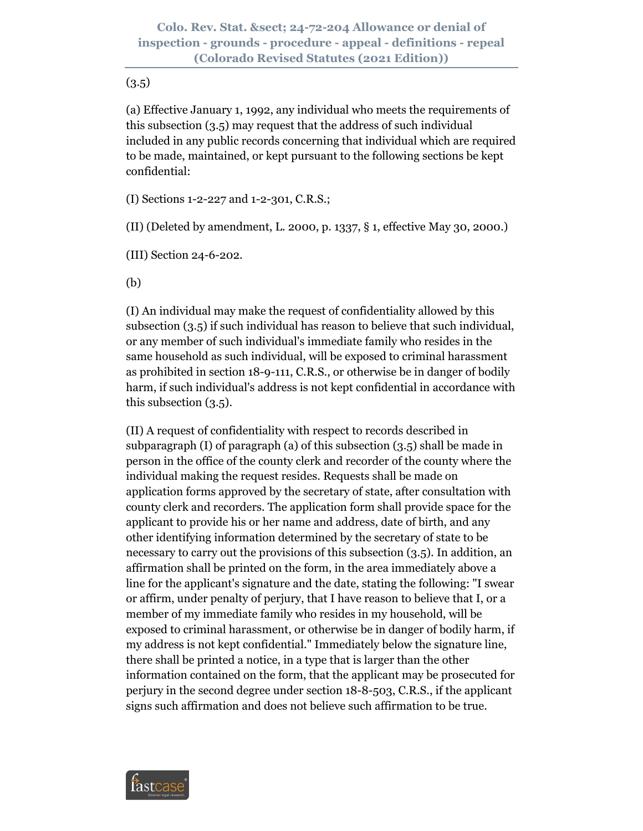#### $(3.5)$

(a) Effective January 1, 1992, any individual who meets the requirements of this subsection (3.5) may request that the address of such individual included in any public records concerning that individual which are required to be made, maintained, or kept pursuant to the following sections be kept confidential:

(I) Sections 1-2-227 and 1-2-301, C.R.S.;

(II) (Deleted by amendment, L. 2000, p. 1337, § 1, effective May 30, 2000.)

(III) Section 24-6-202.

(b)

(I) An individual may make the request of confidentiality allowed by this subsection (3.5) if such individual has reason to believe that such individual, or any member of such individual's immediate family who resides in the same household as such individual, will be exposed to criminal harassment as prohibited in section 18-9-111, C.R.S., or otherwise be in danger of bodily harm, if such individual's address is not kept confidential in accordance with this subsection (3.5).

(II) A request of confidentiality with respect to records described in subparagraph (I) of paragraph (a) of this subsection (3.5) shall be made in person in the office of the county clerk and recorder of the county where the individual making the request resides. Requests shall be made on application forms approved by the secretary of state, after consultation with county clerk and recorders. The application form shall provide space for the applicant to provide his or her name and address, date of birth, and any other identifying information determined by the secretary of state to be necessary to carry out the provisions of this subsection (3.5). In addition, an affirmation shall be printed on the form, in the area immediately above a line for the applicant's signature and the date, stating the following: "I swear or affirm, under penalty of perjury, that I have reason to believe that I, or a member of my immediate family who resides in my household, will be exposed to criminal harassment, or otherwise be in danger of bodily harm, if my address is not kept confidential." Immediately below the signature line, there shall be printed a notice, in a type that is larger than the other information contained on the form, that the applicant may be prosecuted for perjury in the second degree under section 18-8-503, C.R.S., if the applicant signs such affirmation and does not believe such affirmation to be true.

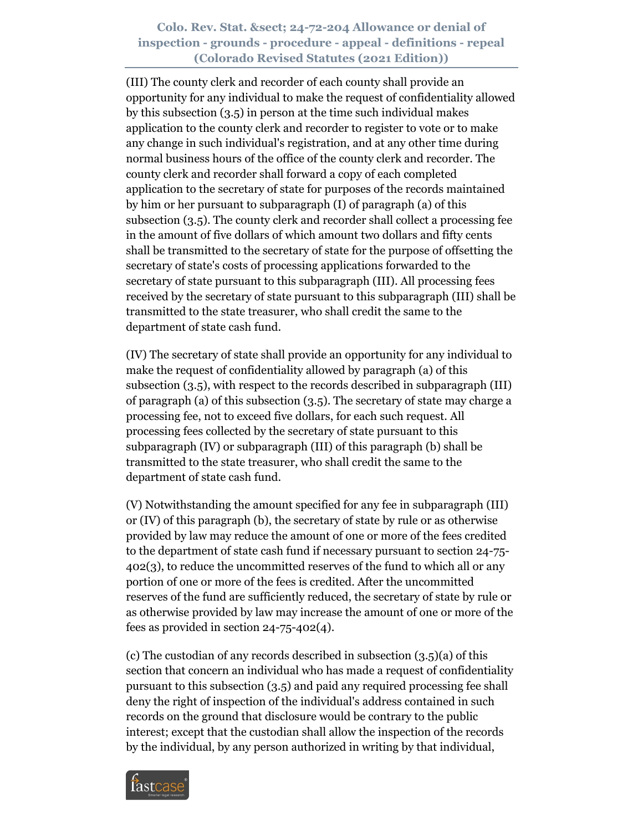(III) The county clerk and recorder of each county shall provide an opportunity for any individual to make the request of confidentiality allowed by this subsection (3.5) in person at the time such individual makes application to the county clerk and recorder to register to vote or to make any change in such individual's registration, and at any other time during normal business hours of the office of the county clerk and recorder. The county clerk and recorder shall forward a copy of each completed application to the secretary of state for purposes of the records maintained by him or her pursuant to subparagraph (I) of paragraph (a) of this subsection (3.5). The county clerk and recorder shall collect a processing fee in the amount of five dollars of which amount two dollars and fifty cents shall be transmitted to the secretary of state for the purpose of offsetting the secretary of state's costs of processing applications forwarded to the secretary of state pursuant to this subparagraph (III). All processing fees received by the secretary of state pursuant to this subparagraph (III) shall be transmitted to the state treasurer, who shall credit the same to the department of state cash fund.

(IV) The secretary of state shall provide an opportunity for any individual to make the request of confidentiality allowed by paragraph (a) of this subsection (3.5), with respect to the records described in subparagraph (III) of paragraph (a) of this subsection (3.5). The secretary of state may charge a processing fee, not to exceed five dollars, for each such request. All processing fees collected by the secretary of state pursuant to this subparagraph (IV) or subparagraph (III) of this paragraph (b) shall be transmitted to the state treasurer, who shall credit the same to the department of state cash fund.

(V) Notwithstanding the amount specified for any fee in subparagraph (III) or (IV) of this paragraph (b), the secretary of state by rule or as otherwise provided by law may reduce the amount of one or more of the fees credited to the department of state cash fund if necessary pursuant to section 24-75- 402(3), to reduce the uncommitted reserves of the fund to which all or any portion of one or more of the fees is credited. After the uncommitted reserves of the fund are sufficiently reduced, the secretary of state by rule or as otherwise provided by law may increase the amount of one or more of the fees as provided in section 24-75-402(4).

(c) The custodian of any records described in subsection (3.5)(a) of this section that concern an individual who has made a request of confidentiality pursuant to this subsection (3.5) and paid any required processing fee shall deny the right of inspection of the individual's address contained in such records on the ground that disclosure would be contrary to the public interest; except that the custodian shall allow the inspection of the records by the individual, by any person authorized in writing by that individual,

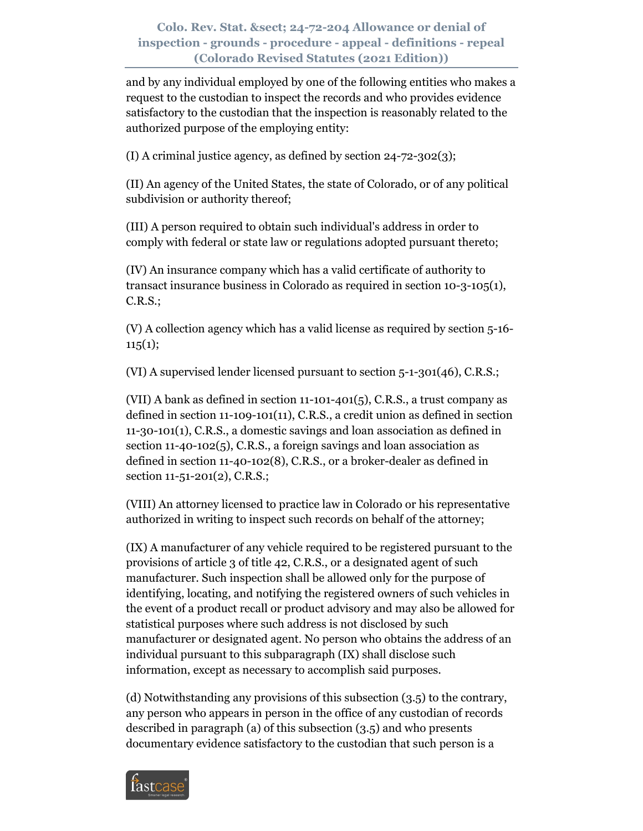and by any individual employed by one of the following entities who makes a request to the custodian to inspect the records and who provides evidence satisfactory to the custodian that the inspection is reasonably related to the authorized purpose of the employing entity:

(I) A criminal justice agency, as defined by section 24-72-302(3);

(II) An agency of the United States, the state of Colorado, or of any political subdivision or authority thereof;

(III) A person required to obtain such individual's address in order to comply with federal or state law or regulations adopted pursuant thereto;

(IV) An insurance company which has a valid certificate of authority to transact insurance business in Colorado as required in section 10-3-105(1), C.R.S.;

(V) A collection agency which has a valid license as required by section 5-16-  $115(1);$ 

(VI) A supervised lender licensed pursuant to section 5-1-301(46), C.R.S.;

(VII) A bank as defined in section 11-101-401(5), C.R.S., a trust company as defined in section 11-109-101(11), C.R.S., a credit union as defined in section 11-30-101(1), C.R.S., a domestic savings and loan association as defined in section 11-40-102(5), C.R.S., a foreign savings and loan association as defined in section 11-40-102(8), C.R.S., or a broker-dealer as defined in section 11-51-201(2), C.R.S.;

(VIII) An attorney licensed to practice law in Colorado or his representative authorized in writing to inspect such records on behalf of the attorney;

(IX) A manufacturer of any vehicle required to be registered pursuant to the provisions of article 3 of title 42, C.R.S., or a designated agent of such manufacturer. Such inspection shall be allowed only for the purpose of identifying, locating, and notifying the registered owners of such vehicles in the event of a product recall or product advisory and may also be allowed for statistical purposes where such address is not disclosed by such manufacturer or designated agent. No person who obtains the address of an individual pursuant to this subparagraph (IX) shall disclose such information, except as necessary to accomplish said purposes.

(d) Notwithstanding any provisions of this subsection (3.5) to the contrary, any person who appears in person in the office of any custodian of records described in paragraph (a) of this subsection (3.5) and who presents documentary evidence satisfactory to the custodian that such person is a

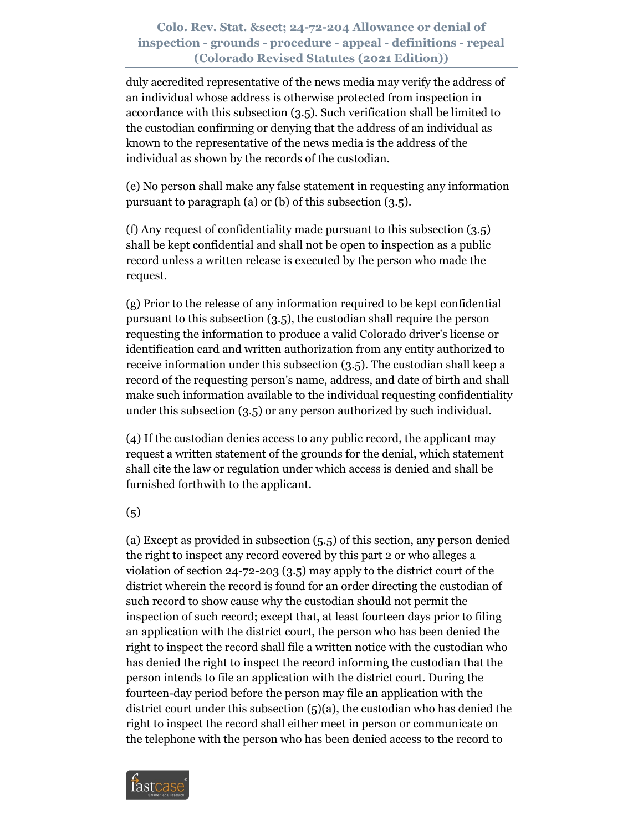duly accredited representative of the news media may verify the address of an individual whose address is otherwise protected from inspection in accordance with this subsection (3.5). Such verification shall be limited to the custodian confirming or denying that the address of an individual as known to the representative of the news media is the address of the individual as shown by the records of the custodian.

(e) No person shall make any false statement in requesting any information pursuant to paragraph (a) or (b) of this subsection (3.5).

(f) Any request of confidentiality made pursuant to this subsection (3.5) shall be kept confidential and shall not be open to inspection as a public record unless a written release is executed by the person who made the request.

(g) Prior to the release of any information required to be kept confidential pursuant to this subsection (3.5), the custodian shall require the person requesting the information to produce a valid Colorado driver's license or identification card and written authorization from any entity authorized to receive information under this subsection (3.5). The custodian shall keep a record of the requesting person's name, address, and date of birth and shall make such information available to the individual requesting confidentiality under this subsection (3.5) or any person authorized by such individual.

(4) If the custodian denies access to any public record, the applicant may request a written statement of the grounds for the denial, which statement shall cite the law or regulation under which access is denied and shall be furnished forthwith to the applicant.

(5)

(a) Except as provided in subsection (5.5) of this section, any person denied the right to inspect any record covered by this part 2 or who alleges a violation of section 24-72-203 (3.5) may apply to the district court of the district wherein the record is found for an order directing the custodian of such record to show cause why the custodian should not permit the inspection of such record; except that, at least fourteen days prior to filing an application with the district court, the person who has been denied the right to inspect the record shall file a written notice with the custodian who has denied the right to inspect the record informing the custodian that the person intends to file an application with the district court. During the fourteen-day period before the person may file an application with the district court under this subsection (5)(a), the custodian who has denied the right to inspect the record shall either meet in person or communicate on the telephone with the person who has been denied access to the record to

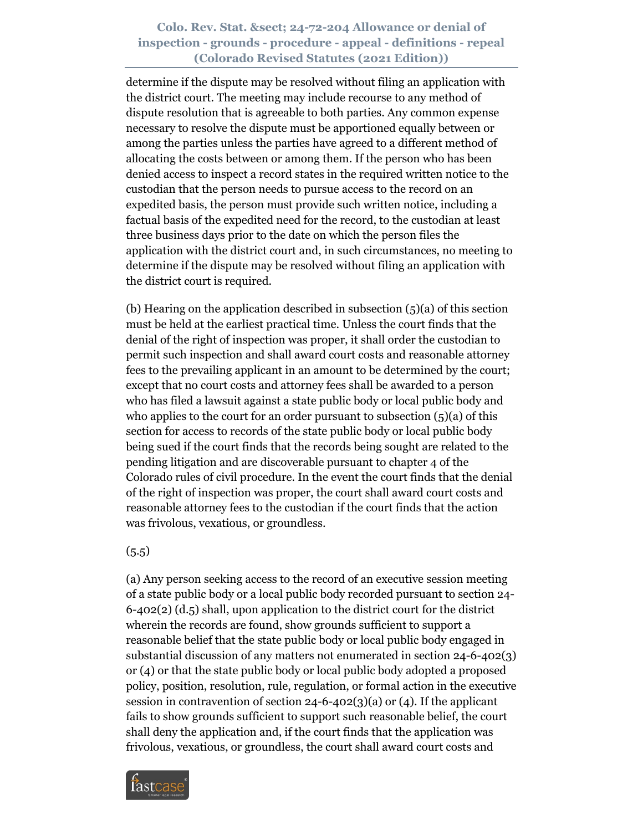determine if the dispute may be resolved without filing an application with the district court. The meeting may include recourse to any method of dispute resolution that is agreeable to both parties. Any common expense necessary to resolve the dispute must be apportioned equally between or among the parties unless the parties have agreed to a different method of allocating the costs between or among them. If the person who has been denied access to inspect a record states in the required written notice to the custodian that the person needs to pursue access to the record on an expedited basis, the person must provide such written notice, including a factual basis of the expedited need for the record, to the custodian at least three business days prior to the date on which the person files the application with the district court and, in such circumstances, no meeting to determine if the dispute may be resolved without filing an application with the district court is required.

(b) Hearing on the application described in subsection  $(5)(a)$  of this section must be held at the earliest practical time. Unless the court finds that the denial of the right of inspection was proper, it shall order the custodian to permit such inspection and shall award court costs and reasonable attorney fees to the prevailing applicant in an amount to be determined by the court; except that no court costs and attorney fees shall be awarded to a person who has filed a lawsuit against a state public body or local public body and who applies to the court for an order pursuant to subsection  $(5)(a)$  of this section for access to records of the state public body or local public body being sued if the court finds that the records being sought are related to the pending litigation and are discoverable pursuant to chapter 4 of the Colorado rules of civil procedure. In the event the court finds that the denial of the right of inspection was proper, the court shall award court costs and reasonable attorney fees to the custodian if the court finds that the action was frivolous, vexatious, or groundless.

#### $(5.5)$

(a) Any person seeking access to the record of an executive session meeting of a state public body or a local public body recorded pursuant to section 24- 6-402(2) (d.5) shall, upon application to the district court for the district wherein the records are found, show grounds sufficient to support a reasonable belief that the state public body or local public body engaged in substantial discussion of any matters not enumerated in section 24-6-402(3) or (4) or that the state public body or local public body adopted a proposed policy, position, resolution, rule, regulation, or formal action in the executive session in contravention of section  $24-6-402(3)(a)$  or (4). If the applicant fails to show grounds sufficient to support such reasonable belief, the court shall deny the application and, if the court finds that the application was frivolous, vexatious, or groundless, the court shall award court costs and

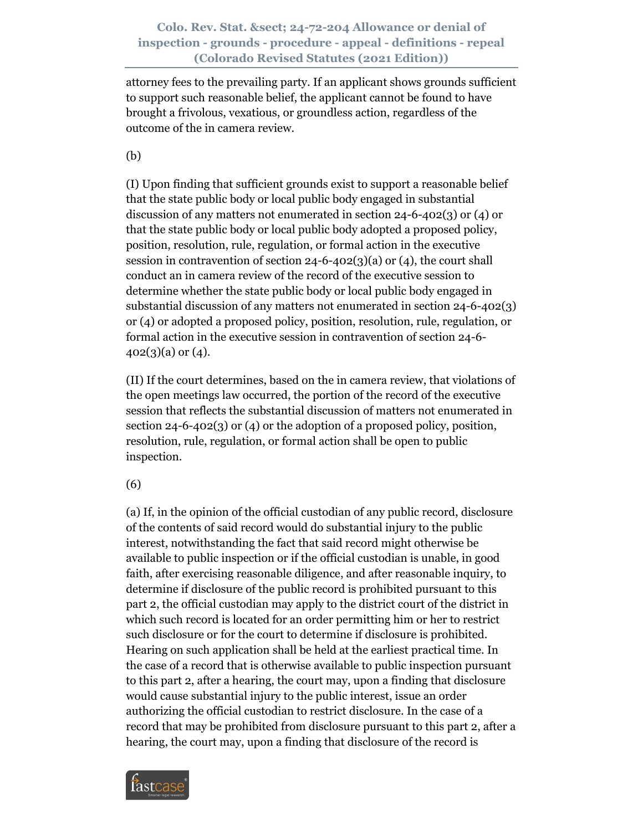attorney fees to the prevailing party. If an applicant shows grounds sufficient to support such reasonable belief, the applicant cannot be found to have brought a frivolous, vexatious, or groundless action, regardless of the outcome of the in camera review.

(b)

(I) Upon finding that sufficient grounds exist to support a reasonable belief that the state public body or local public body engaged in substantial discussion of any matters not enumerated in section 24-6-402(3) or (4) or that the state public body or local public body adopted a proposed policy, position, resolution, rule, regulation, or formal action in the executive session in contravention of section  $24-6-402(3)(a)$  or  $(4)$ , the court shall conduct an in camera review of the record of the executive session to determine whether the state public body or local public body engaged in substantial discussion of any matters not enumerated in section 24-6-402(3) or (4) or adopted a proposed policy, position, resolution, rule, regulation, or formal action in the executive session in contravention of section 24-6-  $402(3)(a)$  or  $(4)$ .

(II) If the court determines, based on the in camera review, that violations of the open meetings law occurred, the portion of the record of the executive session that reflects the substantial discussion of matters not enumerated in section 24-6-402(3) or (4) or the adoption of a proposed policy, position, resolution, rule, regulation, or formal action shall be open to public inspection.

(6)

(a) If, in the opinion of the official custodian of any public record, disclosure of the contents of said record would do substantial injury to the public interest, notwithstanding the fact that said record might otherwise be available to public inspection or if the official custodian is unable, in good faith, after exercising reasonable diligence, and after reasonable inquiry, to determine if disclosure of the public record is prohibited pursuant to this part 2, the official custodian may apply to the district court of the district in which such record is located for an order permitting him or her to restrict such disclosure or for the court to determine if disclosure is prohibited. Hearing on such application shall be held at the earliest practical time. In the case of a record that is otherwise available to public inspection pursuant to this part 2, after a hearing, the court may, upon a finding that disclosure would cause substantial injury to the public interest, issue an order authorizing the official custodian to restrict disclosure. In the case of a record that may be prohibited from disclosure pursuant to this part 2, after a hearing, the court may, upon a finding that disclosure of the record is

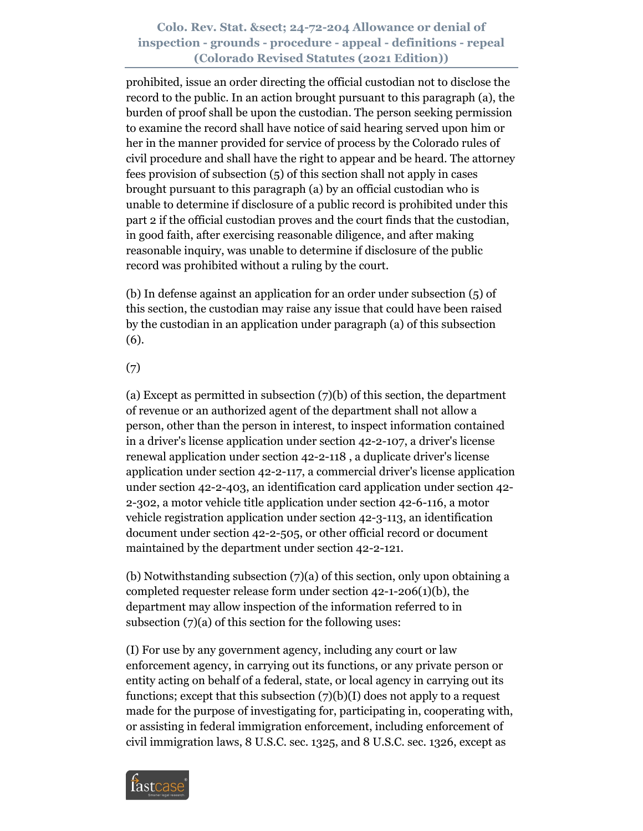prohibited, issue an order directing the official custodian not to disclose the record to the public. In an action brought pursuant to this paragraph (a), the burden of proof shall be upon the custodian. The person seeking permission to examine the record shall have notice of said hearing served upon him or her in the manner provided for service of process by the Colorado rules of civil procedure and shall have the right to appear and be heard. The attorney fees provision of subsection (5) of this section shall not apply in cases brought pursuant to this paragraph (a) by an official custodian who is unable to determine if disclosure of a public record is prohibited under this part 2 if the official custodian proves and the court finds that the custodian, in good faith, after exercising reasonable diligence, and after making reasonable inquiry, was unable to determine if disclosure of the public record was prohibited without a ruling by the court.

(b) In defense against an application for an order under subsection (5) of this section, the custodian may raise any issue that could have been raised by the custodian in an application under paragraph (a) of this subsection (6).

(7)

(a) Except as permitted in subsection (7)(b) of this section, the department of revenue or an authorized agent of the department shall not allow a person, other than the person in interest, to inspect information contained in a driver's license application under section 42-2-107, a driver's license renewal application under section 42-2-118 , a duplicate driver's license application under section 42-2-117, a commercial driver's license application under section 42-2-403, an identification card application under section 42- 2-302, a motor vehicle title application under section 42-6-116, a motor vehicle registration application under section 42-3-113, an identification document under section 42-2-505, or other official record or document maintained by the department under section 42-2-121.

(b) Notwithstanding subsection (7)(a) of this section, only upon obtaining a completed requester release form under section 42-1-206(1)(b), the department may allow inspection of the information referred to in subsection (7)(a) of this section for the following uses:

(I) For use by any government agency, including any court or law enforcement agency, in carrying out its functions, or any private person or entity acting on behalf of a federal, state, or local agency in carrying out its functions; except that this subsection  $(7)(b)(I)$  does not apply to a request made for the purpose of investigating for, participating in, cooperating with, or assisting in federal immigration enforcement, including enforcement of civil immigration laws, 8 U.S.C. sec. 1325, and 8 U.S.C. sec. 1326, except as

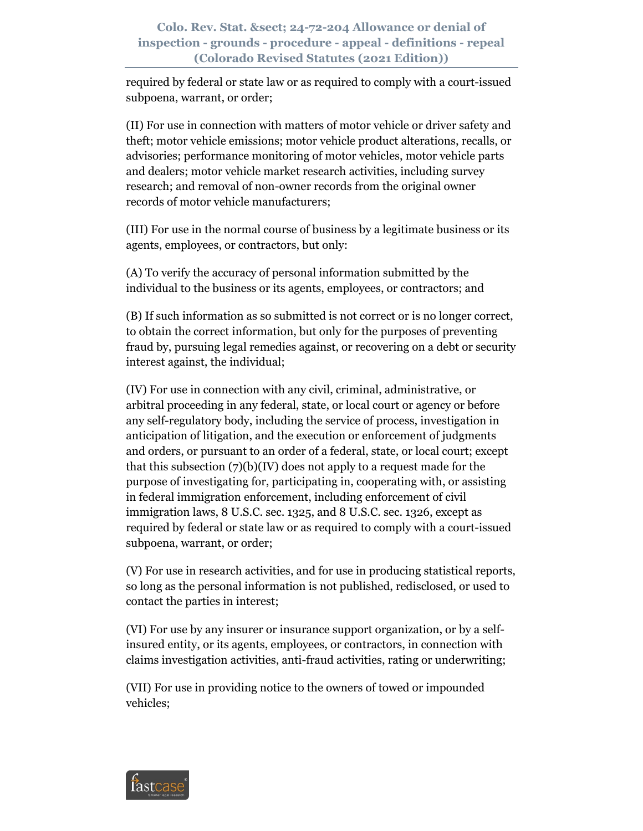required by federal or state law or as required to comply with a court-issued subpoena, warrant, or order;

(II) For use in connection with matters of motor vehicle or driver safety and theft; motor vehicle emissions; motor vehicle product alterations, recalls, or advisories; performance monitoring of motor vehicles, motor vehicle parts and dealers; motor vehicle market research activities, including survey research; and removal of non-owner records from the original owner records of motor vehicle manufacturers;

(III) For use in the normal course of business by a legitimate business or its agents, employees, or contractors, but only:

(A) To verify the accuracy of personal information submitted by the individual to the business or its agents, employees, or contractors; and

(B) If such information as so submitted is not correct or is no longer correct, to obtain the correct information, but only for the purposes of preventing fraud by, pursuing legal remedies against, or recovering on a debt or security interest against, the individual;

(IV) For use in connection with any civil, criminal, administrative, or arbitral proceeding in any federal, state, or local court or agency or before any self-regulatory body, including the service of process, investigation in anticipation of litigation, and the execution or enforcement of judgments and orders, or pursuant to an order of a federal, state, or local court; except that this subsection (7)(b)(IV) does not apply to a request made for the purpose of investigating for, participating in, cooperating with, or assisting in federal immigration enforcement, including enforcement of civil immigration laws, 8 U.S.C. sec. 1325, and 8 U.S.C. sec. 1326, except as required by federal or state law or as required to comply with a court-issued subpoena, warrant, or order;

(V) For use in research activities, and for use in producing statistical reports, so long as the personal information is not published, redisclosed, or used to contact the parties in interest;

(VI) For use by any insurer or insurance support organization, or by a selfinsured entity, or its agents, employees, or contractors, in connection with claims investigation activities, anti-fraud activities, rating or underwriting;

(VII) For use in providing notice to the owners of towed or impounded vehicles;

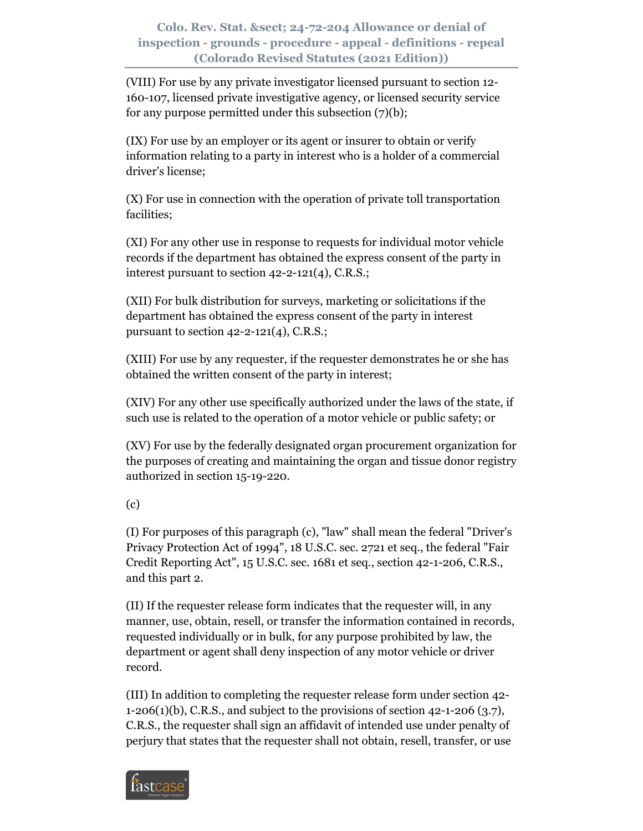(VIII) For use by any private investigator licensed pursuant to section 12- 160-107, licensed private investigative agency, or licensed security service for any purpose permitted under this subsection (7)(b);

(IX) For use by an employer or its agent or insurer to obtain or verify information relating to a party in interest who is a holder of a commercial driver's license;

(X) For use in connection with the operation of private toll transportation facilities;

(XI) For any other use in response to requests for individual motor vehicle records if the department has obtained the express consent of the party in interest pursuant to section 42-2-121(4), C.R.S.;

(XII) For bulk distribution for surveys, marketing or solicitations if the department has obtained the express consent of the party in interest pursuant to section  $42-2-121(4)$ , C.R.S.;

(XIII) For use by any requester, if the requester demonstrates he or she has obtained the written consent of the party in interest;

(XIV) For any other use specifically authorized under the laws of the state, if such use is related to the operation of a motor vehicle or public safety; or

(XV) For use by the federally designated organ procurement organization for the purposes of creating and maintaining the organ and tissue donor registry authorized in section 15-19-220.

(c)

(I) For purposes of this paragraph (c), "law" shall mean the federal "Driver's Privacy Protection Act of 1994", 18 U.S.C. sec. 2721 et seq., the federal "Fair Credit Reporting Act", 15 U.S.C. sec. 1681 et seq., section 42-1-206, C.R.S., and this part 2.

(II) If the requester release form indicates that the requester will, in any manner, use, obtain, resell, or transfer the information contained in records, requested individually or in bulk, for any purpose prohibited by law, the department or agent shall deny inspection of any motor vehicle or driver record.

(III) In addition to completing the requester release form under section 42-  $1-206(1)(b)$ , C.R.S., and subject to the provisions of section  $42-1-206(3.7)$ , C.R.S., the requester shall sign an affidavit of intended use under penalty of perjury that states that the requester shall not obtain, resell, transfer, or use

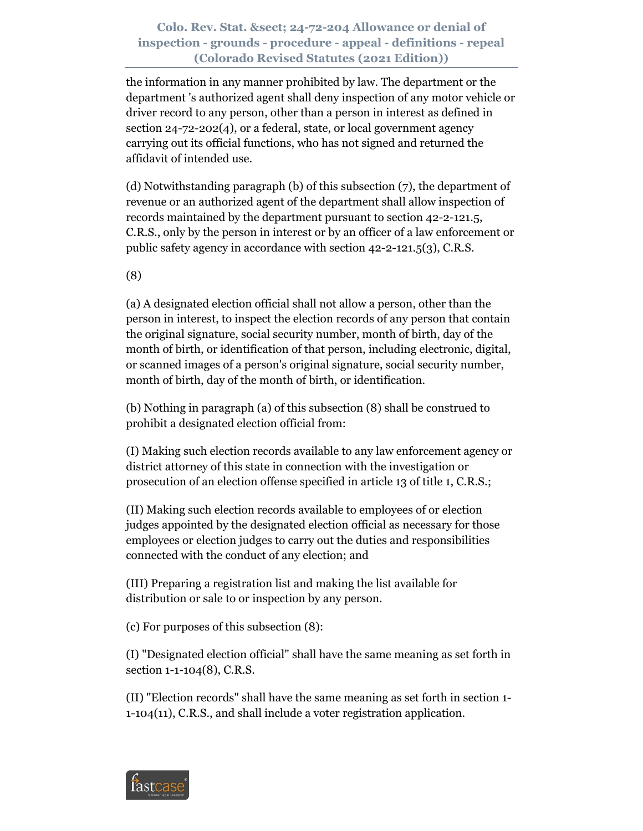the information in any manner prohibited by law. The department or the department 's authorized agent shall deny inspection of any motor vehicle or driver record to any person, other than a person in interest as defined in section 24-72-202(4), or a federal, state, or local government agency carrying out its official functions, who has not signed and returned the affidavit of intended use.

(d) Notwithstanding paragraph (b) of this subsection (7), the department of revenue or an authorized agent of the department shall allow inspection of records maintained by the department pursuant to section 42-2-121.5, C.R.S., only by the person in interest or by an officer of a law enforcement or public safety agency in accordance with section 42-2-121.5(3), C.R.S.

(8)

(a) A designated election official shall not allow a person, other than the person in interest, to inspect the election records of any person that contain the original signature, social security number, month of birth, day of the month of birth, or identification of that person, including electronic, digital, or scanned images of a person's original signature, social security number, month of birth, day of the month of birth, or identification.

(b) Nothing in paragraph (a) of this subsection (8) shall be construed to prohibit a designated election official from:

(I) Making such election records available to any law enforcement agency or district attorney of this state in connection with the investigation or prosecution of an election offense specified in article 13 of title 1, C.R.S.;

(II) Making such election records available to employees of or election judges appointed by the designated election official as necessary for those employees or election judges to carry out the duties and responsibilities connected with the conduct of any election; and

(III) Preparing a registration list and making the list available for distribution or sale to or inspection by any person.

(c) For purposes of this subsection (8):

(I) "Designated election official" shall have the same meaning as set forth in section 1-1-104(8), C.R.S.

(II) "Election records" shall have the same meaning as set forth in section 1- 1-104(11), C.R.S., and shall include a voter registration application.

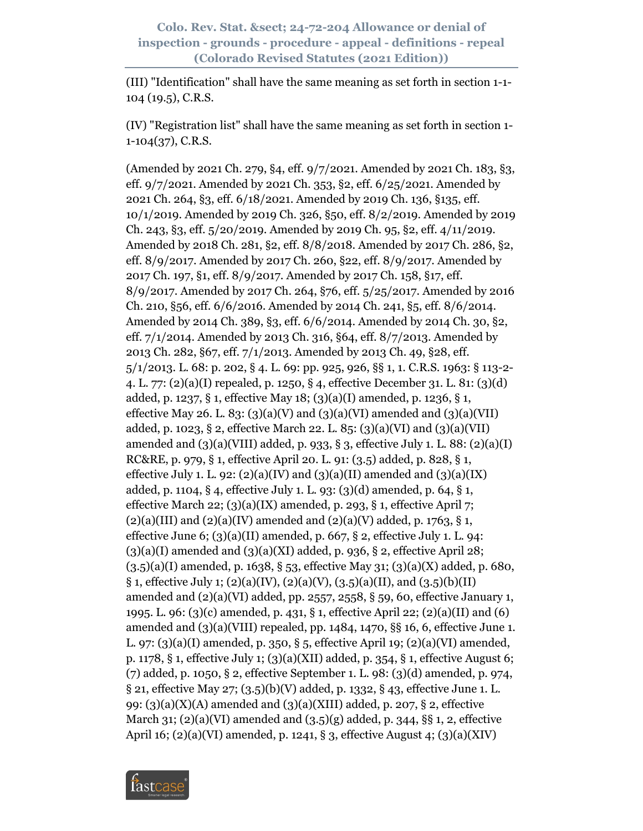(III) "Identification" shall have the same meaning as set forth in section 1-1- 104 (19.5), C.R.S.

(IV) "Registration list" shall have the same meaning as set forth in section 1- 1-104(37), C.R.S.

(Amended by 2021 Ch. 279, §4, eff. 9/7/2021. Amended by 2021 Ch. 183, §3, eff. 9/7/2021. Amended by 2021 Ch. 353, §2, eff. 6/25/2021. Amended by 2021 Ch. 264, §3, eff. 6/18/2021. Amended by 2019 Ch. 136, §135, eff. 10/1/2019. Amended by 2019 Ch. 326, §50, eff. 8/2/2019. Amended by 2019 Ch. 243, §3, eff. 5/20/2019. Amended by 2019 Ch. 95, §2, eff. 4/11/2019. Amended by 2018 Ch. 281, §2, eff. 8/8/2018. Amended by 2017 Ch. 286, §2, eff. 8/9/2017. Amended by 2017 Ch. 260, §22, eff. 8/9/2017. Amended by 2017 Ch. 197, §1, eff. 8/9/2017. Amended by 2017 Ch. 158, §17, eff. 8/9/2017. Amended by 2017 Ch. 264, §76, eff. 5/25/2017. Amended by 2016 Ch. 210, §56, eff. 6/6/2016. Amended by 2014 Ch. 241, §5, eff. 8/6/2014. Amended by 2014 Ch. 389, §3, eff. 6/6/2014. Amended by 2014 Ch. 30, §2, eff. 7/1/2014. Amended by 2013 Ch. 316, §64, eff. 8/7/2013. Amended by 2013 Ch. 282, §67, eff. 7/1/2013. Amended by 2013 Ch. 49, §28, eff. 5/1/2013. L. 68: p. 202, § 4. L. 69: pp. 925, 926, §§ 1, 1. C.R.S. 1963: § 113-2- 4. L. 77: (2)(a)(I) repealed, p. 1250, § 4, effective December 31. L. 81: (3)(d) added, p. 1237, § 1, effective May 18; (3)(a)(I) amended, p. 1236, § 1, effective May 26. L. 83:  $(3)(a)(V)$  and  $(3)(a)(VI)$  amended and  $(3)(a)(VII)$ added, p. 1023, § 2, effective March 22. L. 85:  $(3)(a)(VI)$  and  $(3)(a)(VII)$ amended and (3)(a)(VIII) added, p. 933, § 3, effective July 1. L. 88: (2)(a)(I) RC&RE, p. 979, § 1, effective April 20. L. 91: (3.5) added, p. 828, § 1, effective July 1. L. 92:  $(2)(a)(IV)$  and  $(3)(a)(II)$  amended and  $(3)(a)(IX)$ added, p. 1104, § 4, effective July 1. L. 93: (3)(d) amended, p. 64, § 1, effective March 22;  $(3)(a)(IX)$  amended, p. 293, § 1, effective April 7;  $(2)(a)(III)$  and  $(2)(a)(IV)$  amended and  $(2)(a)(V)$  added, p. 1763, § 1, effective June 6;  $(3)(a)(II)$  amended, p. 667, § 2, effective July 1. L. 94:  $(3)(a)(I)$  amended and  $(3)(a)(XI)$  added, p. 936, § 2, effective April 28;  $(3.5)(a)(I)$  amended, p. 1638, § 53, effective May 31; (3)(a)(X) added, p. 680,  $\S$  1, effective July 1; (2)(a)(IV), (2)(a)(V), (3.5)(a)(II), and (3.5)(b)(II) amended and  $(2)(a)(VI)$  added, pp. 2557, 2558, § 59, 60, effective January 1, 1995. L. 96: (3)(c) amended, p. 431, § 1, effective April 22; (2)(a)(II) and (6) amended and (3)(a)(VIII) repealed, pp. 1484, 1470, §§ 16, 6, effective June 1. L. 97: (3)(a)(I) amended, p. 350, § 5, effective April 19; (2)(a)(VI) amended, p. 1178, § 1, effective July 1; (3)(a)(XII) added, p. 354, § 1, effective August 6; (7) added, p. 1050, § 2, effective September 1. L. 98: (3)(d) amended, p. 974, § 21, effective May 27; (3.5)(b)(V) added, p. 1332, § 43, effective June 1. L. 99: (3)(a)(X)(A) amended and (3)(a)(XIII) added, p. 207, § 2, effective March 31; (2)(a)(VI) amended and  $(3.5)(g)$  added, p. 344, §§ 1, 2, effective April 16; (2)(a)(VI) amended, p. 1241, § 3, effective August 4; (3)(a)(XIV)

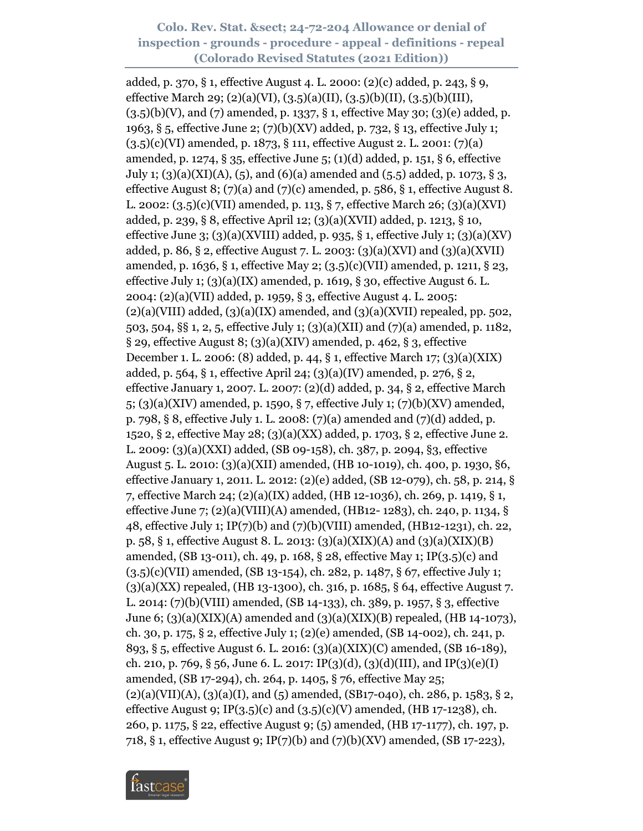added, p. 370, § 1, effective August 4. L. 2000: (2)(c) added, p. 243, § 9, effective March 29; (2)(a)(VI), (3.5)(a)(II), (3.5)(b)(II), (3.5)(b)(III),  $(3.5)(b)(V)$ , and  $(7)$  amended, p. 1337, § 1, effective May 30; (3)(e) added, p. 1963, § 5, effective June 2; (7)(b)(XV) added, p. 732, § 13, effective July 1; (3.5)(c)(VI) amended, p. 1873, § 111, effective August 2. L. 2001: (7)(a) amended, p. 1274, § 35, effective June 5; (1)(d) added, p. 151, § 6, effective July 1; (3)(a)(XI)(A), (5), and (6)(a) amended and (5.5) added, p. 1073, § 3, effective August 8; (7)(a) and (7)(c) amended, p. 586, § 1, effective August 8. L. 2002: (3.5)(c)(VII) amended, p. 113, § 7, effective March 26; (3)(a)(XVI) added, p. 239, § 8, effective April 12; (3)(a)(XVII) added, p. 1213, § 10, effective June 3;  $(3)(a)(XVIII)$  added, p. 935, § 1, effective July 1;  $(3)(a)(XV)$ added, p. 86,  $\S$  2, effective August 7. L. 2003: (3)(a)(XVI) and (3)(a)(XVII) amended, p. 1636, § 1, effective May 2; (3.5)(c)(VII) amended, p. 1211, § 23, effective July 1;  $(3)(a)(IX)$  amended, p. 1619, § 30, effective August 6. L. 2004: (2)(a)(VII) added, p. 1959, § 3, effective August 4. L. 2005:  $(2)(a)(VIII)$  added,  $(3)(a)(IX)$  amended, and  $(3)(a)(XVII)$  repealed, pp. 502, 503, 504, §§ 1, 2, 5, effective July 1; (3)(a)(XII) and (7)(a) amended, p. 1182,  $\S$  29, effective August 8; (3)(a)(XIV) amended, p. 462, § 3, effective December 1. L. 2006: (8) added, p. 44, § 1, effective March 17; (3)(a)(XIX) added, p. 564, § 1, effective April 24; (3)(a)(IV) amended, p. 276, § 2, effective January 1, 2007. L. 2007: (2)(d) added, p. 34, § 2, effective March 5; (3)(a)(XIV) amended, p. 1590, § 7, effective July 1; (7)(b)(XV) amended, p. 798, § 8, effective July 1. L. 2008: (7)(a) amended and (7)(d) added, p. 1520, § 2, effective May 28; (3)(a)(XX) added, p. 1703, § 2, effective June 2. L. 2009: (3)(a)(XXI) added, (SB 09-158), ch. 387, p. 2094, §3, effective August 5. L. 2010: (3)(a)(XII) amended, (HB 10-1019), ch. 400, p. 1930, §6, effective January 1, 2011. L. 2012: (2)(e) added, (SB 12-079), ch. 58, p. 214, § 7, effective March 24; (2)(a)(IX) added, (HB 12-1036), ch. 269, p. 1419, § 1, effective June 7; (2)(a)(VIII)(A) amended, (HB12- 1283), ch. 240, p. 1134, § 48, effective July 1; IP(7)(b) and (7)(b)(VIII) amended, (HB12-1231), ch. 22, p. 58, § 1, effective August 8. L. 2013: (3)(a)(XIX)(A) and (3)(a)(XIX)(B) amended, (SB 13-011), ch. 49, p. 168, § 28, effective May 1; IP(3.5)(c) and (3.5)(c)(VII) amended, (SB 13-154), ch. 282, p. 1487, § 67, effective July 1; (3)(a)(XX) repealed, (HB 13-1300), ch. 316, p. 1685, § 64, effective August 7. L. 2014: (7)(b)(VIII) amended, (SB 14-133), ch. 389, p. 1957, § 3, effective June 6; (3)(a)(XIX)(A) amended and (3)(a)(XIX)(B) repealed, (HB 14-1073), ch. 30, p. 175, § 2, effective July 1; (2)(e) amended, (SB 14-002), ch. 241, p. 893, § 5, effective August 6. L. 2016: (3)(a)(XIX)(C) amended, (SB 16-189), ch. 210, p. 769, § 56, June 6. L. 2017: IP(3)(d), (3)(d)(III), and IP(3)(e)(I) amended, (SB 17-294), ch. 264, p. 1405, § 76, effective May 25;  $(2)(a)(VII)(A), (3)(a)(I), and (5) amended, (SB17-040), ch. 286, p. 1583, § 2,$ effective August 9; IP(3.5)(c) and  $(3.5)(c)(V)$  amended, (HB 17-1238), ch. 260, p. 1175, § 22, effective August 9; (5) amended, (HB 17-1177), ch. 197, p. 718, § 1, effective August 9; IP(7)(b) and (7)(b)(XV) amended, (SB 17-223),

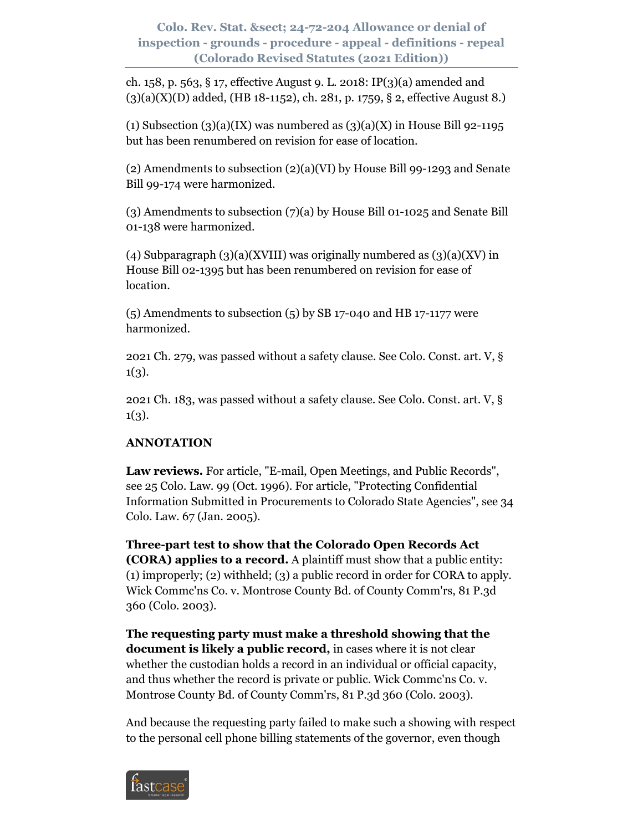ch. 158, p. 563, § 17, effective August 9. L. 2018: IP(3)(a) amended and  $(3)(a)(X)(D)$  added, (HB 18-1152), ch. 281, p. 1759, § 2, effective August 8.)

(1) Subsection  $(3)(a)(IX)$  was numbered as  $(3)(a)(X)$  in House Bill 92-1195 but has been renumbered on revision for ease of location.

(2) Amendments to subsection (2)(a)(VI) by House Bill 99-1293 and Senate Bill 99-174 were harmonized.

(3) Amendments to subsection (7)(a) by House Bill 01-1025 and Senate Bill 01-138 were harmonized.

(4) Subparagraph  $(3)(a)(XVIII)$  was originally numbered as  $(3)(a)(XV)$  in House Bill 02-1395 but has been renumbered on revision for ease of location.

 $(5)$  Amendments to subsection  $(5)$  by SB 17-040 and HB 17-1177 were harmonized.

2021 Ch. 279, was passed without a safety clause. See Colo. Const. art. V, §  $1(3).$ 

2021 Ch. 183, was passed without a safety clause. See Colo. Const. art. V, §  $1(3).$ 

# **ANNOTATION**

**Law reviews.** For article, "E-mail, Open Meetings, and Public Records", see 25 Colo. Law. 99 (Oct. 1996). For article, "Protecting Confidential Information Submitted in Procurements to Colorado State Agencies", see 34 Colo. Law. 67 (Jan. 2005).

**Three-part test to show that the Colorado Open Records Act (CORA) applies to a record.** A plaintiff must show that a public entity: (1) improperly; (2) withheld; (3) a public record in order for CORA to apply. Wick Commc'ns Co. v. Montrose County Bd. of County Comm'rs, 81 P.3d 360 (Colo. 2003).

**The requesting party must make a threshold showing that the document is likely a public record,** in cases where it is not clear whether the custodian holds a record in an individual or official capacity, and thus whether the record is private or public. Wick Commc'ns Co. v. Montrose County Bd. of County Comm'rs, 81 P.3d 360 (Colo. 2003).

And because the requesting party failed to make such a showing with respect to the personal cell phone billing statements of the governor, even though

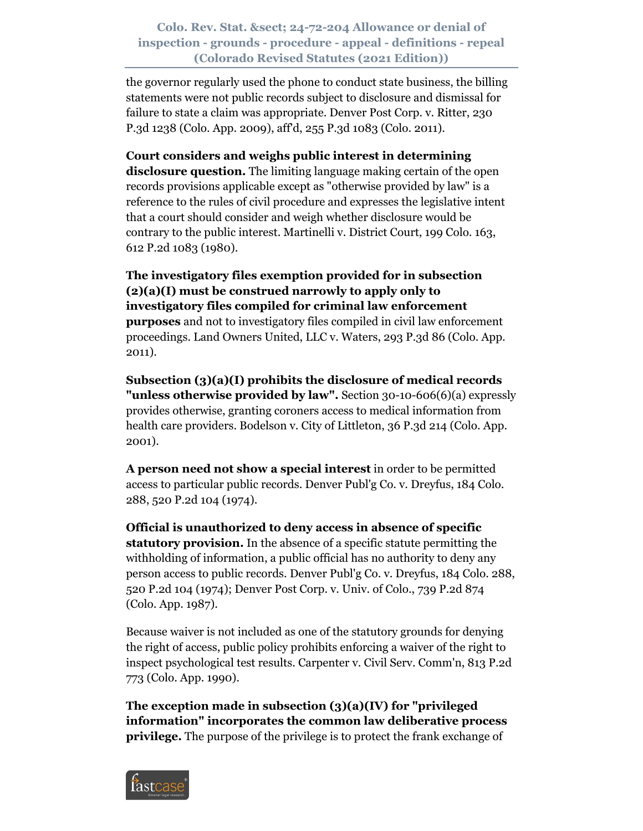the governor regularly used the phone to conduct state business, the billing statements were not public records subject to disclosure and dismissal for failure to state a claim was appropriate. Denver Post Corp. v. Ritter, 230 P.3d 1238 (Colo. App. 2009), aff'd, 255 P.3d 1083 (Colo. 2011).

**Court considers and weighs public interest in determining disclosure question.** The limiting language making certain of the open records provisions applicable except as "otherwise provided by law" is a reference to the rules of civil procedure and expresses the legislative intent that a court should consider and weigh whether disclosure would be contrary to the public interest. Martinelli v. District Court, 199 Colo. 163, 612 P.2d 1083 (1980).

**The investigatory files exemption provided for in subsection (2)(a)(I) must be construed narrowly to apply only to investigatory files compiled for criminal law enforcement purposes** and not to investigatory files compiled in civil law enforcement proceedings. Land Owners United, LLC v. Waters, 293 P.3d 86 (Colo. App. 2011).

**Subsection (3)(a)(I) prohibits the disclosure of medical records "unless otherwise provided by law".** Section 30-10-606(6)(a) expressly provides otherwise, granting coroners access to medical information from health care providers. Bodelson v. City of Littleton, 36 P.3d 214 (Colo. App. 2001).

**A person need not show a special interest** in order to be permitted access to particular public records. Denver Publ'g Co. v. Dreyfus, 184 Colo. 288, 520 P.2d 104 (1974).

**Official is unauthorized to deny access in absence of specific statutory provision.** In the absence of a specific statute permitting the withholding of information, a public official has no authority to deny any person access to public records. Denver Publ'g Co. v. Dreyfus, 184 Colo. 288, 520 P.2d 104 (1974); Denver Post Corp. v. Univ. of Colo., 739 P.2d 874 (Colo. App. 1987).

Because waiver is not included as one of the statutory grounds for denying the right of access, public policy prohibits enforcing a waiver of the right to inspect psychological test results. Carpenter v. Civil Serv. Comm'n, 813 P.2d 773 (Colo. App. 1990).

**The exception made in subsection (3)(a)(IV) for "privileged information" incorporates the common law deliberative process privilege.** The purpose of the privilege is to protect the frank exchange of

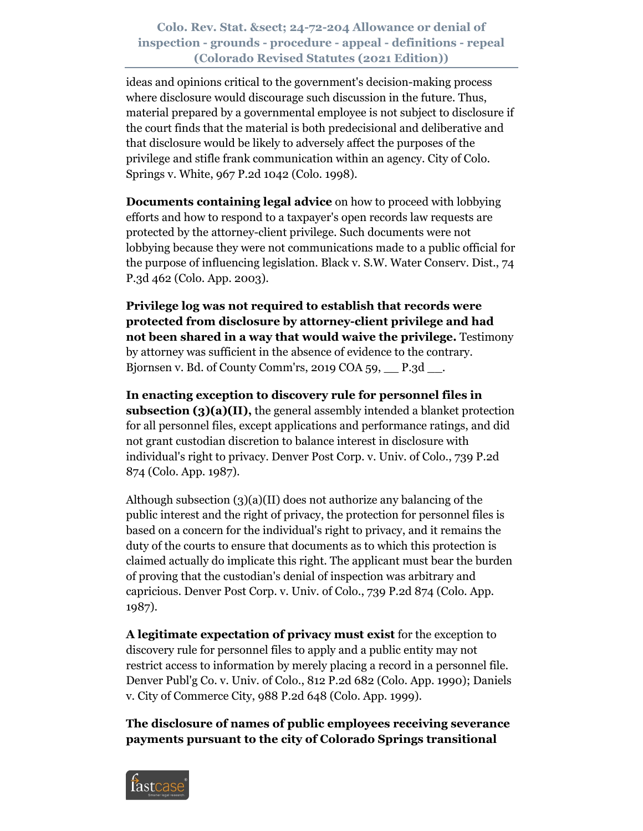ideas and opinions critical to the government's decision-making process where disclosure would discourage such discussion in the future. Thus, material prepared by a governmental employee is not subject to disclosure if the court finds that the material is both predecisional and deliberative and that disclosure would be likely to adversely affect the purposes of the privilege and stifle frank communication within an agency. City of Colo. Springs v. White, 967 P.2d 1042 (Colo. 1998).

**Documents containing legal advice** on how to proceed with lobbying efforts and how to respond to a taxpayer's open records law requests are protected by the attorney-client privilege. Such documents were not lobbying because they were not communications made to a public official for the purpose of influencing legislation. Black v. S.W. Water Conserv. Dist., 74 P.3d 462 (Colo. App. 2003).

**Privilege log was not required to establish that records were protected from disclosure by attorney-client privilege and had not been shared in a way that would waive the privilege.** Testimony by attorney was sufficient in the absence of evidence to the contrary. Bjornsen v. Bd. of County Comm'rs, 2019 COA 59, \_\_ P.3d \_\_.

**In enacting exception to discovery rule for personnel files in subsection (3)(a)(II),** the general assembly intended a blanket protection for all personnel files, except applications and performance ratings, and did not grant custodian discretion to balance interest in disclosure with individual's right to privacy. Denver Post Corp. v. Univ. of Colo., 739 P.2d 874 (Colo. App. 1987).

Although subsection (3)(a)(II) does not authorize any balancing of the public interest and the right of privacy, the protection for personnel files is based on a concern for the individual's right to privacy, and it remains the duty of the courts to ensure that documents as to which this protection is claimed actually do implicate this right. The applicant must bear the burden of proving that the custodian's denial of inspection was arbitrary and capricious. Denver Post Corp. v. Univ. of Colo., 739 P.2d 874 (Colo. App. 1987).

**A legitimate expectation of privacy must exist** for the exception to discovery rule for personnel files to apply and a public entity may not restrict access to information by merely placing a record in a personnel file. Denver Publ'g Co. v. Univ. of Colo., 812 P.2d 682 (Colo. App. 1990); Daniels v. City of Commerce City, 988 P.2d 648 (Colo. App. 1999).

**The disclosure of names of public employees receiving severance payments pursuant to the city of Colorado Springs transitional** 

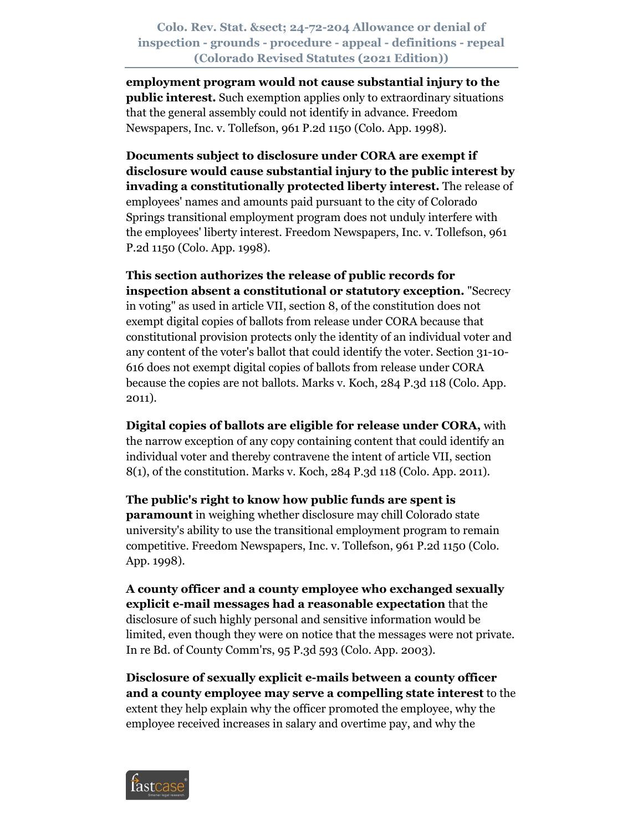**employment program would not cause substantial injury to the public interest.** Such exemption applies only to extraordinary situations that the general assembly could not identify in advance. Freedom Newspapers, Inc. v. Tollefson, 961 P.2d 1150 (Colo. App. 1998).

**Documents subject to disclosure under CORA are exempt if disclosure would cause substantial injury to the public interest by invading a constitutionally protected liberty interest.** The release of employees' names and amounts paid pursuant to the city of Colorado Springs transitional employment program does not unduly interfere with the employees' liberty interest. Freedom Newspapers, Inc. v. Tollefson, 961 P.2d 1150 (Colo. App. 1998).

**This section authorizes the release of public records for inspection absent a constitutional or statutory exception.** "Secrecy in voting" as used in article VII, section 8, of the constitution does not exempt digital copies of ballots from release under CORA because that constitutional provision protects only the identity of an individual voter and any content of the voter's ballot that could identify the voter. Section 31-10- 616 does not exempt digital copies of ballots from release under CORA because the copies are not ballots. Marks v. Koch, 284 P.3d 118 (Colo. App. 2011).

**Digital copies of ballots are eligible for release under CORA,** with the narrow exception of any copy containing content that could identify an individual voter and thereby contravene the intent of article VII, section 8(1), of the constitution. Marks v. Koch, 284 P.3d 118 (Colo. App. 2011).

**The public's right to know how public funds are spent is paramount** in weighing whether disclosure may chill Colorado state university's ability to use the transitional employment program to remain competitive. Freedom Newspapers, Inc. v. Tollefson, 961 P.2d 1150 (Colo. App. 1998).

**A county officer and a county employee who exchanged sexually explicit e-mail messages had a reasonable expectation** that the disclosure of such highly personal and sensitive information would be limited, even though they were on notice that the messages were not private. In re Bd. of County Comm'rs, 95 P.3d 593 (Colo. App. 2003).

**Disclosure of sexually explicit e-mails between a county officer and a county employee may serve a compelling state interest** to the extent they help explain why the officer promoted the employee, why the employee received increases in salary and overtime pay, and why the

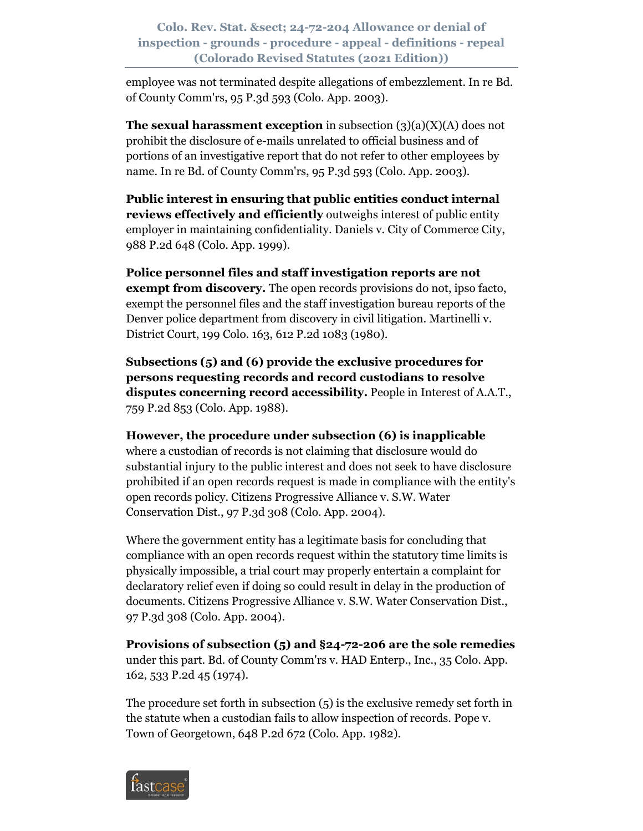employee was not terminated despite allegations of embezzlement. In re Bd. of County Comm'rs, 95 P.3d 593 (Colo. App. 2003).

**The sexual harassment exception** in subsection (3)(a)(X)(A) does not prohibit the disclosure of e-mails unrelated to official business and of portions of an investigative report that do not refer to other employees by name. In re Bd. of County Comm'rs, 95 P.3d 593 (Colo. App. 2003).

**Public interest in ensuring that public entities conduct internal reviews effectively and efficiently** outweighs interest of public entity employer in maintaining confidentiality. Daniels v. City of Commerce City, 988 P.2d 648 (Colo. App. 1999).

**Police personnel files and staff investigation reports are not exempt from discovery.** The open records provisions do not, ipso facto, exempt the personnel files and the staff investigation bureau reports of the Denver police department from discovery in civil litigation. Martinelli v. District Court, 199 Colo. 163, 612 P.2d 1083 (1980).

**Subsections (5) and (6) provide the exclusive procedures for persons requesting records and record custodians to resolve disputes concerning record accessibility.** People in Interest of A.A.T., 759 P.2d 853 (Colo. App. 1988).

**However, the procedure under subsection (6) is inapplicable** where a custodian of records is not claiming that disclosure would do substantial injury to the public interest and does not seek to have disclosure prohibited if an open records request is made in compliance with the entity's open records policy. Citizens Progressive Alliance v. S.W. Water Conservation Dist., 97 P.3d 308 (Colo. App. 2004).

Where the government entity has a legitimate basis for concluding that compliance with an open records request within the statutory time limits is physically impossible, a trial court may properly entertain a complaint for declaratory relief even if doing so could result in delay in the production of documents. Citizens Progressive Alliance v. S.W. Water Conservation Dist., 97 P.3d 308 (Colo. App. 2004).

**Provisions of subsection (5) and §24-72-206 are the sole remedies** under this part. Bd. of County Comm'rs v. HAD Enterp., Inc., 35 Colo. App. 162, 533 P.2d 45 (1974).

The procedure set forth in subsection (5) is the exclusive remedy set forth in the statute when a custodian fails to allow inspection of records. Pope v. Town of Georgetown, 648 P.2d 672 (Colo. App. 1982).

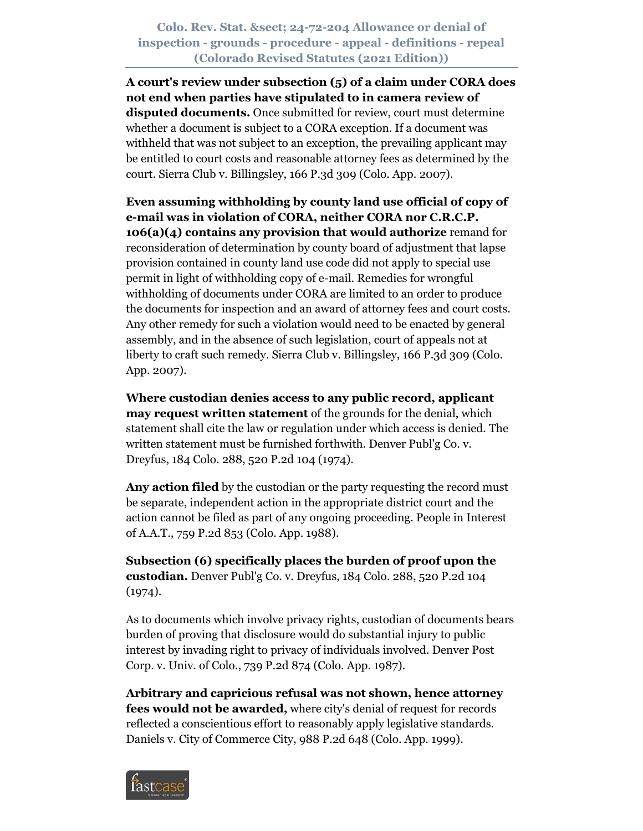**A court's review under subsection (5) of a claim under CORA does not end when parties have stipulated to in camera review of disputed documents.** Once submitted for review, court must determine whether a document is subject to a CORA exception. If a document was withheld that was not subject to an exception, the prevailing applicant may be entitled to court costs and reasonable attorney fees as determined by the court. Sierra Club v. Billingsley, 166 P.3d 309 (Colo. App. 2007).

**Even assuming withholding by county land use official of copy of e-mail was in violation of CORA, neither CORA nor C.R.C.P. 106(a)(4) contains any provision that would authorize** remand for reconsideration of determination by county board of adjustment that lapse provision contained in county land use code did not apply to special use permit in light of withholding copy of e-mail. Remedies for wrongful withholding of documents under CORA are limited to an order to produce the documents for inspection and an award of attorney fees and court costs. Any other remedy for such a violation would need to be enacted by general assembly, and in the absence of such legislation, court of appeals not at liberty to craft such remedy. Sierra Club v. Billingsley, 166 P.3d 309 (Colo. App. 2007).

**Where custodian denies access to any public record, applicant may request written statement** of the grounds for the denial, which statement shall cite the law or regulation under which access is denied. The written statement must be furnished forthwith. Denver Publ'g Co. v. Dreyfus, 184 Colo. 288, 520 P.2d 104 (1974).

**Any action filed** by the custodian or the party requesting the record must be separate, independent action in the appropriate district court and the action cannot be filed as part of any ongoing proceeding. People in Interest of A.A.T., 759 P.2d 853 (Colo. App. 1988).

**Subsection (6) specifically places the burden of proof upon the custodian.** Denver Publ'g Co. v. Dreyfus, 184 Colo. 288, 520 P.2d 104  $(1974).$ 

As to documents which involve privacy rights, custodian of documents bears burden of proving that disclosure would do substantial injury to public interest by invading right to privacy of individuals involved. Denver Post Corp. v. Univ. of Colo., 739 P.2d 874 (Colo. App. 1987).

**Arbitrary and capricious refusal was not shown, hence attorney fees would not be awarded,** where city's denial of request for records reflected a conscientious effort to reasonably apply legislative standards. Daniels v. City of Commerce City, 988 P.2d 648 (Colo. App. 1999).

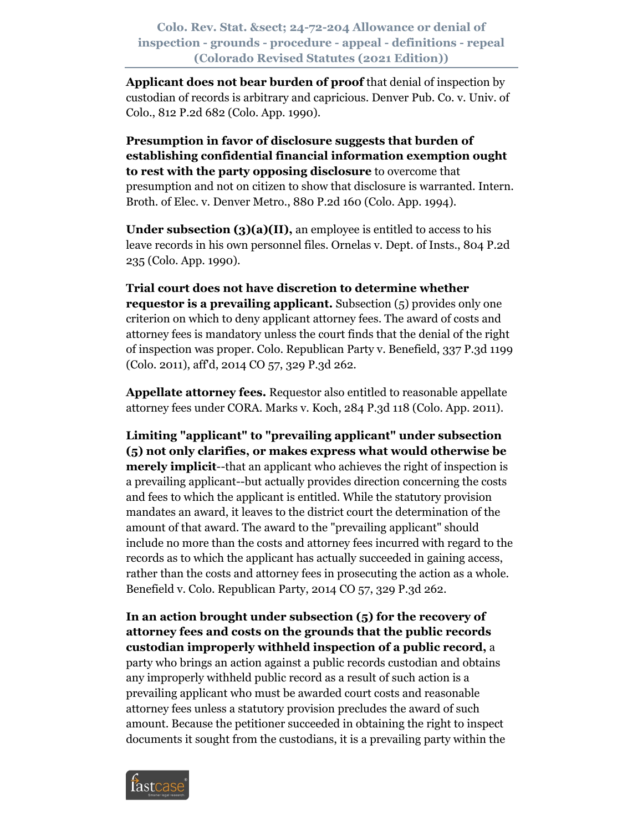**Applicant does not bear burden of proof** that denial of inspection by custodian of records is arbitrary and capricious. Denver Pub. Co. v. Univ. of Colo., 812 P.2d 682 (Colo. App. 1990).

**Presumption in favor of disclosure suggests that burden of establishing confidential financial information exemption ought to rest with the party opposing disclosure** to overcome that presumption and not on citizen to show that disclosure is warranted. Intern. Broth. of Elec. v. Denver Metro., 880 P.2d 160 (Colo. App. 1994).

**Under subsection (3)(a)(II),** an employee is entitled to access to his leave records in his own personnel files. Ornelas v. Dept. of Insts., 804 P.2d 235 (Colo. App. 1990).

**Trial court does not have discretion to determine whether requestor is a prevailing applicant.** Subsection (5) provides only one criterion on which to deny applicant attorney fees. The award of costs and attorney fees is mandatory unless the court finds that the denial of the right of inspection was proper. Colo. Republican Party v. Benefield, 337 P.3d 1199 (Colo. 2011), aff'd, 2014 CO 57, 329 P.3d 262.

**Appellate attorney fees.** Requestor also entitled to reasonable appellate attorney fees under CORA. Marks v. Koch, 284 P.3d 118 (Colo. App. 2011).

**Limiting "applicant" to "prevailing applicant" under subsection (5) not only clarifies, or makes express what would otherwise be merely implicit**--that an applicant who achieves the right of inspection is a prevailing applicant--but actually provides direction concerning the costs and fees to which the applicant is entitled. While the statutory provision mandates an award, it leaves to the district court the determination of the amount of that award. The award to the "prevailing applicant" should include no more than the costs and attorney fees incurred with regard to the records as to which the applicant has actually succeeded in gaining access, rather than the costs and attorney fees in prosecuting the action as a whole. Benefield v. Colo. Republican Party, 2014 CO 57, 329 P.3d 262.

**In an action brought under subsection (5) for the recovery of attorney fees and costs on the grounds that the public records custodian improperly withheld inspection of a public record,** a party who brings an action against a public records custodian and obtains any improperly withheld public record as a result of such action is a prevailing applicant who must be awarded court costs and reasonable attorney fees unless a statutory provision precludes the award of such amount. Because the petitioner succeeded in obtaining the right to inspect documents it sought from the custodians, it is a prevailing party within the

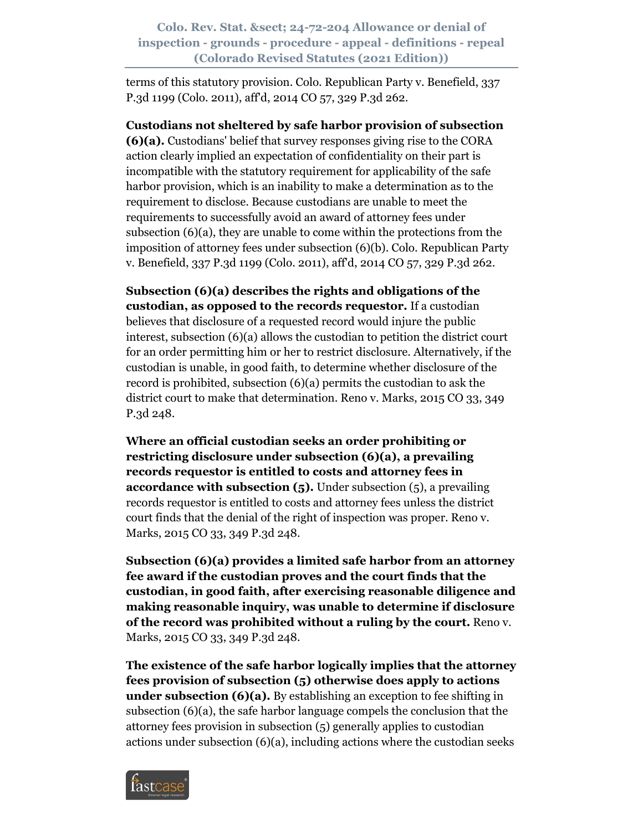terms of this statutory provision. Colo. Republican Party v. Benefield, 337 P.3d 1199 (Colo. 2011), aff'd, 2014 CO 57, 329 P.3d 262.

**Custodians not sheltered by safe harbor provision of subsection (6)(a).** Custodians' belief that survey responses giving rise to the CORA action clearly implied an expectation of confidentiality on their part is incompatible with the statutory requirement for applicability of the safe harbor provision, which is an inability to make a determination as to the requirement to disclose. Because custodians are unable to meet the requirements to successfully avoid an award of attorney fees under subsection (6)(a), they are unable to come within the protections from the imposition of attorney fees under subsection (6)(b). Colo. Republican Party v. Benefield, 337 P.3d 1199 (Colo. 2011), aff'd, 2014 CO 57, 329 P.3d 262.

**Subsection (6)(a) describes the rights and obligations of the custodian, as opposed to the records requestor.** If a custodian believes that disclosure of a requested record would injure the public interest, subsection (6)(a) allows the custodian to petition the district court for an order permitting him or her to restrict disclosure. Alternatively, if the custodian is unable, in good faith, to determine whether disclosure of the record is prohibited, subsection (6)(a) permits the custodian to ask the district court to make that determination. Reno v. Marks, 2015 CO 33, 349 P.3d 248.

**Where an official custodian seeks an order prohibiting or restricting disclosure under subsection (6)(a), a prevailing records requestor is entitled to costs and attorney fees in accordance with subsection (5).** Under subsection (5), a prevailing records requestor is entitled to costs and attorney fees unless the district court finds that the denial of the right of inspection was proper. Reno v. Marks, 2015 CO 33, 349 P.3d 248.

**Subsection (6)(a) provides a limited safe harbor from an attorney fee award if the custodian proves and the court finds that the custodian, in good faith, after exercising reasonable diligence and making reasonable inquiry, was unable to determine if disclosure of the record was prohibited without a ruling by the court.** Reno v. Marks, 2015 CO 33, 349 P.3d 248.

**The existence of the safe harbor logically implies that the attorney fees provision of subsection (5) otherwise does apply to actions under subsection (6)(a).** By establishing an exception to fee shifting in subsection (6)(a), the safe harbor language compels the conclusion that the attorney fees provision in subsection (5) generally applies to custodian actions under subsection  $(6)(a)$ , including actions where the custodian seeks

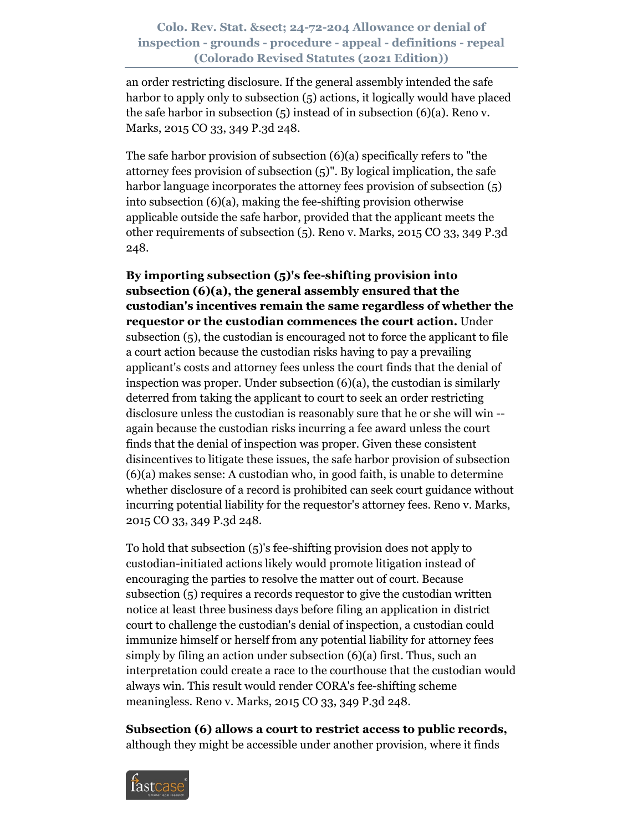an order restricting disclosure. If the general assembly intended the safe harbor to apply only to subsection (5) actions, it logically would have placed the safe harbor in subsection  $(5)$  instead of in subsection  $(6)(a)$ . Reno v. Marks, 2015 CO 33, 349 P.3d 248.

The safe harbor provision of subsection (6)(a) specifically refers to "the attorney fees provision of subsection (5)". By logical implication, the safe harbor language incorporates the attorney fees provision of subsection  $(5)$ into subsection (6)(a), making the fee-shifting provision otherwise applicable outside the safe harbor, provided that the applicant meets the other requirements of subsection (5). Reno v. Marks, 2015 CO 33, 349 P.3d 248.

**By importing subsection (5)'s fee-shifting provision into subsection (6)(a), the general assembly ensured that the custodian's incentives remain the same regardless of whether the requestor or the custodian commences the court action.** Under subsection (5), the custodian is encouraged not to force the applicant to file a court action because the custodian risks having to pay a prevailing applicant's costs and attorney fees unless the court finds that the denial of inspection was proper. Under subsection (6)(a), the custodian is similarly deterred from taking the applicant to court to seek an order restricting disclosure unless the custodian is reasonably sure that he or she will win - again because the custodian risks incurring a fee award unless the court finds that the denial of inspection was proper. Given these consistent disincentives to litigate these issues, the safe harbor provision of subsection (6)(a) makes sense: A custodian who, in good faith, is unable to determine whether disclosure of a record is prohibited can seek court guidance without incurring potential liability for the requestor's attorney fees. Reno v. Marks, 2015 CO 33, 349 P.3d 248.

To hold that subsection (5)'s fee-shifting provision does not apply to custodian-initiated actions likely would promote litigation instead of encouraging the parties to resolve the matter out of court. Because subsection (5) requires a records requestor to give the custodian written notice at least three business days before filing an application in district court to challenge the custodian's denial of inspection, a custodian could immunize himself or herself from any potential liability for attorney fees simply by filing an action under subsection (6)(a) first. Thus, such an interpretation could create a race to the courthouse that the custodian would always win. This result would render CORA's fee-shifting scheme meaningless. Reno v. Marks, 2015 CO 33, 349 P.3d 248.

**Subsection (6) allows a court to restrict access to public records,** although they might be accessible under another provision, where it finds

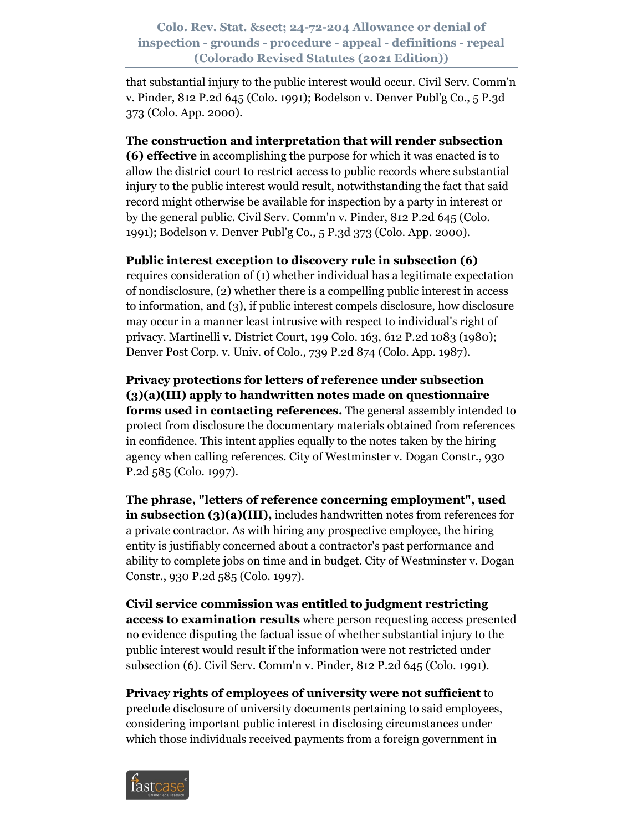that substantial injury to the public interest would occur. Civil Serv. Comm'n v. Pinder, 812 P.2d 645 (Colo. 1991); Bodelson v. Denver Publ'g Co., 5 P.3d 373 (Colo. App. 2000).

#### **The construction and interpretation that will render subsection**

**(6) effective** in accomplishing the purpose for which it was enacted is to allow the district court to restrict access to public records where substantial injury to the public interest would result, notwithstanding the fact that said record might otherwise be available for inspection by a party in interest or by the general public. Civil Serv. Comm'n v. Pinder, 812 P.2d 645 (Colo. 1991); Bodelson v. Denver Publ'g Co., 5 P.3d 373 (Colo. App. 2000).

#### **Public interest exception to discovery rule in subsection (6)**

requires consideration of (1) whether individual has a legitimate expectation of nondisclosure, (2) whether there is a compelling public interest in access to information, and (3), if public interest compels disclosure, how disclosure may occur in a manner least intrusive with respect to individual's right of privacy. Martinelli v. District Court, 199 Colo. 163, 612 P.2d 1083 (1980); Denver Post Corp. v. Univ. of Colo., 739 P.2d 874 (Colo. App. 1987).

**Privacy protections for letters of reference under subsection (3)(a)(III) apply to handwritten notes made on questionnaire forms used in contacting references.** The general assembly intended to protect from disclosure the documentary materials obtained from references in confidence. This intent applies equally to the notes taken by the hiring agency when calling references. City of Westminster v. Dogan Constr., 930 P.2d 585 (Colo. 1997).

**The phrase, "letters of reference concerning employment", used in subsection (3)(a)(III),** includes handwritten notes from references for a private contractor. As with hiring any prospective employee, the hiring entity is justifiably concerned about a contractor's past performance and ability to complete jobs on time and in budget. City of Westminster v. Dogan Constr., 930 P.2d 585 (Colo. 1997).

**Civil service commission was entitled to judgment restricting access to examination results** where person requesting access presented no evidence disputing the factual issue of whether substantial injury to the public interest would result if the information were not restricted under subsection (6). Civil Serv. Comm'n v. Pinder, 812 P.2d 645 (Colo. 1991).

**Privacy rights of employees of university were not sufficient** to preclude disclosure of university documents pertaining to said employees, considering important public interest in disclosing circumstances under which those individuals received payments from a foreign government in

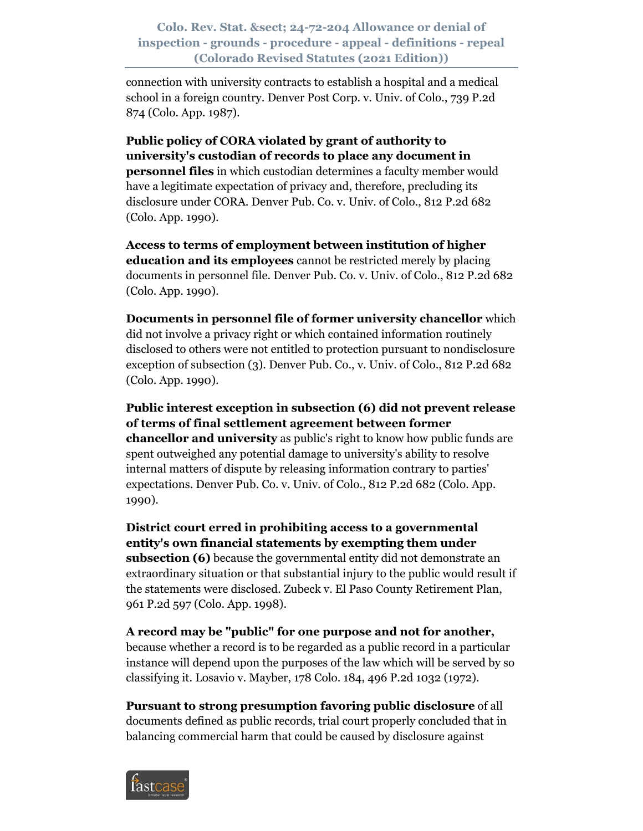connection with university contracts to establish a hospital and a medical school in a foreign country. Denver Post Corp. v. Univ. of Colo., 739 P.2d 874 (Colo. App. 1987).

**Public policy of CORA violated by grant of authority to university's custodian of records to place any document in personnel files** in which custodian determines a faculty member would have a legitimate expectation of privacy and, therefore, precluding its disclosure under CORA. Denver Pub. Co. v. Univ. of Colo., 812 P.2d 682 (Colo. App. 1990).

**Access to terms of employment between institution of higher education and its employees** cannot be restricted merely by placing documents in personnel file. Denver Pub. Co. v. Univ. of Colo., 812 P.2d 682 (Colo. App. 1990).

**Documents in personnel file of former university chancellor** which did not involve a privacy right or which contained information routinely disclosed to others were not entitled to protection pursuant to nondisclosure exception of subsection (3). Denver Pub. Co., v. Univ. of Colo., 812 P.2d 682 (Colo. App. 1990).

**Public interest exception in subsection (6) did not prevent release of terms of final settlement agreement between former chancellor and university** as public's right to know how public funds are spent outweighed any potential damage to university's ability to resolve internal matters of dispute by releasing information contrary to parties' expectations. Denver Pub. Co. v. Univ. of Colo., 812 P.2d 682 (Colo. App. 1990).

**District court erred in prohibiting access to a governmental entity's own financial statements by exempting them under subsection (6)** because the governmental entity did not demonstrate an extraordinary situation or that substantial injury to the public would result if the statements were disclosed. Zubeck v. El Paso County Retirement Plan, 961 P.2d 597 (Colo. App. 1998).

**A record may be "public" for one purpose and not for another,** because whether a record is to be regarded as a public record in a particular instance will depend upon the purposes of the law which will be served by so classifying it. Losavio v. Mayber, 178 Colo. 184, 496 P.2d 1032 (1972).

**Pursuant to strong presumption favoring public disclosure** of all documents defined as public records, trial court properly concluded that in balancing commercial harm that could be caused by disclosure against

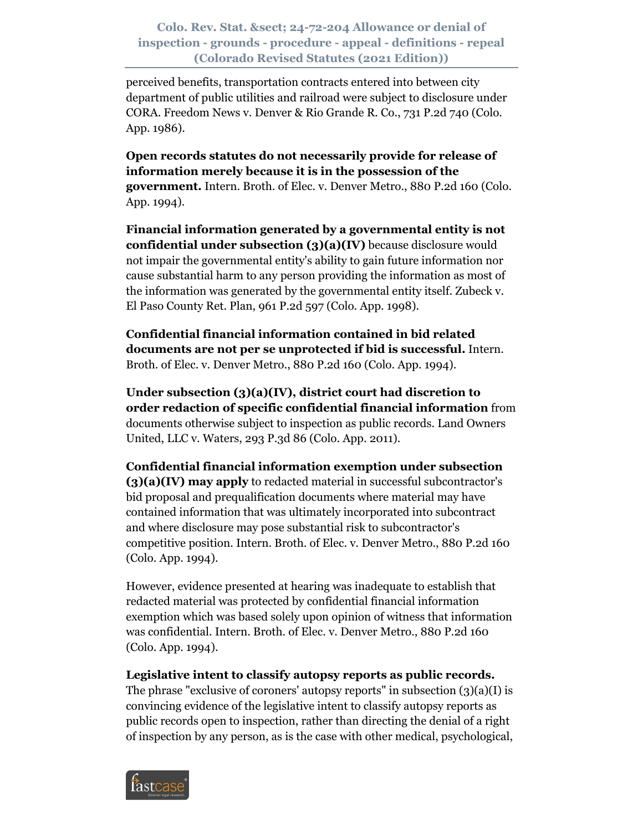perceived benefits, transportation contracts entered into between city department of public utilities and railroad were subject to disclosure under CORA. Freedom News v. Denver & Rio Grande R. Co., 731 P.2d 740 (Colo. App. 1986).

**Open records statutes do not necessarily provide for release of information merely because it is in the possession of the government.** Intern. Broth. of Elec. v. Denver Metro., 880 P.2d 160 (Colo. App. 1994).

**Financial information generated by a governmental entity is not confidential under subsection (3)(a)(IV)** because disclosure would not impair the governmental entity's ability to gain future information nor cause substantial harm to any person providing the information as most of the information was generated by the governmental entity itself. Zubeck v. El Paso County Ret. Plan, 961 P.2d 597 (Colo. App. 1998).

**Confidential financial information contained in bid related documents are not per se unprotected if bid is successful.** Intern. Broth. of Elec. v. Denver Metro., 880 P.2d 160 (Colo. App. 1994).

**Under subsection (3)(a)(IV), district court had discretion to order redaction of specific confidential financial information** from documents otherwise subject to inspection as public records. Land Owners United, LLC v. Waters, 293 P.3d 86 (Colo. App. 2011).

**Confidential financial information exemption under subsection (3)(a)(IV) may apply** to redacted material in successful subcontractor's bid proposal and prequalification documents where material may have contained information that was ultimately incorporated into subcontract and where disclosure may pose substantial risk to subcontractor's competitive position. Intern. Broth. of Elec. v. Denver Metro., 880 P.2d 160 (Colo. App. 1994).

However, evidence presented at hearing was inadequate to establish that redacted material was protected by confidential financial information exemption which was based solely upon opinion of witness that information was confidential. Intern. Broth. of Elec. v. Denver Metro., 880 P.2d 160 (Colo. App. 1994).

**Legislative intent to classify autopsy reports as public records.**

The phrase "exclusive of coroners' autopsy reports" in subsection  $(3)(a)(I)$  is convincing evidence of the legislative intent to classify autopsy reports as public records open to inspection, rather than directing the denial of a right of inspection by any person, as is the case with other medical, psychological,

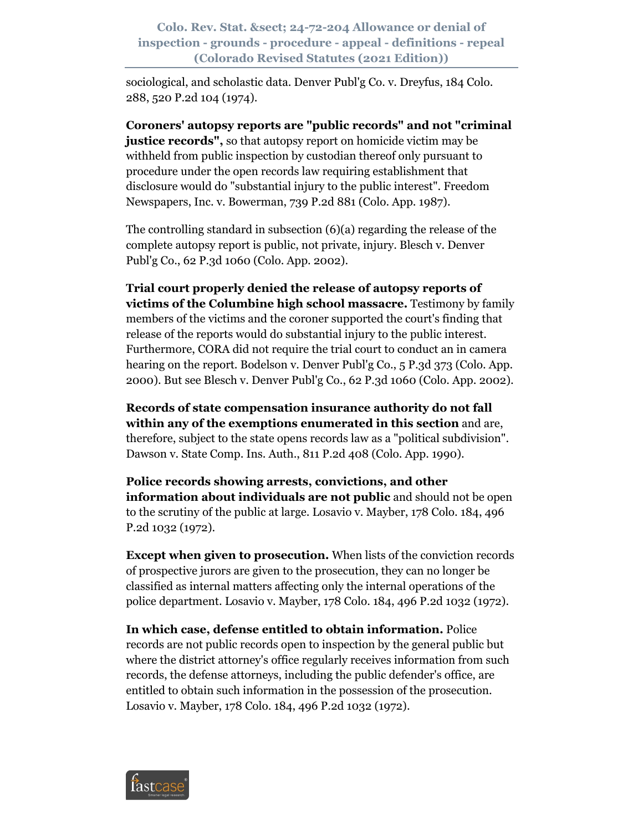sociological, and scholastic data. Denver Publ'g Co. v. Dreyfus, 184 Colo. 288, 520 P.2d 104 (1974).

**Coroners' autopsy reports are "public records" and not "criminal justice records"**, so that autopsy report on homicide victim may be withheld from public inspection by custodian thereof only pursuant to procedure under the open records law requiring establishment that disclosure would do "substantial injury to the public interest". Freedom Newspapers, Inc. v. Bowerman, 739 P.2d 881 (Colo. App. 1987).

The controlling standard in subsection (6)(a) regarding the release of the complete autopsy report is public, not private, injury. Blesch v. Denver Publ'g Co., 62 P.3d 1060 (Colo. App. 2002).

**Trial court properly denied the release of autopsy reports of victims of the Columbine high school massacre.** Testimony by family members of the victims and the coroner supported the court's finding that release of the reports would do substantial injury to the public interest. Furthermore, CORA did not require the trial court to conduct an in camera hearing on the report. Bodelson v. Denver Publ'g Co., 5 P.3d 373 (Colo. App. 2000). But see Blesch v. Denver Publ'g Co., 62 P.3d 1060 (Colo. App. 2002).

**Records of state compensation insurance authority do not fall within any of the exemptions enumerated in this section** and are, therefore, subject to the state opens records law as a "political subdivision". Dawson v. State Comp. Ins. Auth., 811 P.2d 408 (Colo. App. 1990).

**Police records showing arrests, convictions, and other information about individuals are not public** and should not be open to the scrutiny of the public at large. Losavio v. Mayber, 178 Colo. 184, 496 P.2d 1032 (1972).

**Except when given to prosecution.** When lists of the conviction records of prospective jurors are given to the prosecution, they can no longer be classified as internal matters affecting only the internal operations of the police department. Losavio v. Mayber, 178 Colo. 184, 496 P.2d 1032 (1972).

**In which case, defense entitled to obtain information.** Police records are not public records open to inspection by the general public but where the district attorney's office regularly receives information from such records, the defense attorneys, including the public defender's office, are entitled to obtain such information in the possession of the prosecution. Losavio v. Mayber, 178 Colo. 184, 496 P.2d 1032 (1972).

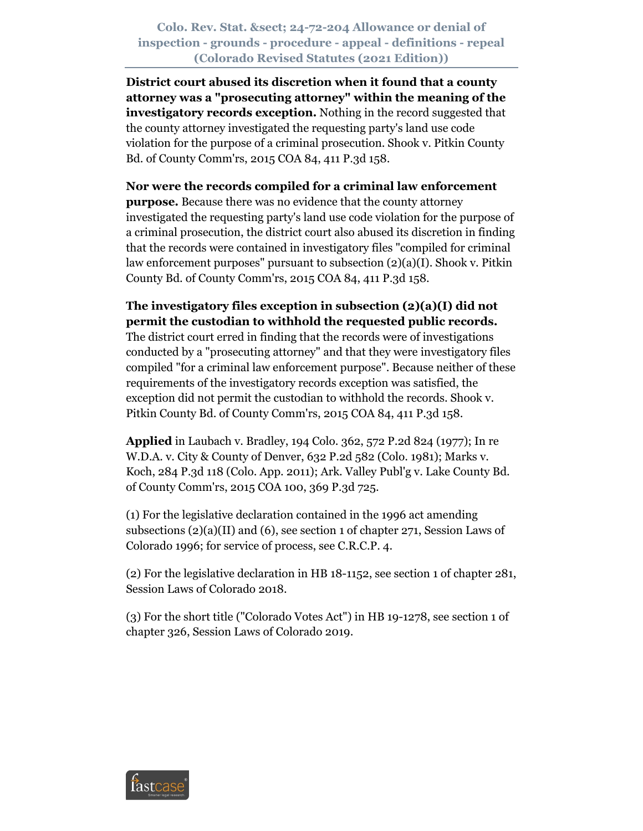**District court abused its discretion when it found that a county attorney was a "prosecuting attorney" within the meaning of the investigatory records exception.** Nothing in the record suggested that the county attorney investigated the requesting party's land use code violation for the purpose of a criminal prosecution. Shook v. Pitkin County Bd. of County Comm'rs, 2015 COA 84, 411 P.3d 158.

#### **Nor were the records compiled for a criminal law enforcement**

**purpose.** Because there was no evidence that the county attorney investigated the requesting party's land use code violation for the purpose of a criminal prosecution, the district court also abused its discretion in finding that the records were contained in investigatory files "compiled for criminal law enforcement purposes" pursuant to subsection (2)(a)(I). Shook v. Pitkin County Bd. of County Comm'rs, 2015 COA 84, 411 P.3d 158.

## **The investigatory files exception in subsection (2)(a)(I) did not permit the custodian to withhold the requested public records.**

The district court erred in finding that the records were of investigations conducted by a "prosecuting attorney" and that they were investigatory files compiled "for a criminal law enforcement purpose". Because neither of these requirements of the investigatory records exception was satisfied, the exception did not permit the custodian to withhold the records. Shook v. Pitkin County Bd. of County Comm'rs, 2015 COA 84, 411 P.3d 158.

**Applied** in Laubach v. Bradley, 194 Colo. 362, 572 P.2d 824 (1977); In re W.D.A. v. City & County of Denver, 632 P.2d 582 (Colo. 1981); Marks v. Koch, 284 P.3d 118 (Colo. App. 2011); Ark. Valley Publ'g v. Lake County Bd. of County Comm'rs, 2015 COA 100, 369 P.3d 725.

(1) For the legislative declaration contained in the 1996 act amending subsections (2)(a)(II) and (6), see section 1 of chapter 271, Session Laws of Colorado 1996; for service of process, see C.R.C.P. 4.

(2) For the legislative declaration in HB 18-1152, see section 1 of chapter 281, Session Laws of Colorado 2018.

(3) For the short title ("Colorado Votes Act") in HB 19-1278, see section 1 of chapter 326, Session Laws of Colorado 2019.

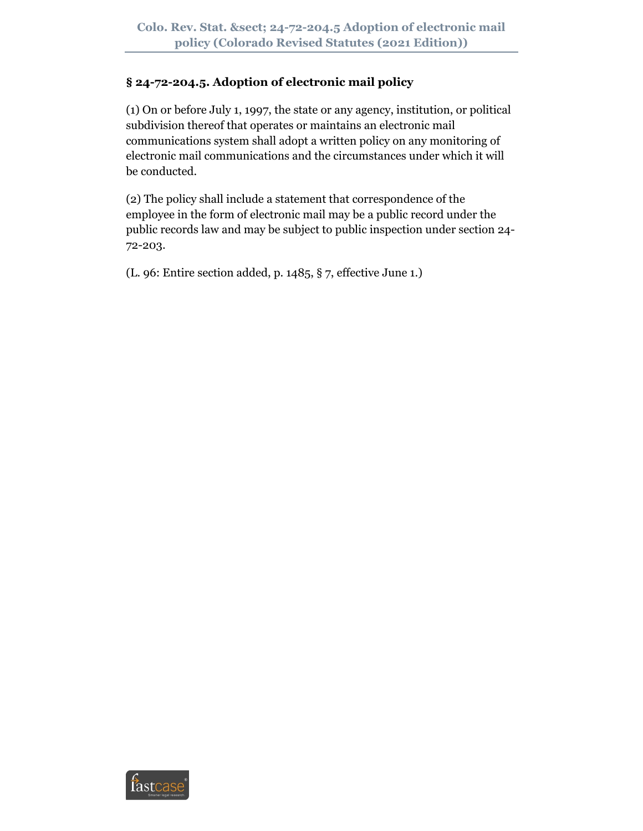# **§ 24-72-204.5. Adoption of electronic mail policy**

(1) On or before July 1, 1997, the state or any agency, institution, or political subdivision thereof that operates or maintains an electronic mail communications system shall adopt a written policy on any monitoring of electronic mail communications and the circumstances under which it will be conducted.

(2) The policy shall include a statement that correspondence of the employee in the form of electronic mail may be a public record under the public records law and may be subject to public inspection under section 24- 72-203.

(L. 96: Entire section added, p. 1485, § 7, effective June 1.)

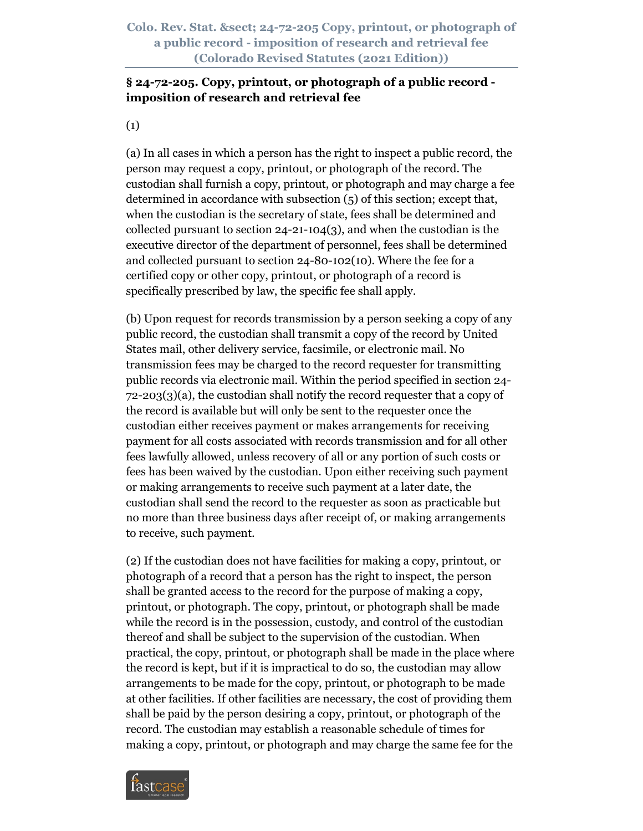**Colo. Rev. Stat. § 24-72-205 Copy, printout, or photograph of a public record - imposition of research and retrieval fee (Colorado Revised Statutes (2021 Edition))**

## **§ 24-72-205. Copy, printout, or photograph of a public record imposition of research and retrieval fee**

(1)

(a) In all cases in which a person has the right to inspect a public record, the person may request a copy, printout, or photograph of the record. The custodian shall furnish a copy, printout, or photograph and may charge a fee determined in accordance with subsection (5) of this section; except that, when the custodian is the secretary of state, fees shall be determined and collected pursuant to section  $24-21-104(3)$ , and when the custodian is the executive director of the department of personnel, fees shall be determined and collected pursuant to section 24-80-102(10). Where the fee for a certified copy or other copy, printout, or photograph of a record is specifically prescribed by law, the specific fee shall apply.

(b) Upon request for records transmission by a person seeking a copy of any public record, the custodian shall transmit a copy of the record by United States mail, other delivery service, facsimile, or electronic mail. No transmission fees may be charged to the record requester for transmitting public records via electronic mail. Within the period specified in section 24- 72-203(3)(a), the custodian shall notify the record requester that a copy of the record is available but will only be sent to the requester once the custodian either receives payment or makes arrangements for receiving payment for all costs associated with records transmission and for all other fees lawfully allowed, unless recovery of all or any portion of such costs or fees has been waived by the custodian. Upon either receiving such payment or making arrangements to receive such payment at a later date, the custodian shall send the record to the requester as soon as practicable but no more than three business days after receipt of, or making arrangements to receive, such payment.

(2) If the custodian does not have facilities for making a copy, printout, or photograph of a record that a person has the right to inspect, the person shall be granted access to the record for the purpose of making a copy, printout, or photograph. The copy, printout, or photograph shall be made while the record is in the possession, custody, and control of the custodian thereof and shall be subject to the supervision of the custodian. When practical, the copy, printout, or photograph shall be made in the place where the record is kept, but if it is impractical to do so, the custodian may allow arrangements to be made for the copy, printout, or photograph to be made at other facilities. If other facilities are necessary, the cost of providing them shall be paid by the person desiring a copy, printout, or photograph of the record. The custodian may establish a reasonable schedule of times for making a copy, printout, or photograph and may charge the same fee for the

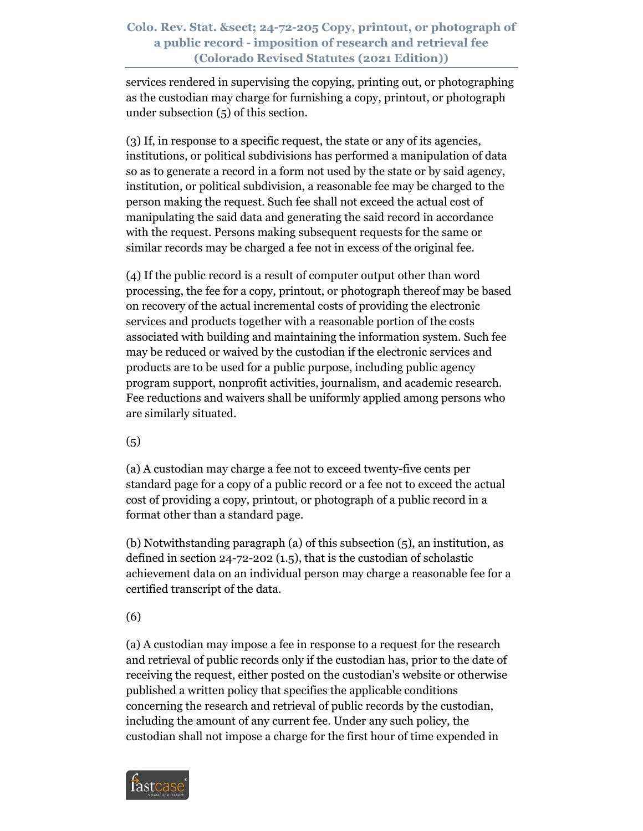### **Colo. Rev. Stat. § 24-72-205 Copy, printout, or photograph of a public record - imposition of research and retrieval fee (Colorado Revised Statutes (2021 Edition))**

services rendered in supervising the copying, printing out, or photographing as the custodian may charge for furnishing a copy, printout, or photograph under subsection (5) of this section.

(3) If, in response to a specific request, the state or any of its agencies, institutions, or political subdivisions has performed a manipulation of data so as to generate a record in a form not used by the state or by said agency, institution, or political subdivision, a reasonable fee may be charged to the person making the request. Such fee shall not exceed the actual cost of manipulating the said data and generating the said record in accordance with the request. Persons making subsequent requests for the same or similar records may be charged a fee not in excess of the original fee.

(4) If the public record is a result of computer output other than word processing, the fee for a copy, printout, or photograph thereof may be based on recovery of the actual incremental costs of providing the electronic services and products together with a reasonable portion of the costs associated with building and maintaining the information system. Such fee may be reduced or waived by the custodian if the electronic services and products are to be used for a public purpose, including public agency program support, nonprofit activities, journalism, and academic research. Fee reductions and waivers shall be uniformly applied among persons who are similarly situated.

(5)

(a) A custodian may charge a fee not to exceed twenty-five cents per standard page for a copy of a public record or a fee not to exceed the actual cost of providing a copy, printout, or photograph of a public record in a format other than a standard page.

(b) Notwithstanding paragraph (a) of this subsection (5), an institution, as defined in section 24-72-202 (1.5), that is the custodian of scholastic achievement data on an individual person may charge a reasonable fee for a certified transcript of the data.

(6)

(a) A custodian may impose a fee in response to a request for the research and retrieval of public records only if the custodian has, prior to the date of receiving the request, either posted on the custodian's website or otherwise published a written policy that specifies the applicable conditions concerning the research and retrieval of public records by the custodian, including the amount of any current fee. Under any such policy, the custodian shall not impose a charge for the first hour of time expended in

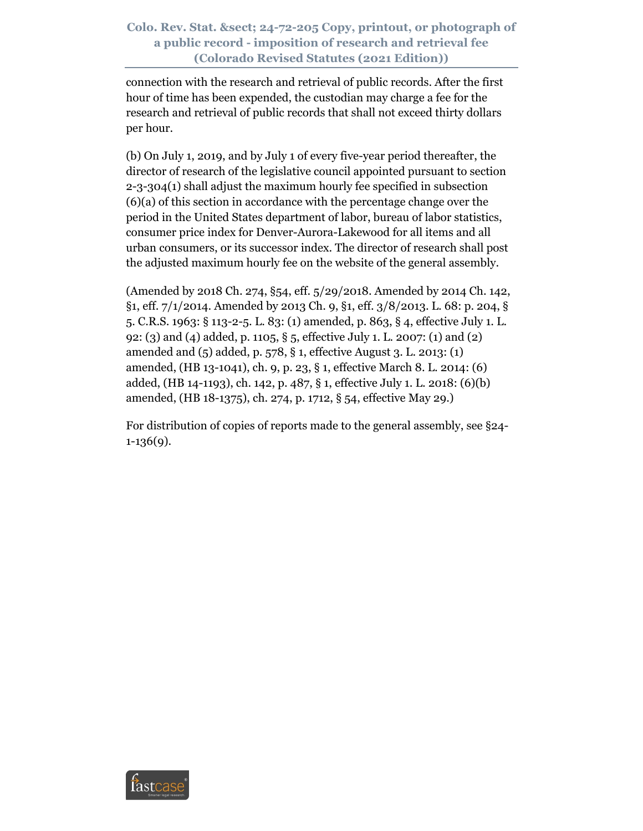### **Colo. Rev. Stat. § 24-72-205 Copy, printout, or photograph of a public record - imposition of research and retrieval fee (Colorado Revised Statutes (2021 Edition))**

connection with the research and retrieval of public records. After the first hour of time has been expended, the custodian may charge a fee for the research and retrieval of public records that shall not exceed thirty dollars per hour.

(b) On July 1, 2019, and by July 1 of every five-year period thereafter, the director of research of the legislative council appointed pursuant to section 2-3-304(1) shall adjust the maximum hourly fee specified in subsection (6)(a) of this section in accordance with the percentage change over the period in the United States department of labor, bureau of labor statistics, consumer price index for Denver-Aurora-Lakewood for all items and all urban consumers, or its successor index. The director of research shall post the adjusted maximum hourly fee on the website of the general assembly.

(Amended by 2018 Ch. 274, §54, eff. 5/29/2018. Amended by 2014 Ch. 142, §1, eff. 7/1/2014. Amended by 2013 Ch. 9, §1, eff. 3/8/2013. L. 68: p. 204, § 5. C.R.S. 1963: § 113-2-5. L. 83: (1) amended, p. 863, § 4, effective July 1. L. 92: (3) and (4) added, p. 1105, § 5, effective July 1. L. 2007: (1) and (2) amended and (5) added, p. 578, § 1, effective August 3. L. 2013: (1) amended, (HB 13-1041), ch. 9, p. 23, § 1, effective March 8. L. 2014: (6) added, (HB 14-1193), ch. 142, p. 487, § 1, effective July 1. L. 2018: (6)(b) amended, (HB 18-1375), ch. 274, p. 1712, § 54, effective May 29.)

For distribution of copies of reports made to the general assembly, see §24- 1-136(9).

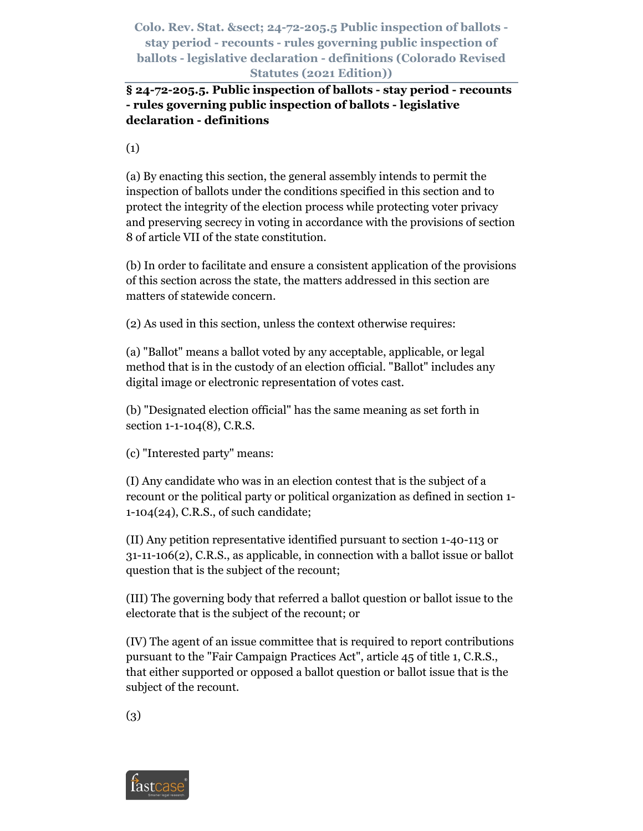**§ 24-72-205.5. Public inspection of ballots - stay period - recounts - rules governing public inspection of ballots - legislative declaration - definitions** 

(1)

(a) By enacting this section, the general assembly intends to permit the inspection of ballots under the conditions specified in this section and to protect the integrity of the election process while protecting voter privacy and preserving secrecy in voting in accordance with the provisions of section 8 of article VII of the state constitution.

(b) In order to facilitate and ensure a consistent application of the provisions of this section across the state, the matters addressed in this section are matters of statewide concern.

(2) As used in this section, unless the context otherwise requires:

(a) "Ballot" means a ballot voted by any acceptable, applicable, or legal method that is in the custody of an election official. "Ballot" includes any digital image or electronic representation of votes cast.

(b) "Designated election official" has the same meaning as set forth in section 1-1-104(8), C.R.S.

(c) "Interested party" means:

(I) Any candidate who was in an election contest that is the subject of a recount or the political party or political organization as defined in section 1- 1-104(24), C.R.S., of such candidate;

(II) Any petition representative identified pursuant to section 1-40-113 or 31-11-106(2), C.R.S., as applicable, in connection with a ballot issue or ballot question that is the subject of the recount;

(III) The governing body that referred a ballot question or ballot issue to the electorate that is the subject of the recount; or

(IV) The agent of an issue committee that is required to report contributions pursuant to the "Fair Campaign Practices Act", article 45 of title 1, C.R.S., that either supported or opposed a ballot question or ballot issue that is the subject of the recount.

(3)

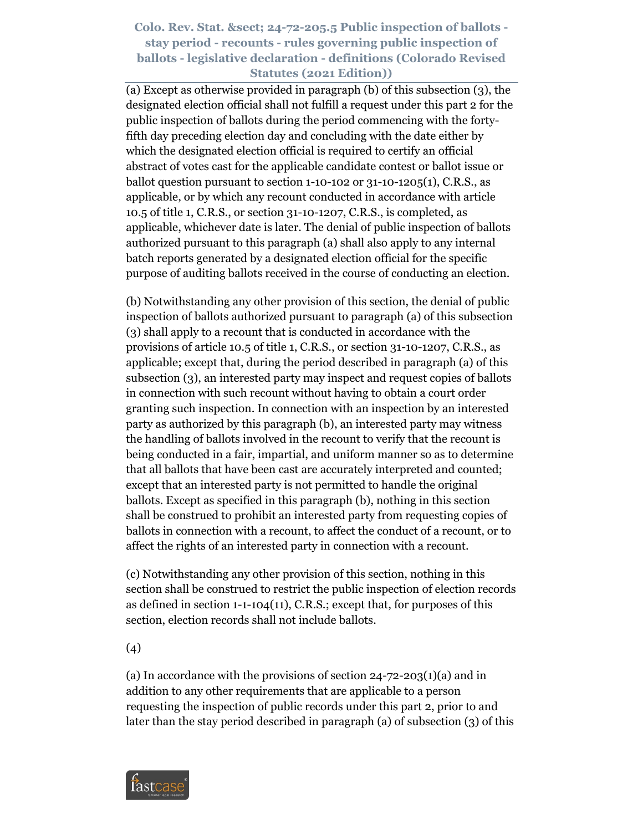(a) Except as otherwise provided in paragraph (b) of this subsection (3), the designated election official shall not fulfill a request under this part 2 for the public inspection of ballots during the period commencing with the fortyfifth day preceding election day and concluding with the date either by which the designated election official is required to certify an official abstract of votes cast for the applicable candidate contest or ballot issue or ballot question pursuant to section  $1-10-102$  or  $31-10-1205(1)$ , C.R.S., as applicable, or by which any recount conducted in accordance with article 10.5 of title 1, C.R.S., or section 31-10-1207, C.R.S., is completed, as applicable, whichever date is later. The denial of public inspection of ballots authorized pursuant to this paragraph (a) shall also apply to any internal batch reports generated by a designated election official for the specific purpose of auditing ballots received in the course of conducting an election.

(b) Notwithstanding any other provision of this section, the denial of public inspection of ballots authorized pursuant to paragraph (a) of this subsection (3) shall apply to a recount that is conducted in accordance with the provisions of article 10.5 of title 1, C.R.S., or section 31-10-1207, C.R.S., as applicable; except that, during the period described in paragraph (a) of this subsection (3), an interested party may inspect and request copies of ballots in connection with such recount without having to obtain a court order granting such inspection. In connection with an inspection by an interested party as authorized by this paragraph (b), an interested party may witness the handling of ballots involved in the recount to verify that the recount is being conducted in a fair, impartial, and uniform manner so as to determine that all ballots that have been cast are accurately interpreted and counted; except that an interested party is not permitted to handle the original ballots. Except as specified in this paragraph (b), nothing in this section shall be construed to prohibit an interested party from requesting copies of ballots in connection with a recount, to affect the conduct of a recount, or to affect the rights of an interested party in connection with a recount.

(c) Notwithstanding any other provision of this section, nothing in this section shall be construed to restrict the public inspection of election records as defined in section 1-1-104(11), C.R.S.; except that, for purposes of this section, election records shall not include ballots.

(4)

(a) In accordance with the provisions of section  $24$ -72-203(1)(a) and in addition to any other requirements that are applicable to a person requesting the inspection of public records under this part 2, prior to and later than the stay period described in paragraph (a) of subsection (3) of this

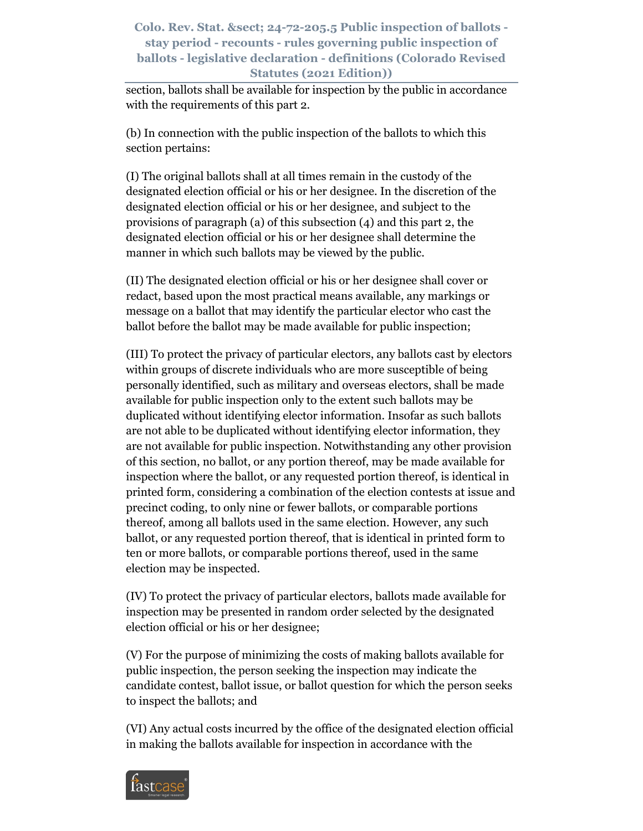section, ballots shall be available for inspection by the public in accordance with the requirements of this part 2.

(b) In connection with the public inspection of the ballots to which this section pertains:

(I) The original ballots shall at all times remain in the custody of the designated election official or his or her designee. In the discretion of the designated election official or his or her designee, and subject to the provisions of paragraph (a) of this subsection (4) and this part 2, the designated election official or his or her designee shall determine the manner in which such ballots may be viewed by the public.

(II) The designated election official or his or her designee shall cover or redact, based upon the most practical means available, any markings or message on a ballot that may identify the particular elector who cast the ballot before the ballot may be made available for public inspection;

(III) To protect the privacy of particular electors, any ballots cast by electors within groups of discrete individuals who are more susceptible of being personally identified, such as military and overseas electors, shall be made available for public inspection only to the extent such ballots may be duplicated without identifying elector information. Insofar as such ballots are not able to be duplicated without identifying elector information, they are not available for public inspection. Notwithstanding any other provision of this section, no ballot, or any portion thereof, may be made available for inspection where the ballot, or any requested portion thereof, is identical in printed form, considering a combination of the election contests at issue and precinct coding, to only nine or fewer ballots, or comparable portions thereof, among all ballots used in the same election. However, any such ballot, or any requested portion thereof, that is identical in printed form to ten or more ballots, or comparable portions thereof, used in the same election may be inspected.

(IV) To protect the privacy of particular electors, ballots made available for inspection may be presented in random order selected by the designated election official or his or her designee;

(V) For the purpose of minimizing the costs of making ballots available for public inspection, the person seeking the inspection may indicate the candidate contest, ballot issue, or ballot question for which the person seeks to inspect the ballots; and

(VI) Any actual costs incurred by the office of the designated election official in making the ballots available for inspection in accordance with the

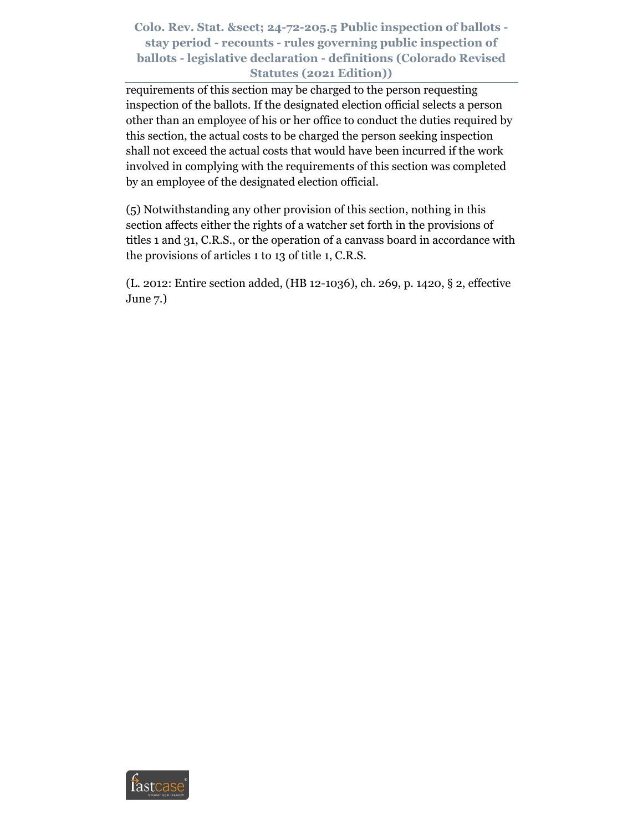requirements of this section may be charged to the person requesting inspection of the ballots. If the designated election official selects a person other than an employee of his or her office to conduct the duties required by this section, the actual costs to be charged the person seeking inspection shall not exceed the actual costs that would have been incurred if the work involved in complying with the requirements of this section was completed by an employee of the designated election official.

(5) Notwithstanding any other provision of this section, nothing in this section affects either the rights of a watcher set forth in the provisions of titles 1 and 31, C.R.S., or the operation of a canvass board in accordance with the provisions of articles 1 to 13 of title 1, C.R.S.

(L. 2012: Entire section added, (HB 12-1036), ch. 269, p. 1420, § 2, effective June 7.)